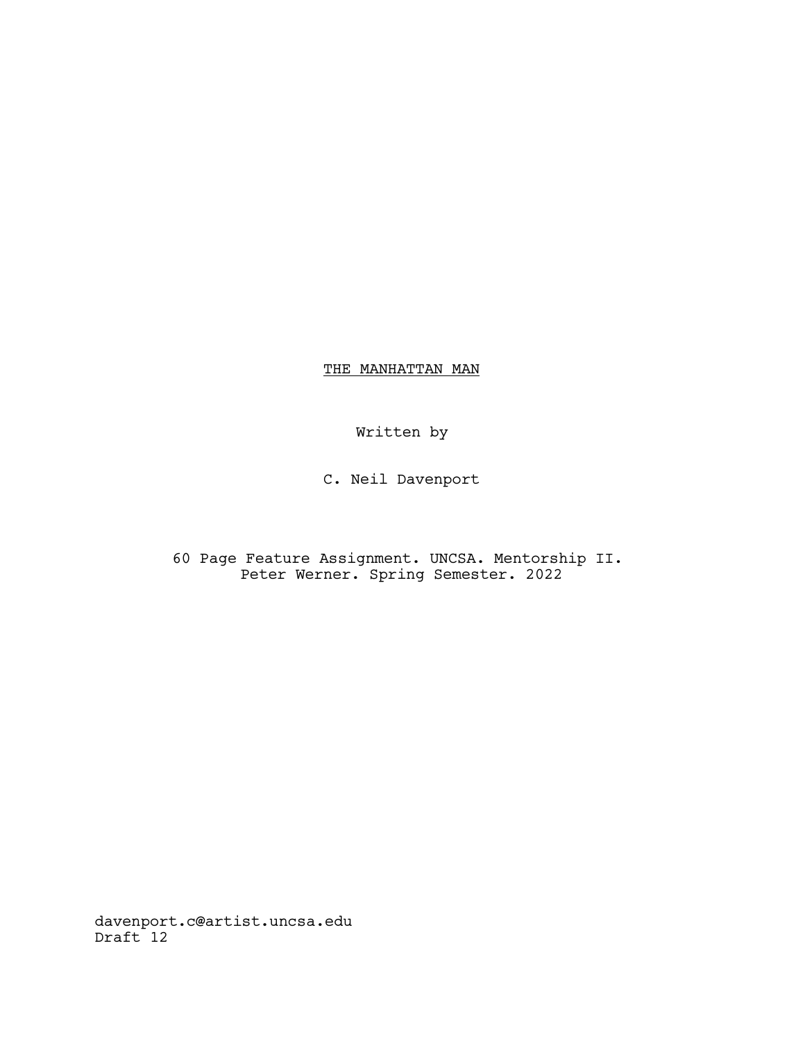THE MANHATTAN MAN

Written by

C. Neil Davenport

60 Page Feature Assignment. UNCSA. Mentorship II. Peter Werner. Spring Semester. 2022

davenport.c@artist.uncsa.edu Draft<sup>12</sup>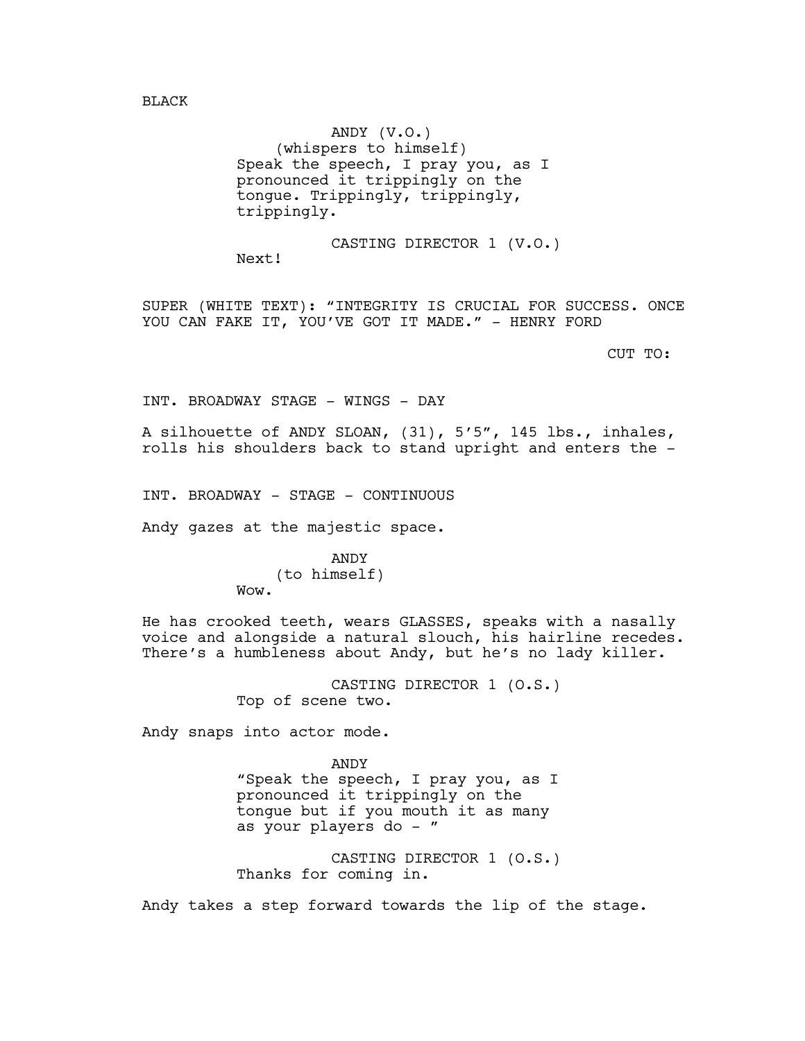ANDY (V.O.) (whispers to himself) Speak the speech, I pray you, as I pronounced it trippingly on the tongue. Trippingly, trippingly, trippingly.

CASTING DIRECTOR 1 (V.O.)

Next!

SUPER (WHITE TEXT): "INTEGRITY IS CRUCIAL FOR SUCCESS. ONCE YOU CAN FAKE IT, YOU'VE GOT IT MADE." - HENRY FORD

CUT TO:

INT. BROADWAY STAGE - WINGS - DAY

A silhouette of ANDY SLOAN, (31), 5'5", 145 lbs., inhales, rolls his shoulders back to stand upright and enters the -

INT. BROADWAY - STAGE - CONTINUOUS

Andy gazes at the majestic space.

ANDY (to himself) Wow.

He has crooked teeth, wears GLASSES, speaks with a nasally voice and alongside a natural slouch, his hairline recedes. There's a humbleness about Andy, but he's no lady killer.

> CASTING DIRECTOR 1 (O.S.) Top of scene two.

Andy snaps into actor mode.

ANDY "Speak the speech, I pray you, as I pronounced it trippingly on the tongue but if you mouth it as many as your players do - "

CASTING DIRECTOR 1 (O.S.) Thanks for coming in.

Andy takes a step forward towards the lip of the stage.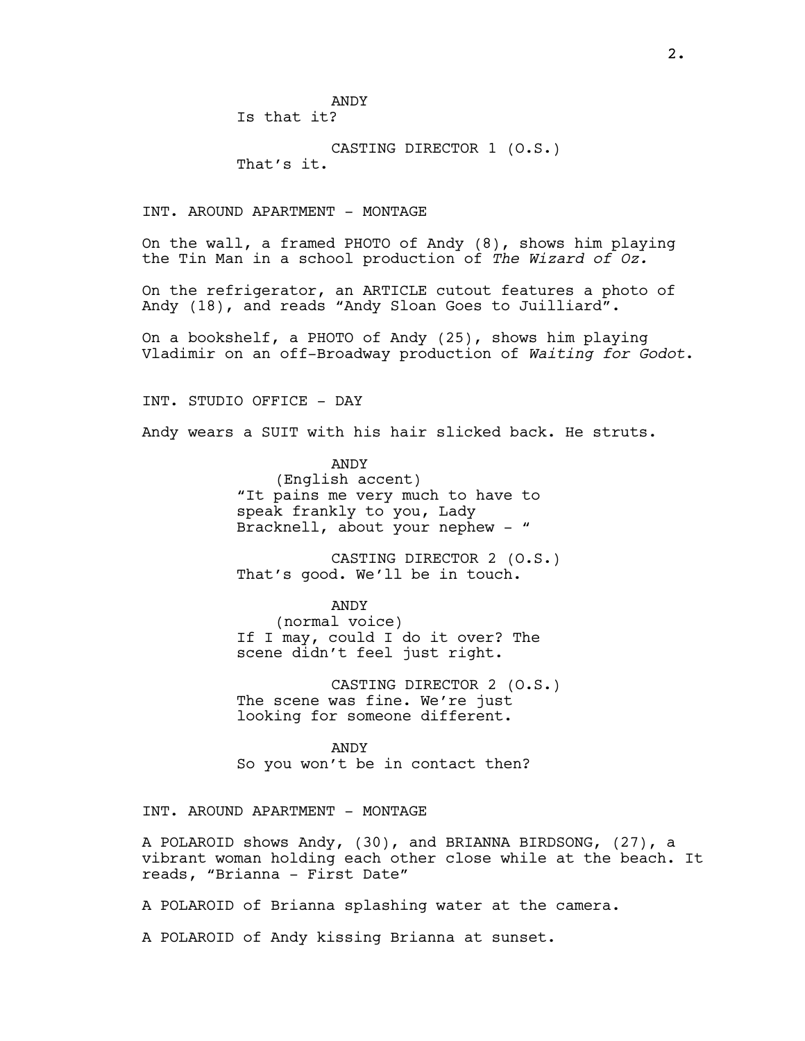ANDY Is that it?

CASTING DIRECTOR 1 (O.S.) That's it.

INT. AROUND APARTMENT - MONTAGE

On the wall, a framed PHOTO of Andy (8), shows him playing the Tin Man in a school production of The Wizard of Oz.

On the refrigerator, an ARTICLE cutout features a photo of Andy (18), and reads "Andy Sloan Goes to Juilliard".

On a bookshelf, a PHOTO of Andy (25), shows him playing Vladimir on an off-Broadway production of Waiting for Godot.

INT. STUDIO OFFICE - DAY

Andy wears a SUIT with his hair slicked back. He struts.

ANDY (English accent) "It pains me very much to have to speak frankly to you, Lady Bracknell, about your nephew - "

CASTING DIRECTOR 2 (O.S.) That's good. We'll be in touch.

ANDY

(normal voice) If I may, could I do it over? The scene didn't feel just right.

CASTING DIRECTOR 2 (O.S.) The scene was fine. We're just looking for someone different.

ANDY So you won't be in contact then?

INT. AROUND APARTMENT - MONTAGE

A POLAROID shows Andy, (30), and BRIANNA BIRDSONG, (27), a vibrant woman holding each other close while at the beach. It reads, "Brianna - First Date"

A POLAROID of Brianna splashing water at the camera.

A POLAROID of Andy kissing Brianna at sunset.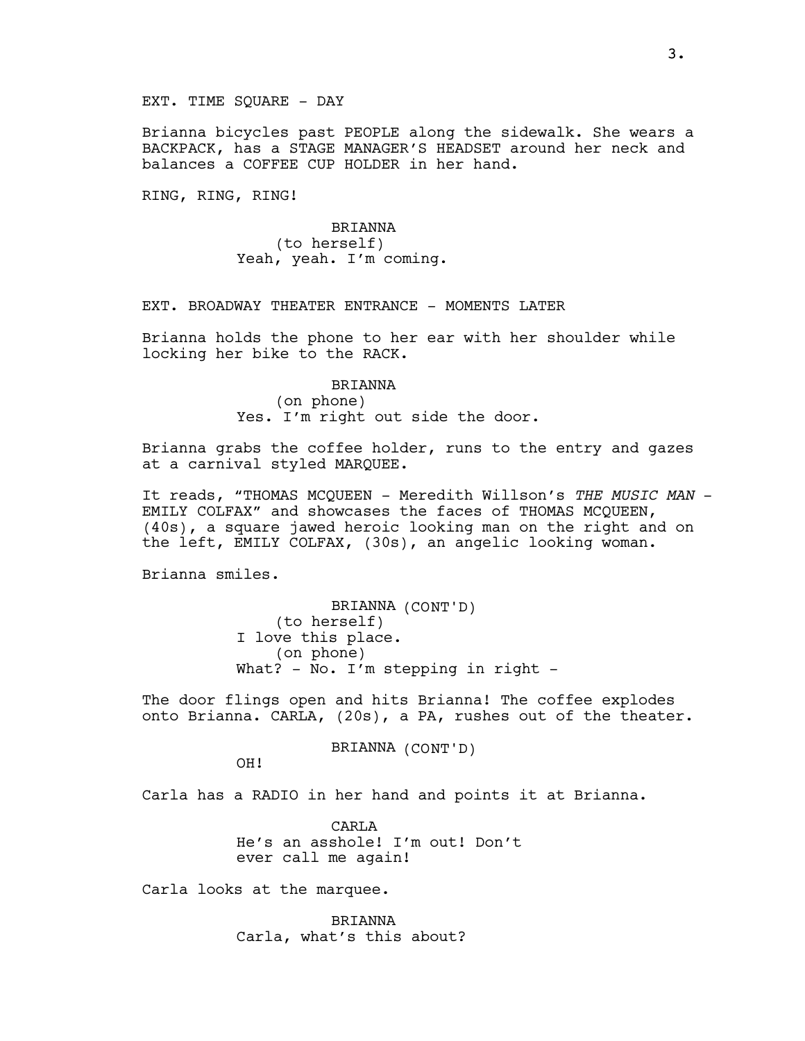## EXT. TIME SOUARE - DAY

Brianna bicycles past PEOPLE along the sidewalk. She wears a BACKPACK, has a STAGE MANAGER'S HEADSET around her neck and balances a COFFEE CUP HOLDER in her hand.

RING, RING, RING!

**BRIANNA** (to herself) Yeah, yeah. I'm coming.

EXT. BROADWAY THEATER ENTRANCE - MOMENTS LATER

Brianna holds the phone to her ear with her shoulder while locking her bike to the RACK.

#### BRIANNA

(on phone) Yes. I'm right out side the door.

Brianna grabs the coffee holder, runs to the entry and gazes at a carnival styled MARQUEE.

It reads, "THOMAS MCOUEEN - Meredith Willson's THE MUSIC MAN -EMILY COLFAX" and showcases the faces of THOMAS MCQUEEN, (40s), a square jawed heroic looking man on the right and on the left, EMILY COLFAX, (30s), an angelic looking woman.

Brianna smiles.

BRIANNA (CONT'D) (to herself) I love this place. (on phone) What? - No. I'm stepping in right -

The door flings open and hits Brianna! The coffee explodes onto Brianna. CARLA, (20s), a PA, rushes out of the theater.

BRIANNA (CONT'D)

OH!

Carla has a RADIO in her hand and points it at Brianna.

CARL<sub>A</sub> He's an asshole! I'm out! Don't ever call me again!

Carla looks at the marquee.

BRIANNA Carla, what's this about?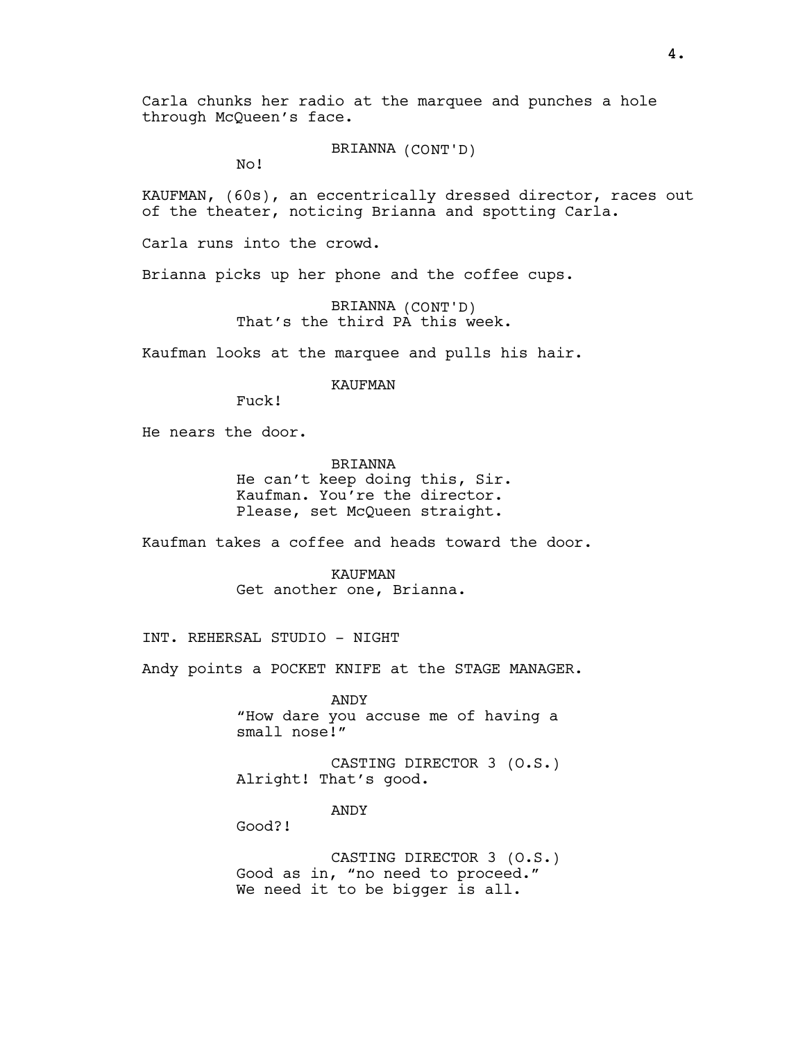Carla chunks her radio at the marquee and punches a hole through McQueen's face.

BRIANNA (CONT'D)

No!

KAUFMAN, (60s), an eccentrically dressed director, races out of the theater, noticing Brianna and spotting Carla.

Carla runs into the crowd.

Brianna picks up her phone and the coffee cups.

BRIANNA (CONT'D) That's the third PA this week.

Kaufman looks at the marquee and pulls his hair.

KAUFMAN

Fuck!

He nears the door.

BRIANNA He can't keep doing this, Sir. Kaufman. You're the director. Please, set McQueen straight.

Kaufman takes a coffee and heads toward the door.

KAUFMAN Get another one, Brianna.

INT. REHERSAL STUDIO - NIGHT

Andy points a POCKET KNIFE at the STAGE MANAGER.

ANDY "How dare you accuse me of having a small nose!"

CASTING DIRECTOR 3 (O.S.) Alright! That's good.

ANDY

Good?!

CASTING DIRECTOR 3 (O.S.) Good as in, "no need to proceed." We need it to be bigger is all.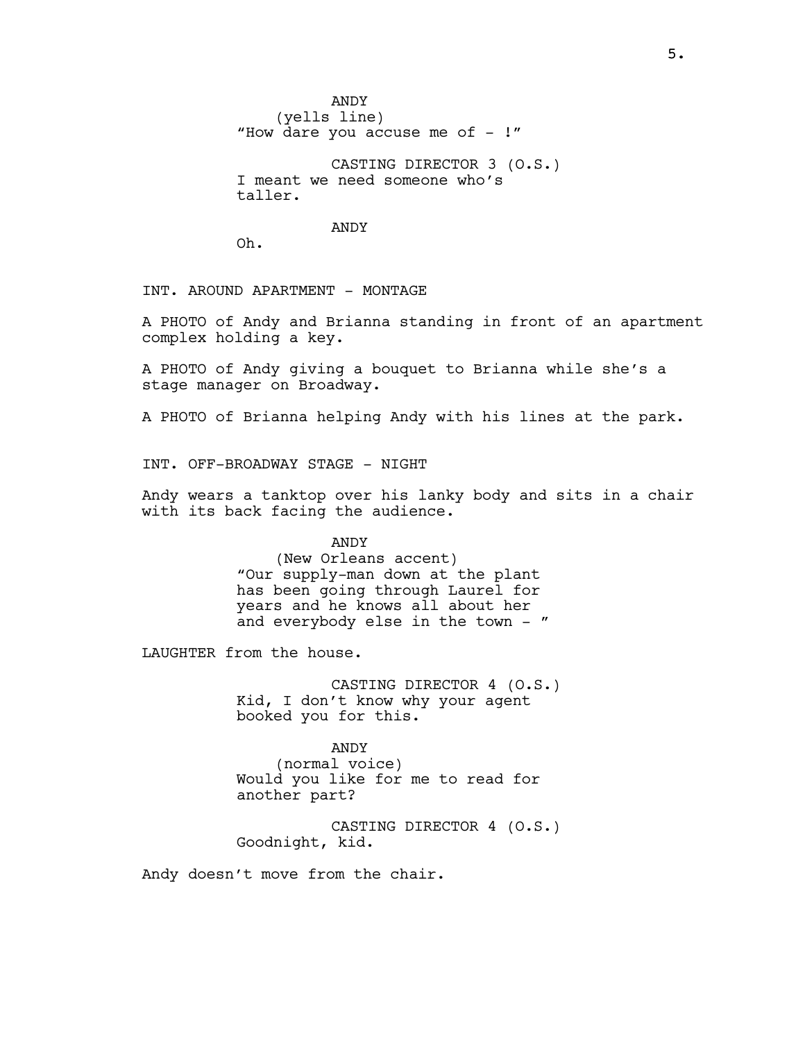ANDY (yells line) "How dare you accuse me of - !" CASTING DIRECTOR 3 (O.S.)

I meant we need someone who's taller.

## ANDY

Oh.

INT. AROUND APARTMENT - MONTAGE

A PHOTO of Andy and Brianna standing in front of an apartment complex holding a key.

A PHOTO of Andy giving a bouquet to Brianna while she's a stage manager on Broadway.

A PHOTO of Brianna helping Andy with his lines at the park.

INT. OFF-BROADWAY STAGE - NIGHT

Andy wears a tanktop over his lanky body and sits in a chair with its back facing the audience.

#### ANDY

(New Orleans accent) "Our supply-man down at the plant has been going through Laurel for years and he knows all about her and everybody else in the town -  $"$ 

LAUGHTER from the house.

CASTING DIRECTOR 4 (O.S.) Kid, I don't know why your agent booked you for this.

ANDY (normal voice) Would you like for me to read for another part?

CASTING DIRECTOR 4 (O.S.) Goodnight, kid.

Andy doesn't move from the chair.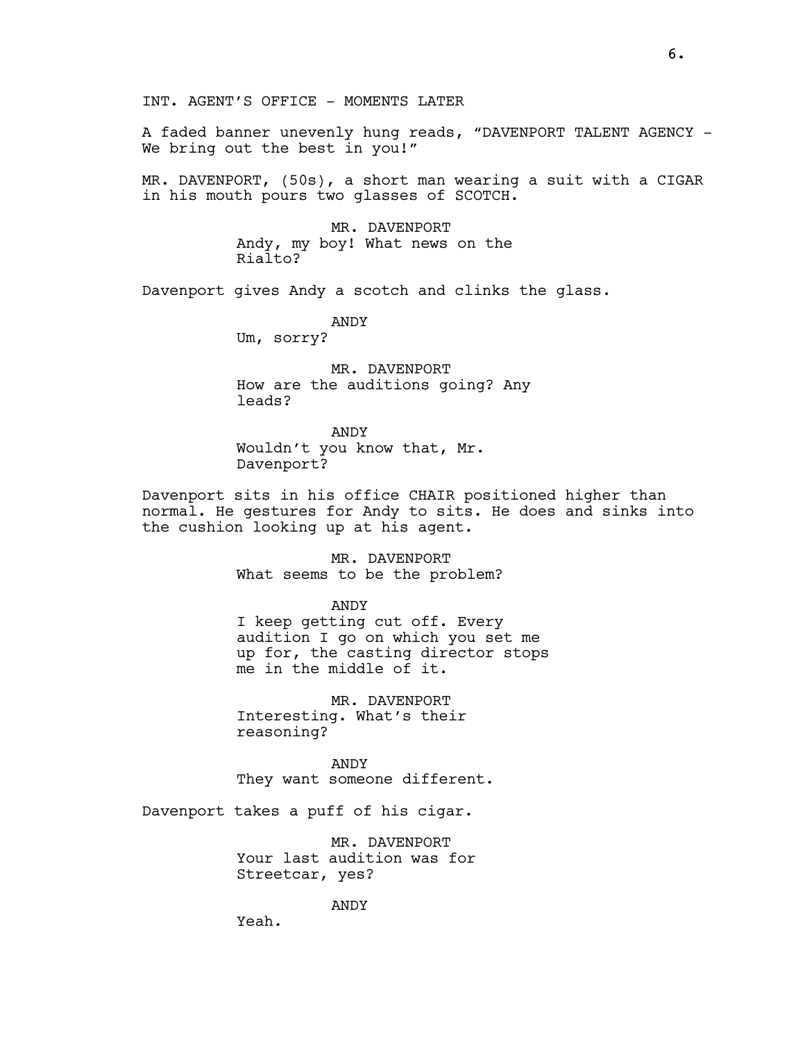A faded banner unevenly hung reads, "DAVENPORT TALENT AGENCY - We bring out the best in you!"

MR. DAVENPORT, (50s), a short man wearing a suit with a CIGAR in his mouth pours two glasses of SCOTCH.

> MR. DAVENPORT Andy, my boy! What news on the Rialto?

Davenport gives Andy a scotch and clinks the glass.

ANDY

Um, sorry?

MR. DAVENPORT How are the auditions going? Any leads?

ANDY Wouldn't you know that, Mr. Davenport?

Davenport sits in his office CHAIR positioned higher than normal. He gestures for Andy to sits. He does and sinks into the cushion looking up at his agent.

> MR. DAVENPORT What seems to be the problem?

> > ANDY

I keep getting cut off. Every audition I go on which you set me up for, the casting director stops me in the middle of it.

MR. DAVENPORT Interesting. What's their reasoning?

ANDY They want someone different.

Davenport takes a puff of his cigar.

MR. DAVENPORT Your last audition was for Streetcar, yes?

ANDY

Yeah.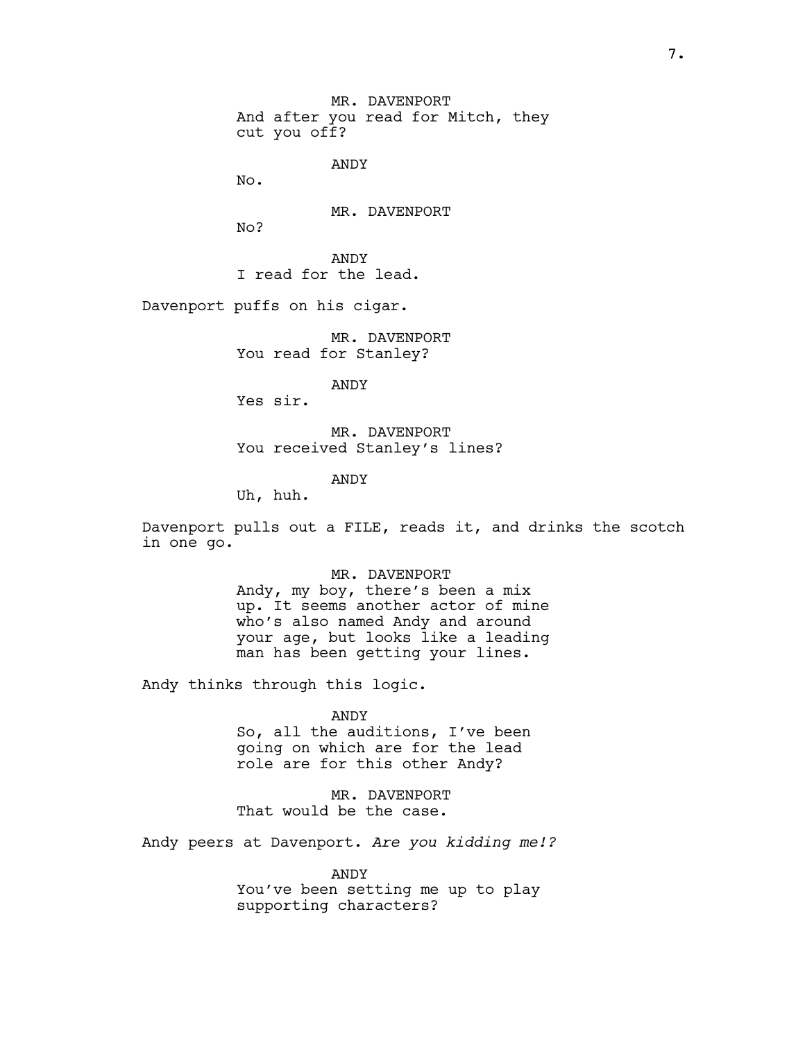MR. DAVENPORT And after you read for Mitch, they cut you off?

ANDY

No.

MR. DAVENPORT

 $No?$ 

ANDY I read for the lead.

Davenport puffs on his cigar.

MR. DAVENPORT You read for Stanley?

ANDY

Yes sir.

MR. DAVENPORT You received Stanley's lines?

ANDY

Uh, huh.

Davenport pulls out a FILE, reads it, and drinks the scotch in one go.

> MR. DAVENPORT Andy, my boy, there's been a mix up. It seems another actor of mine who's also named Andy and around your age, but looks like a leading man has been getting your lines.

Andy thinks through this logic.

ANDY So, all the auditions, I've been going on which are for the lead role are for this other Andy?

MR. DAVENPORT That would be the case.

Andy peers at Davenport. Are you kidding me!?

ANDY You've been setting me up to play supporting characters?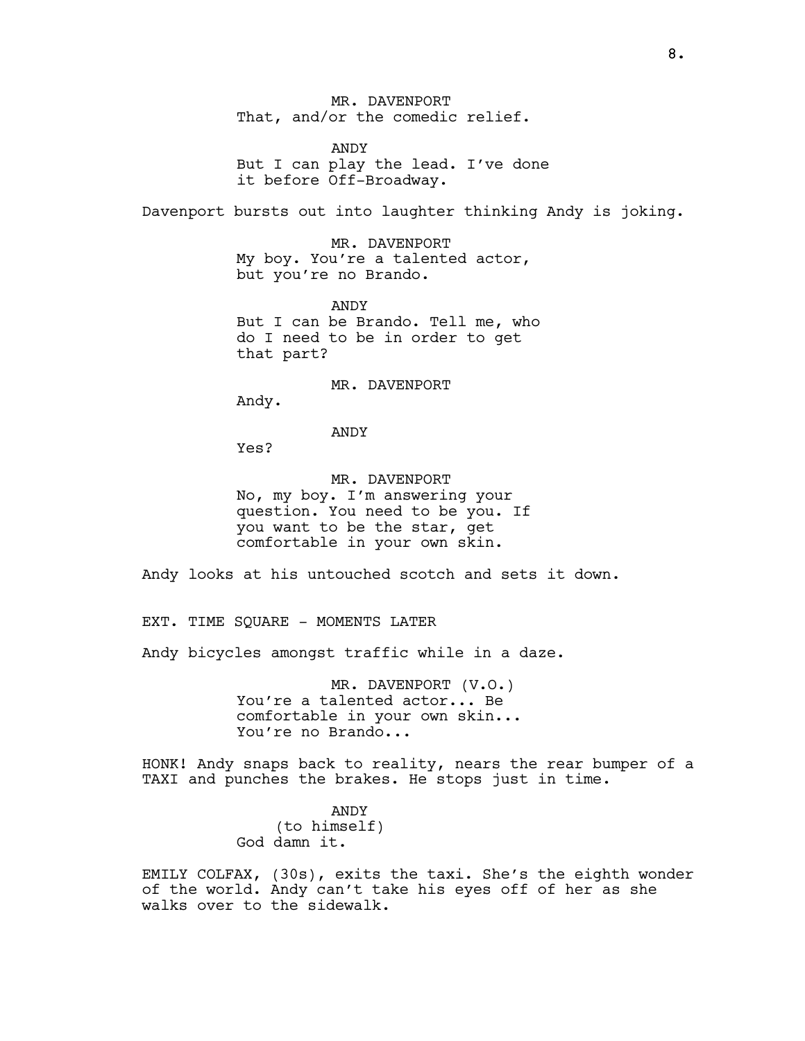MR. DAVENPORT That, and/or the comedic relief.

ANDY But I can play the lead. I've done it before Off-Broadway.

Davenport bursts out into laughter thinking Andy is joking.

MR. DAVENPORT My boy. You're a talented actor, but you're no Brando.

ANDY But I can be Brando. Tell me, who do I need to be in order to get that part?

### MR. DAVENPORT

Andy.

ANDY

Yes?

MR. DAVENPORT No, my boy. I'm answering your question. You need to be you. If you want to be the star, get comfortable in your own skin.

Andy looks at his untouched scotch and sets it down.

EXT. TIME SOUARE - MOMENTS LATER

Andy bicycles amongst traffic while in a daze.

MR. DAVENPORT (V.O.) You're a talented actor... Be comfortable in your own skin... You're no Brando...

HONK! Andy snaps back to reality, nears the rear bumper of a TAXI and punches the brakes. He stops just in time.

> ANDY (to himself) God damn it.

EMILY COLFAX, (30s), exits the taxi. She's the eighth wonder of the world. Andy can't take his eyes off of her as she walks over to the sidewalk.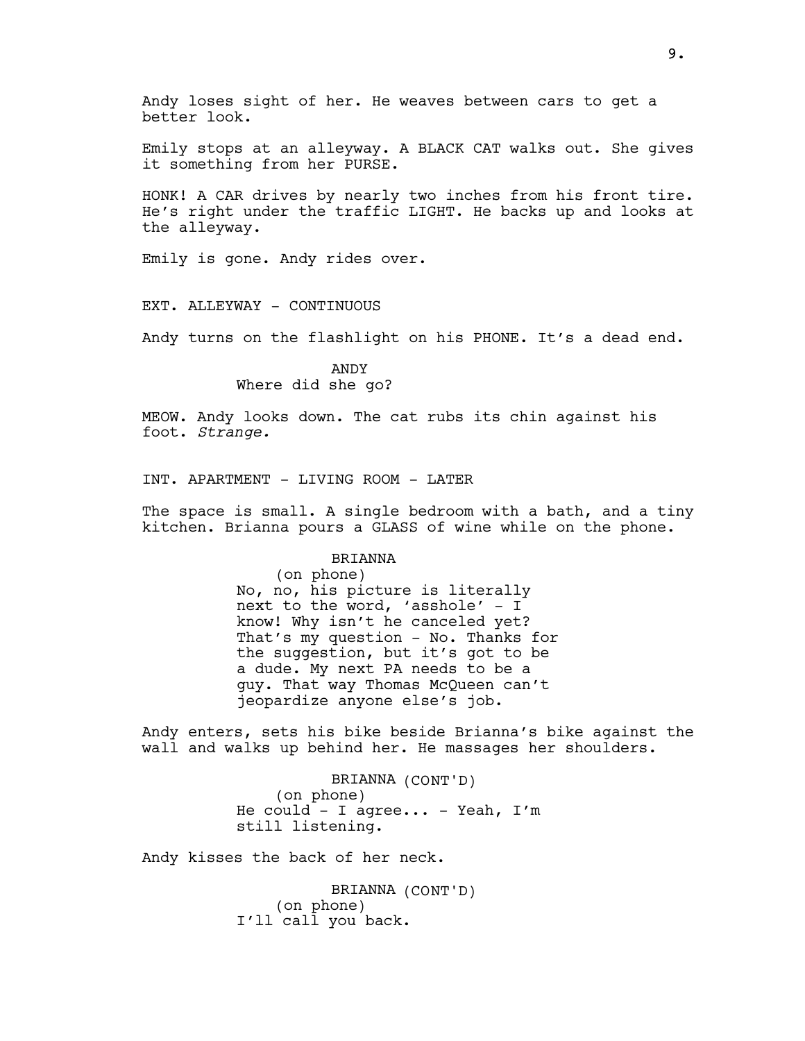Andy loses sight of her. He weaves between cars to get a better look.

Emily stops at an alleyway. A BLACK CAT walks out. She gives it something from her PURSE.

HONK! A CAR drives by nearly two inches from his front tire. He's right under the traffic LIGHT. He backs up and looks at the alleyway.

Emily is gone. Andy rides over.

EXT. ALLEYWAY - CONTINUOUS

Andy turns on the flashlight on his PHONE. It's a dead end.

ANDY Where did she go?

MEOW. Andy looks down. The cat rubs its chin against his foot. Strange.

INT. APARTMENT - LIVING ROOM - LATER

The space is small. A single bedroom with a bath, and a tiny kitchen. Brianna pours a GLASS of wine while on the phone.

### BRIANNA

(on phone) No, no, his picture is literally next to the word, 'asshole' - I know! Why isn't he canceled yet? That's my question - No. Thanks for the suggestion, but it's got to be a dude. My next PA needs to be a guy. That way Thomas McQueen can't jeopardize anyone else's job.

Andy enters, sets his bike beside Brianna's bike against the wall and walks up behind her. He massages her shoulders.

> BRIANNA (CONT'D) (on phone) He could - I agree... - Yeah, I'm still listening.

Andy kisses the back of her neck.

BRIANNA (CONT'D) (on phone) I'll call you back.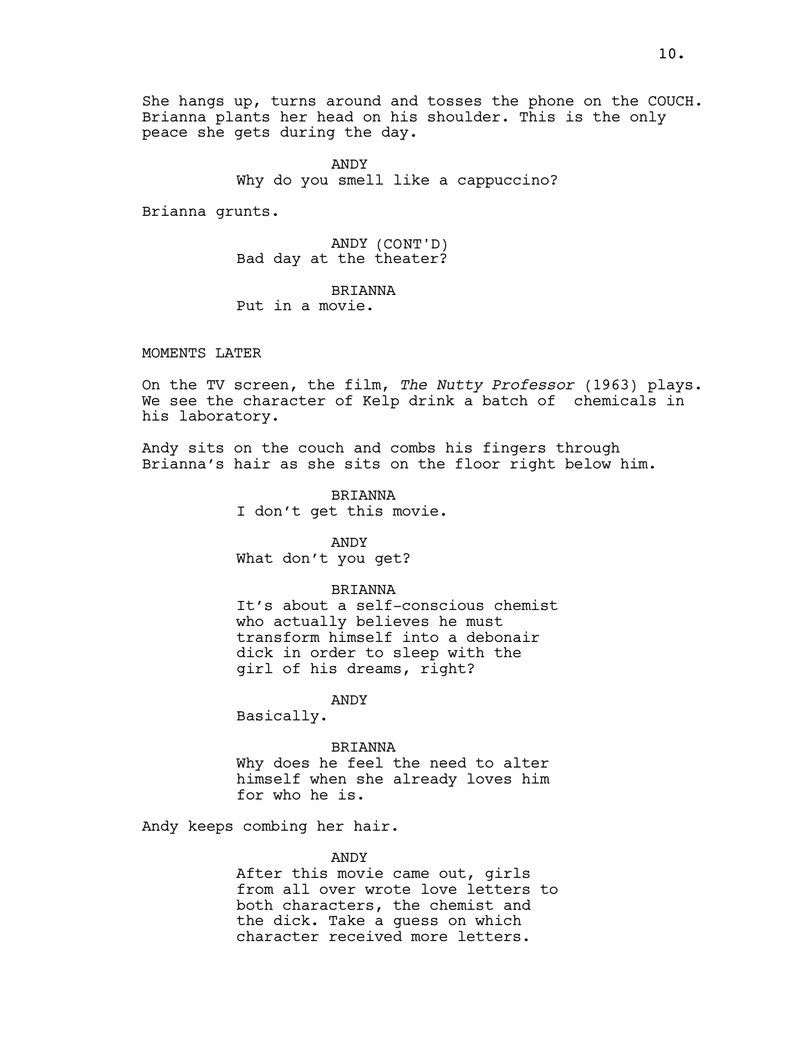She hangs up, turns around and tosses the phone on the COUCH. Brianna plants her head on his shoulder. This is the only peace she gets during the day.

> ANDY Why do you smell like a cappuccino?

Brianna grunts.

ANDY (CONT'D) Bad day at the theater?

BRIANNA Put in a movie.

### MOMENTS LATER

On the TV screen, the film, The Nutty Professor (1963) plays. We see the character of Kelp drink a batch of chemicals in his laboratory.

Andy sits on the couch and combs his fingers through Brianna's hair as she sits on the floor right below him.

> BRIANNA I don't get this movie.

ANDY What don't you get?

#### BRIANNA

It's about a self-conscious chemist who actually believes he must transform himself into a debonair dick in order to sleep with the girl of his dreams, right?

ANDY

Basically.

BRIANNA

Why does he feel the need to alter himself when she already loves him for who he is.

Andy keeps combing her hair.

#### ANDY

After this movie came out, girls from all over wrote love letters to both characters, the chemist and the dick. Take a guess on which character received more letters.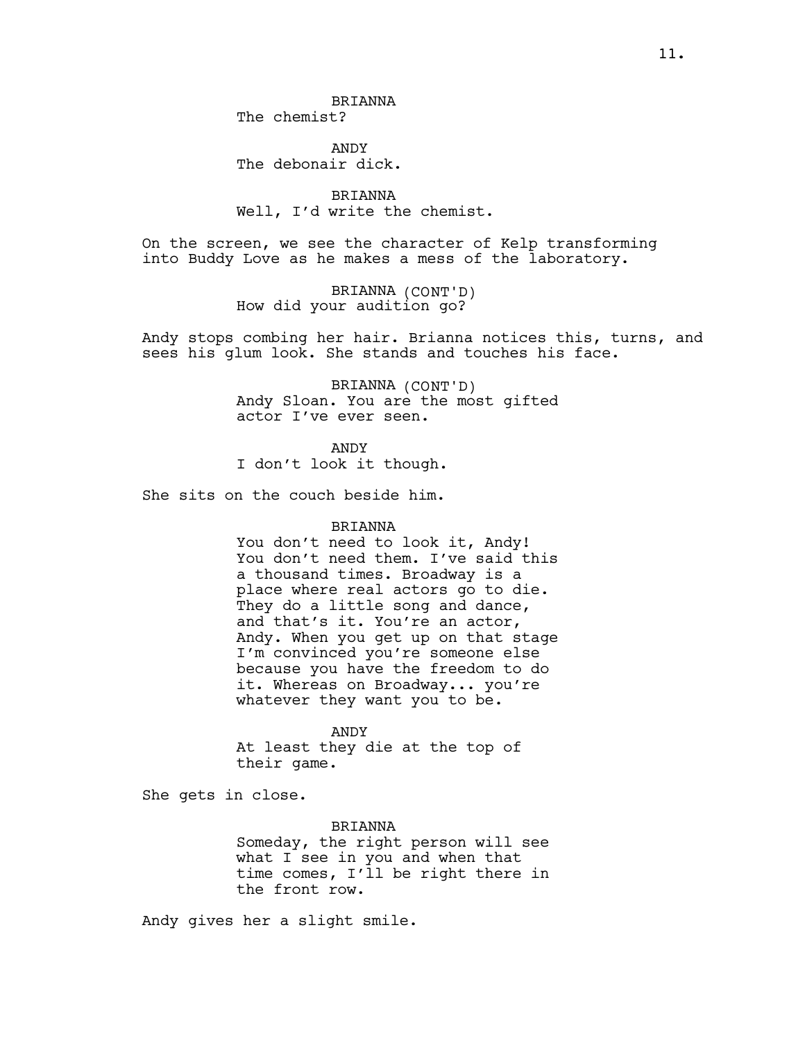The chemist?

ANDY The debonair dick.

BRIANNA Well, I'd write the chemist.

On the screen, we see the character of Kelp transforming into Buddy Love as he makes a mess of the laboratory.

> BRIANNA (CONT'D) How did your audition go?

Andy stops combing her hair. Brianna notices this, turns, and sees his glum look. She stands and touches his face.

> BRIANNA (CONT'D) Andy Sloan. You are the most gifted actor I've ever seen.

ANDY I don't look it though.

She sits on the couch beside him.

### BRIANNA

You don't need to look it, Andy! You don't need them. I've said this a thousand times. Broadway is a place where real actors go to die. They do a little song and dance, and that's it. You're an actor, Andy. When you get up on that stage I'm convinced you're someone else because you have the freedom to do it. Whereas on Broadway... you're whatever they want you to be.

#### ANDY

At least they die at the top of their game.

She gets in close.

BRIANNA

Someday, the right person will see what I see in you and when that time comes, I'll be right there in the front row.

Andy gives her a slight smile.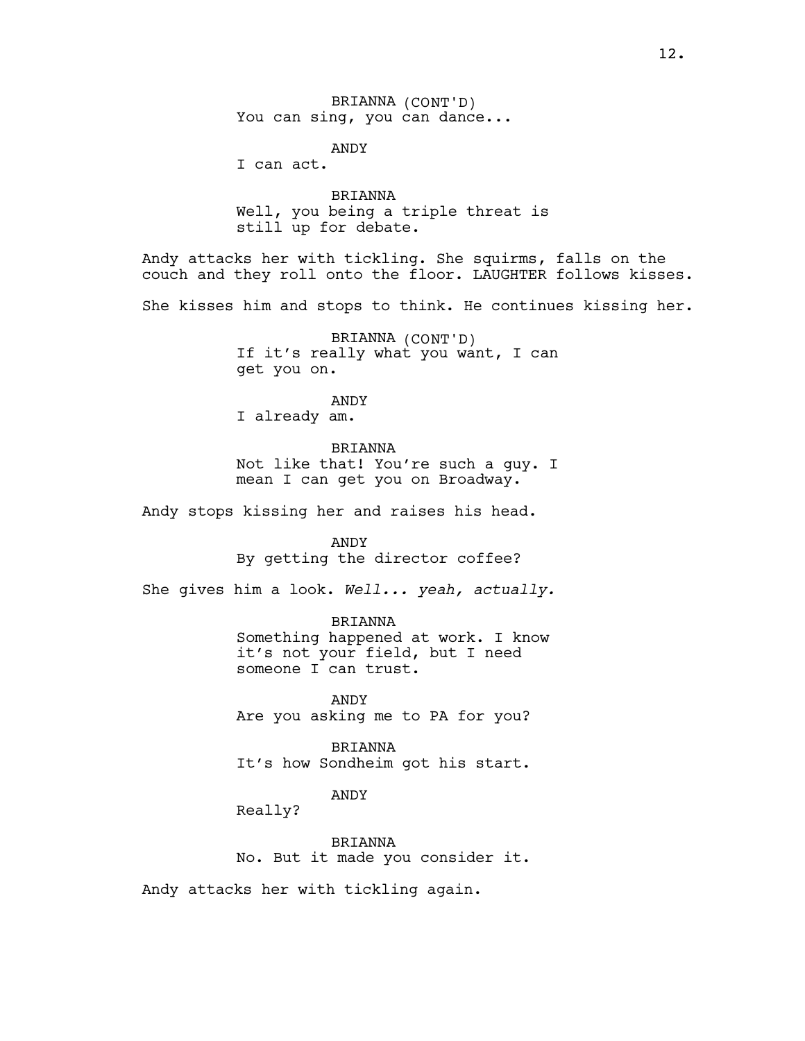BRIANNA (CONT'D) You can sing, you can dance...

ANDY

I can act.

BRIANNA Well, you being a triple threat is still up for debate.

Andy attacks her with tickling. She squirms, falls on the couch and they roll onto the floor. LAUGHTER follows kisses.

She kisses him and stops to think. He continues kissing her.

BRIANNA (CONT'D) If it's really what you want, I can get you on.

ANDY I already am.

BRIANNA Not like that! You're such a guy. I mean I can get you on Broadway.

Andy stops kissing her and raises his head.

ANDY By getting the director coffee?

She gives him a look. Well... yeah, actually.

BRIANNA

Something happened at work. I know it's not your field, but I need someone I can trust.

ANDY Are you asking me to PA for you?

BRIANNA It's how Sondheim got his start.

ANDY

Really?

BRIANNA No. But it made you consider it.

Andy attacks her with tickling again.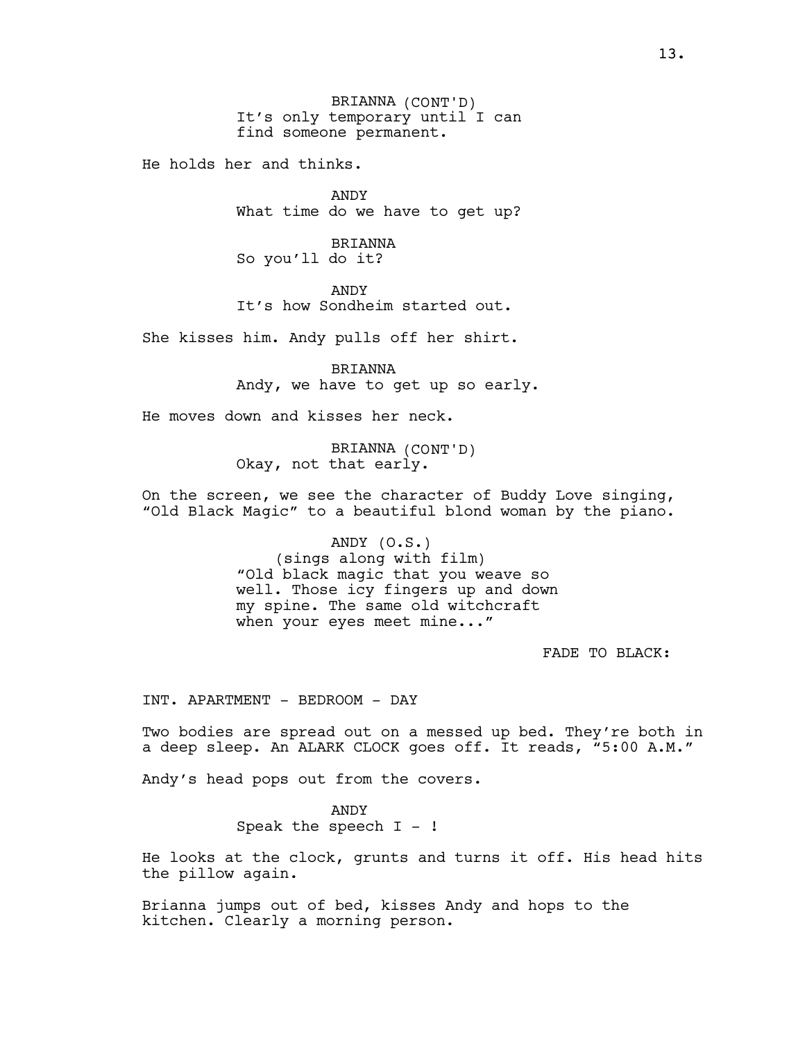BRIANNA (CONT'D) It's only temporary until I can find someone permanent.

He holds her and thinks.

ANDY What time do we have to get up?

BRIANNA So you'll do it?

ANDY It's how Sondheim started out.

She kisses him. Andy pulls off her shirt.

BRIANNA Andy, we have to get up so early.

He moves down and kisses her neck.

BRIANNA (CONT'D) Okay, not that early.

On the screen, we see the character of Buddy Love singing, "Old Black Magic" to a beautiful blond woman by the piano.

> ANDY (O.S.) (sings along with film) "Old black magic that you weave so well. Those icy fingers up and down my spine. The same old witchcraft when your eyes meet mine..."

> > FADE TO BLACK:

INT. APARTMENT - BEDROOM – DAY

Two bodies are spread out on a messed up bed. They're both in a deep sleep. An ALARK CLOCK goes off. It reads, "5:00 A.M."

Andy's head pops out from the covers.

ANDY

Speak the speech  $I - I$ 

He looks at the clock, grunts and turns it off. His head hits the pillow again.

Brianna jumps out of bed, kisses Andy and hops to the kitchen. Clearly a morning person.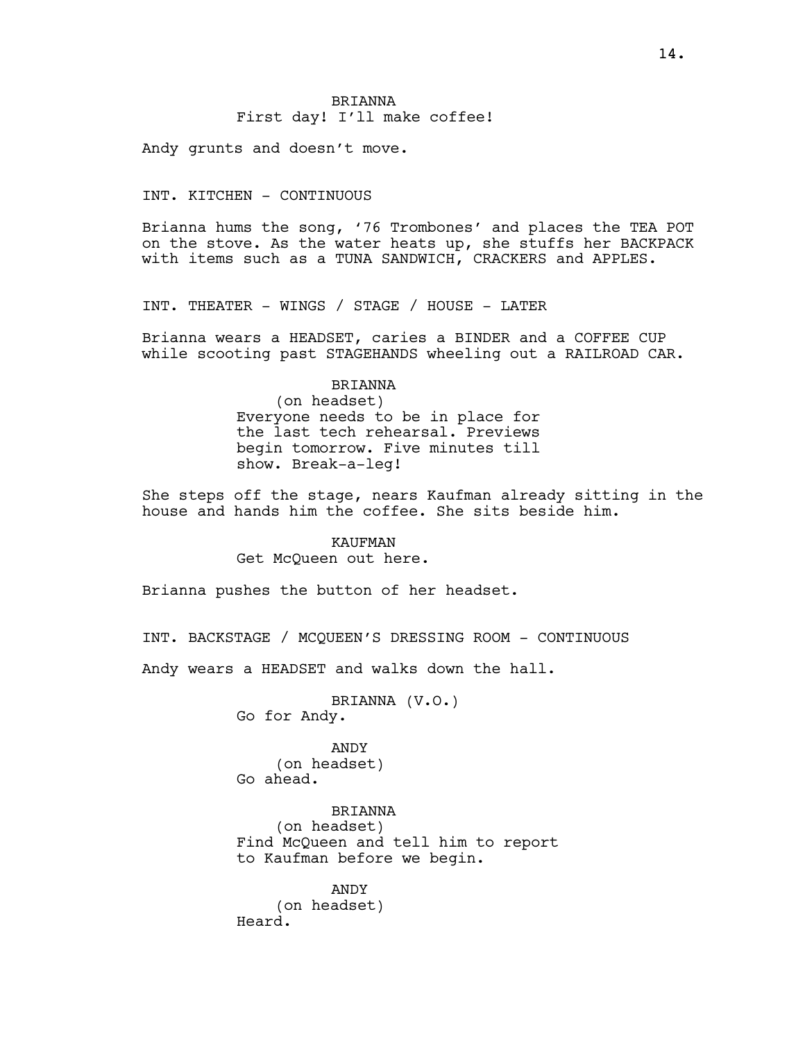BRIANNA First day! I'll make coffee!

Andy grunts and doesn't move.

INT. KITCHEN - CONTINUOUS

Brianna hums the song, '76 Trombones' and places the TEA POT on the stove. As the water heats up, she stuffs her BACKPACK with items such as a TUNA SANDWICH, CRACKERS and APPLES.

INT. THEATER - WINGS / STAGE / HOUSE - LATER

Brianna wears a HEADSET, caries a BINDER and a COFFEE CUP while scooting past STAGEHANDS wheeling out a RAILROAD CAR.

BRIANNA

(on headset) Everyone needs to be in place for the last tech rehearsal. Previews begin tomorrow. Five minutes till show. Break-a-leg!

She steps off the stage, nears Kaufman already sitting in the house and hands him the coffee. She sits beside him.

> KAUFMAN Get McQueen out here.

Brianna pushes the button of her headset.

INT. BACKSTAGE / MCQUEEN'S DRESSING ROOM - CONTINUOUS

Andy wears a HEADSET and walks down the hall.

BRIANNA (V.O.) Go for Andy.

ANDY (on headset) Go ahead.

BRIANNA (on headset) Find McQueen and tell him to report to Kaufman before we begin.

ANDY (on headset) Heard.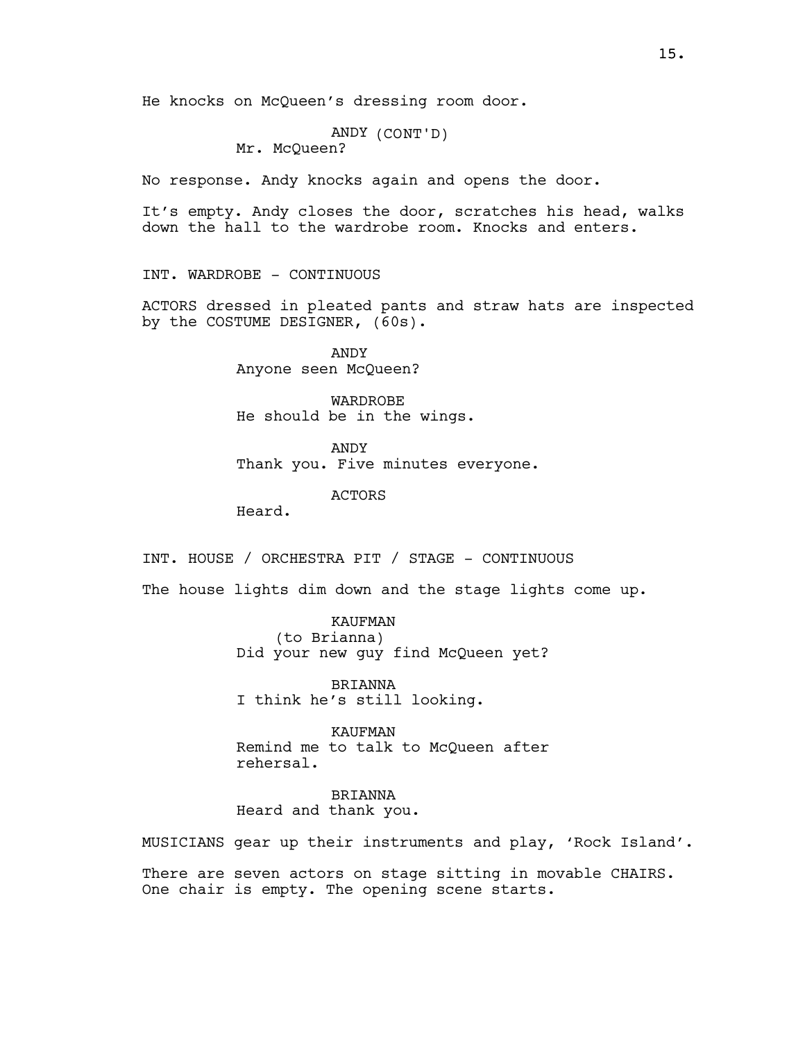He knocks on McQueen's dressing room door.

ANDY (CONT'D) Mr. McQueen?

No response. Andy knocks again and opens the door.

It's empty. Andy closes the door, scratches his head, walks down the hall to the wardrobe room. Knocks and enters.

INT. WARDROBE - CONTINUOUS

ACTORS dressed in pleated pants and straw hats are inspected by the COSTUME DESIGNER, (60s).

> ANDY Anyone seen McQueen?

WARDROBE He should be in the wings.

ANDY

Thank you. Five minutes everyone.

ACTORS

Heard.

INT. HOUSE / ORCHESTRA PIT / STAGE - CONTINUOUS

The house lights dim down and the stage lights come up.

KAUFMAN (to Brianna) Did your new guy find McQueen yet?

BRIANNA I think he's still looking.

KAUFMAN Remind me to talk to McQueen after rehersal.

BRIANNA Heard and thank you.

MUSICIANS gear up their instruments and play, 'Rock Island'. There are seven actors on stage sitting in movable CHAIRS. One chair is empty. The opening scene starts.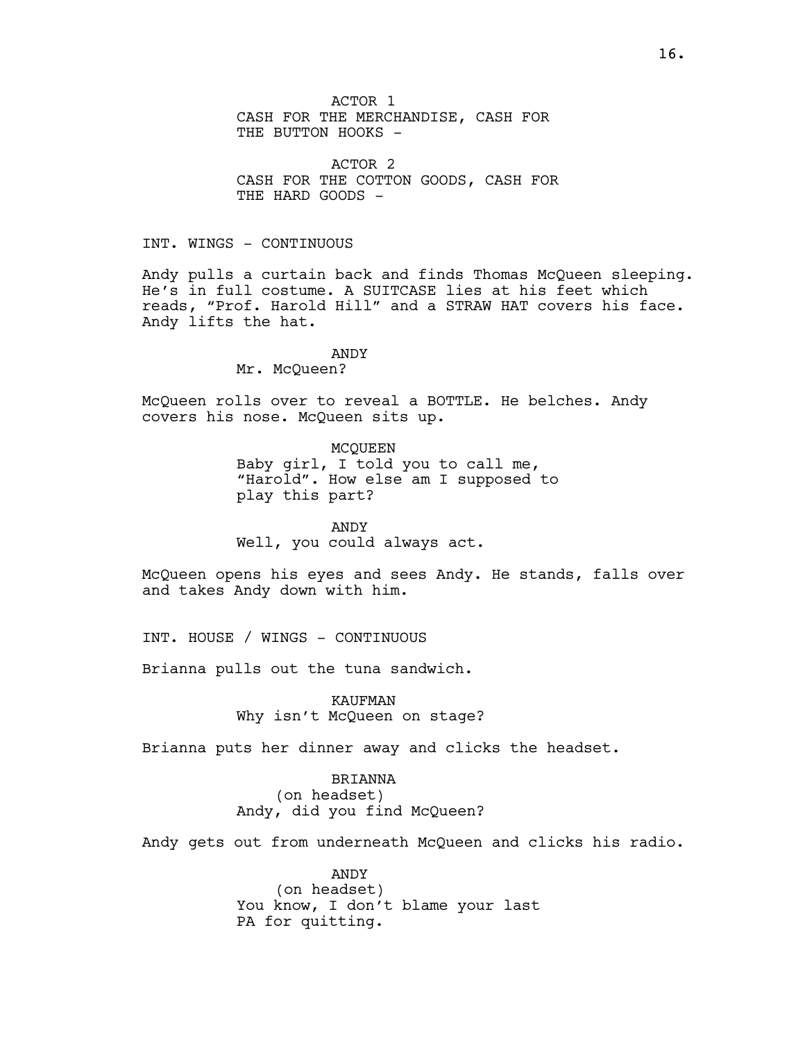ACTOR 2 CASH FOR THE COTTON GOODS, CASH FOR THE HARD GOODS -

## INT. WINGS - CONTINUOUS

Andy pulls a curtain back and finds Thomas McQueen sleeping. He's in full costume. A SUITCASE lies at his feet which reads, "Prof. Harold Hill" and a STRAW HAT covers his face. Andy lifts the hat.

## ANDY

Mr. McOueen?

McQueen rolls over to reveal a BOTTLE. He belches. Andy covers his nose. McQueen sits up.

> MCQUEEN Baby girl, I told you to call me, "Harold". How else am I supposed to play this part?

ANDY Well, you could always act.

McQueen opens his eyes and sees Andy. He stands, falls over and takes Andy down with him.

INT. HOUSE / WINGS - CONTINUOUS

Brianna pulls out the tuna sandwich.

KAUFMAN Why isn't McQueen on stage?

Brianna puts her dinner away and clicks the headset.

BRIANNA (on headset) Andy, did you find McQueen?

Andy gets out from underneath McQueen and clicks his radio.

ANDY (on headset) You know, I don't blame your last PA for quitting.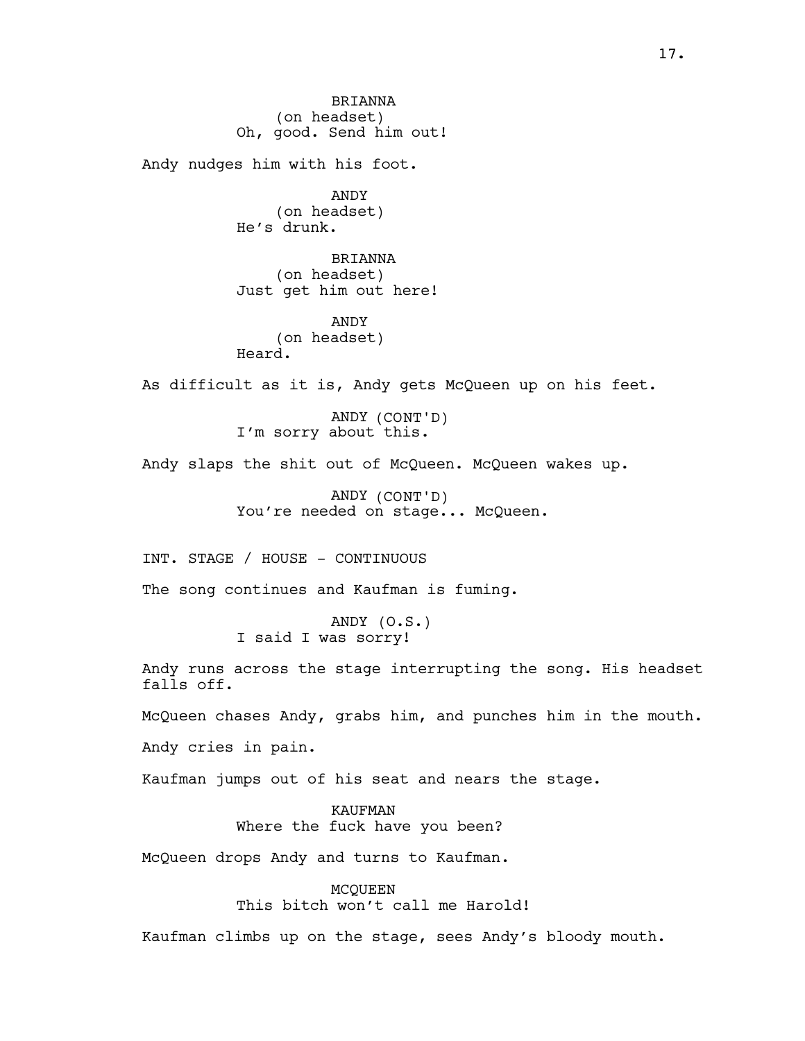BRIANNA (on headset) Oh, good. Send him out!

Andy nudges him with his foot.

ANDY (on headset) He's drunk.

BRIANNA (on headset) Just get him out here!

ANDY (on headset) Heard.

As difficult as it is, Andy gets McQueen up on his feet.

ANDY (CONT'D) I'm sorry about this.

Andy slaps the shit out of McQueen. McQueen wakes up.

ANDY (CONT'D) You're needed on stage... McQueen.

INT. STAGE / HOUSE - CONTINUOUS

The song continues and Kaufman is fuming.

ANDY (O.S.) I said I was sorry!

Andy runs across the stage interrupting the song. His headset falls off.

McQueen chases Andy, grabs him, and punches him in the mouth.

Andy cries in pain.

Kaufman jumps out of his seat and nears the stage.

KAUFMAN Where the fuck have you been?

McQueen drops Andy and turns to Kaufman.

MCQUEEN This bitch won't call me Harold!

Kaufman climbs up on the stage, sees Andy's bloody mouth.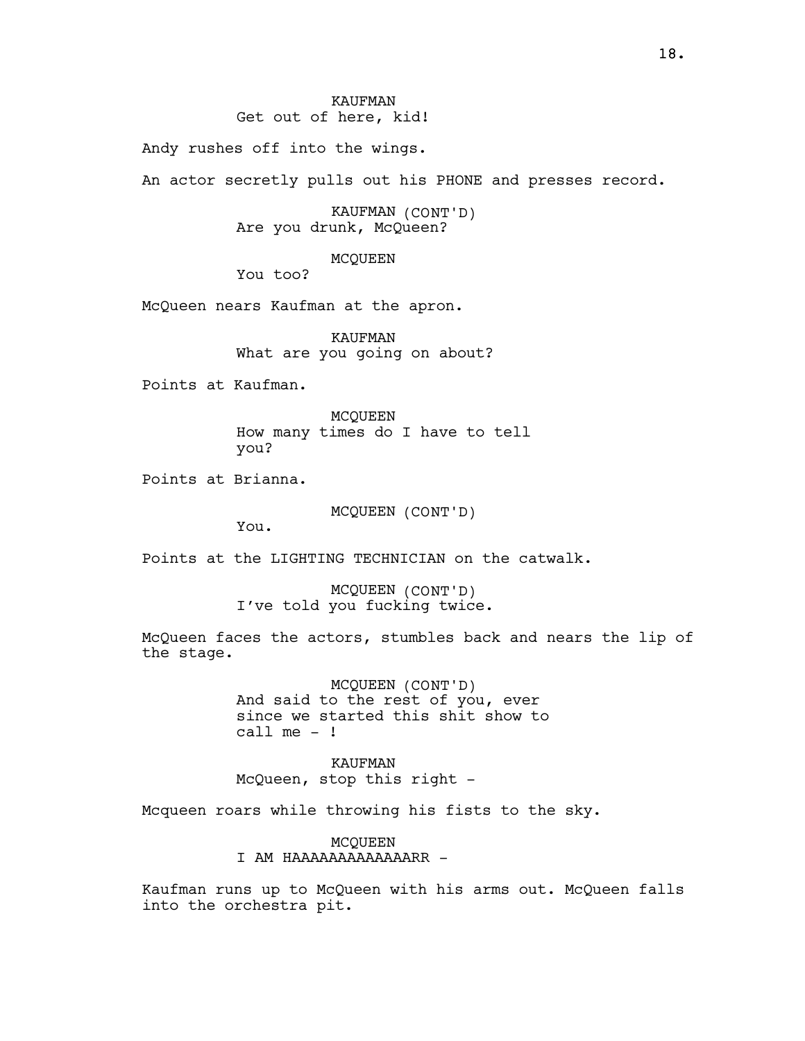Andy rushes off into the wings.

An actor secretly pulls out his PHONE and presses record.

KAUFMAN (CONT'D) Are you drunk, McQueen?

MCQUEEN

You too?

McQueen nears Kaufman at the apron.

KAUFMAN What are you going on about?

Points at Kaufman.

MCQUEEN How many times do I have to tell you?

Points at Brianna.

MCQUEEN (CONT'D)

You.

Points at the LIGHTING TECHNICIAN on the catwalk.

MCQUEEN (CONT'D) I've told you fucking twice.

McQueen faces the actors, stumbles back and nears the lip of the stage.

> MCQUEEN (CONT'D) And said to the rest of you, ever since we started this shit show to call me - !

KAUFMAN McQueen, stop this right -

Mcqueen roars while throwing his fists to the sky.

MCQUEEN I AM HAAAAAAAAAAAAARR -

Kaufman runs up to McQueen with his arms out. McQueen falls into the orchestra pit.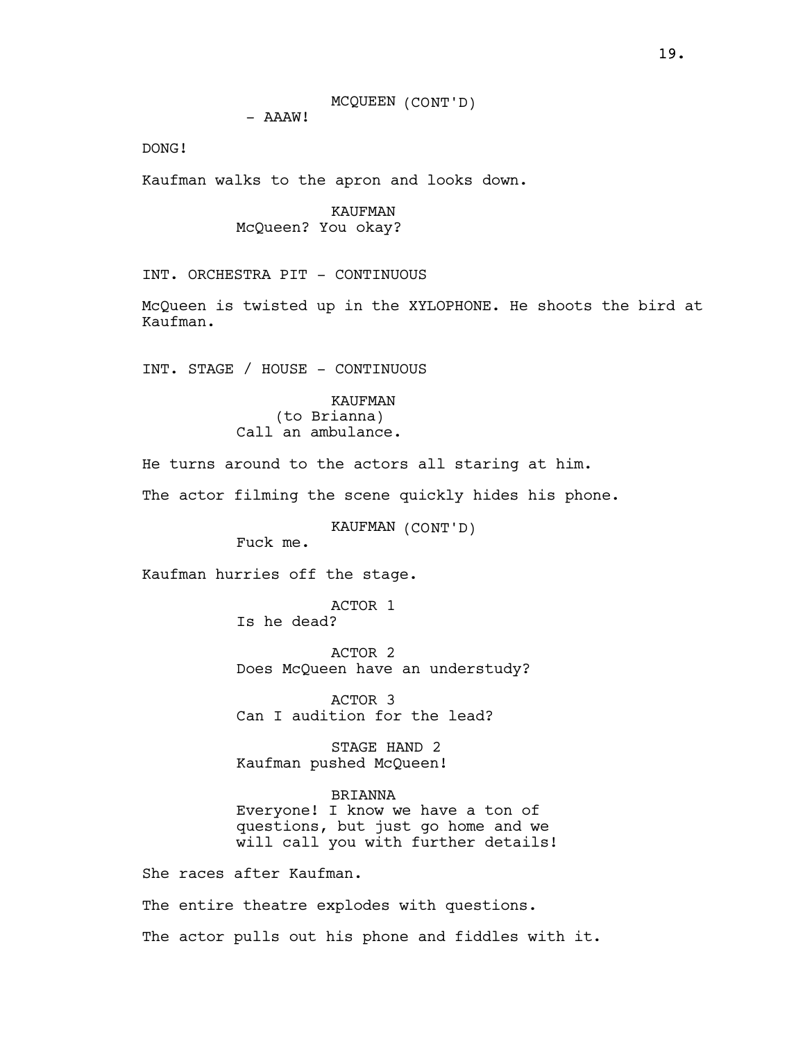- AAAW!

DONG!

Kaufman walks to the apron and looks down.

KAUFMAN McQueen? You okay?

INT. ORCHESTRA PIT - CONTINUOUS

McQueen is twisted up in the XYLOPHONE. He shoots the bird at Kaufman.

INT. STAGE / HOUSE - CONTINUOUS

KAUFMAN (to Brianna) Call an ambulance.

He turns around to the actors all staring at him.

The actor filming the scene quickly hides his phone.

KAUFMAN (CONT'D)

Fuck me.

Kaufman hurries off the stage.

ACTOR 1 Is he dead?

ACTOR 2 Does McQueen have an understudy?

ACTOR 3 Can I audition for the lead?

STAGE HAND 2 Kaufman pushed McQueen!

BRIANNA Everyone! I know we have a ton of questions, but just go home and we

will call you with further details!

She races after Kaufman.

The entire theatre explodes with questions. The actor pulls out his phone and fiddles with it.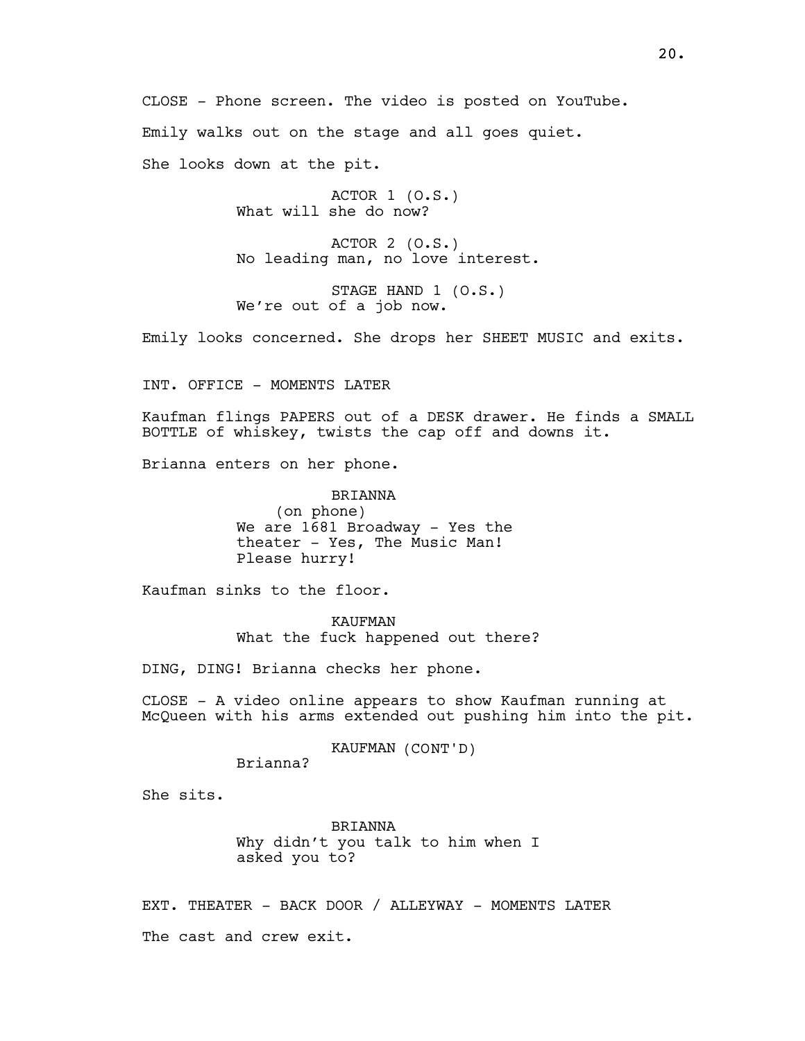CLOSE - Phone screen. The video is posted on YouTube. Emily walks out on the stage and all goes quiet. She looks down at the pit.

> ACTOR 1 (O.S.) What will she do now?

ACTOR 2 (O.S.) No leading man, no love interest.

STAGE HAND 1 (O.S.) We're out of a job now.

Emily looks concerned. She drops her SHEET MUSIC and exits.

INT. OFFICE - MOMENTS LATER

Kaufman flings PAPERS out of a DESK drawer. He finds a SMALL BOTTLE of whiskey, twists the cap off and downs it.

Brianna enters on her phone.

BRIANNA (on phone) We are 1681 Broadway - Yes the theater - Yes, The Music Man! Please hurry!

Kaufman sinks to the floor.

KAUFMAN What the fuck happened out there?

DING, DING! Brianna checks her phone.

CLOSE - A video online appears to show Kaufman running at McQueen with his arms extended out pushing him into the pit.

KAUFMAN (CONT'D)

Brianna?

She sits.

BRIANNA Why didn't you talk to him when I asked you to?

EXT. THEATER - BACK DOOR / ALLEYWAY - MOMENTS LATER The cast and crew exit.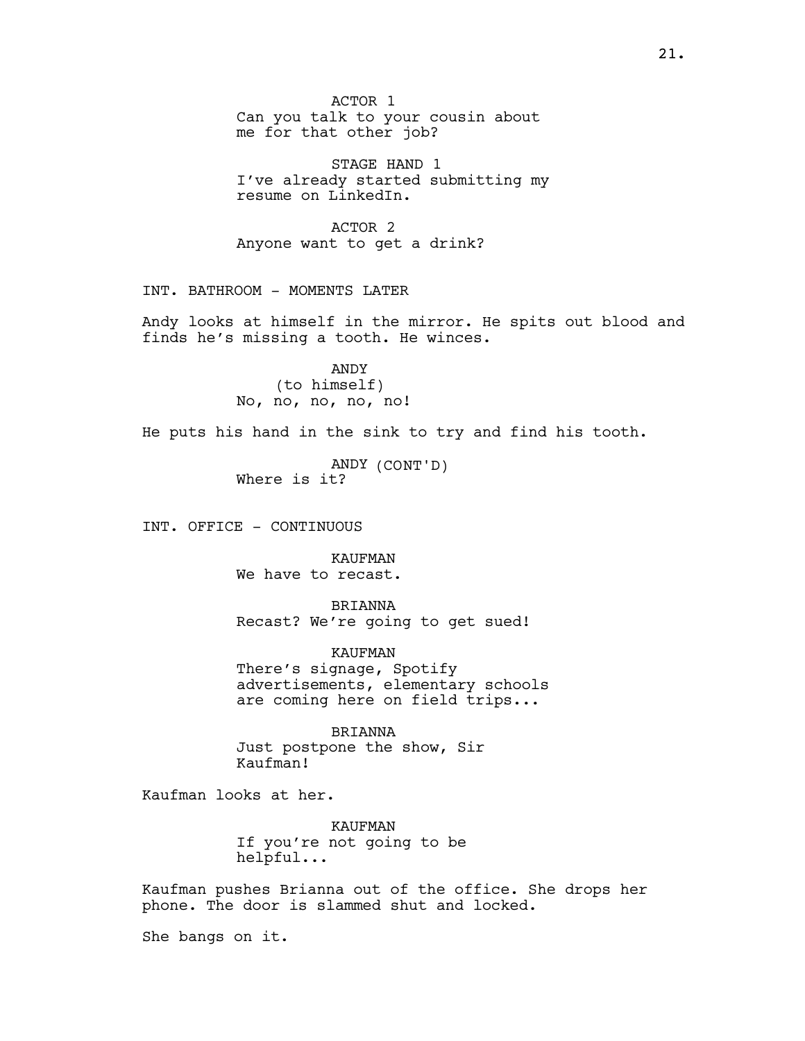ACTOR 1 Can you talk to your cousin about me for that other job?

STAGE HAND 1 I've already started submitting my resume on LinkedIn.

ACTOR 2 Anyone want to get a drink?

INT. BATHROOM - MOMENTS LATER

Andy looks at himself in the mirror. He spits out blood and finds he's missing a tooth. He winces.

> ANDY (to himself) No, no, no, no, no!

He puts his hand in the sink to try and find his tooth.

ANDY (CONT'D) Where is it?

INT. OFFICE - CONTINUOUS

KAUFMAN We have to recast.

BRIANNA Recast? We're going to get sued!

KAUFMAN There's signage, Spotify advertisements, elementary schools are coming here on field trips...

BRIANNA Just postpone the show, Sir Kaufman!

Kaufman looks at her.

KAUFMAN If you're not going to be helpful...

Kaufman pushes Brianna out of the office. She drops her phone. The door is slammed shut and locked.

She bangs on it.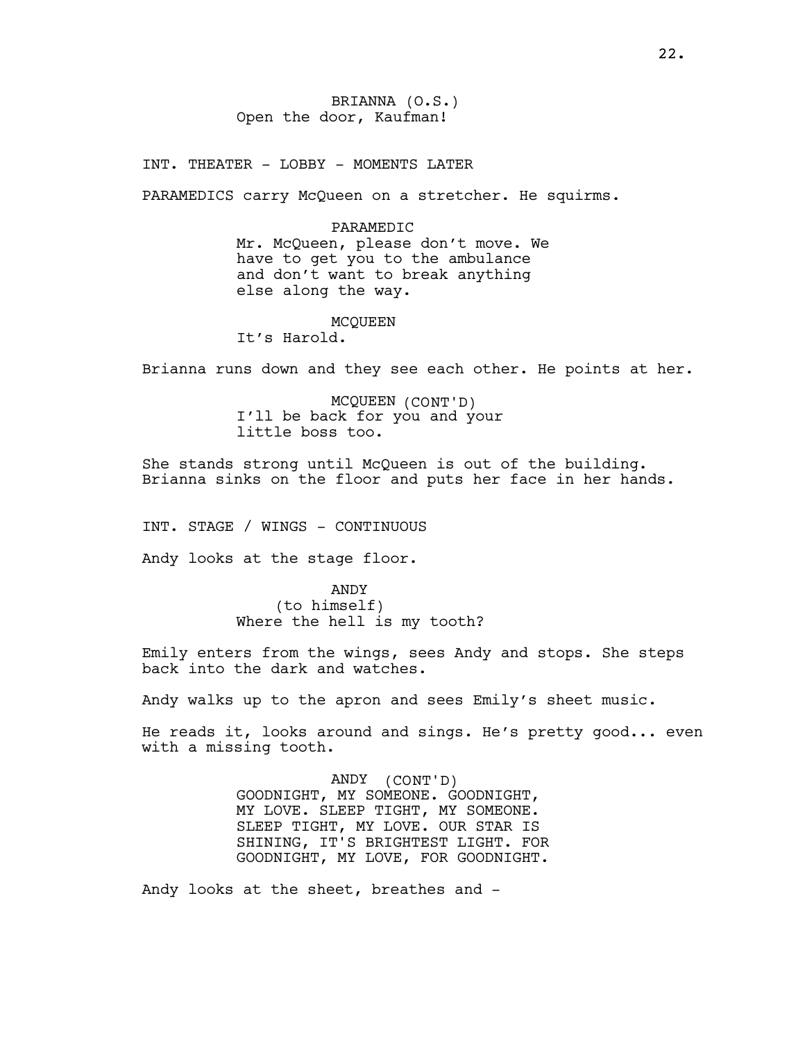BRIANNA (O.S.) Open the door, Kaufman!

INT. THEATER - LOBBY - MOMENTS LATER

PARAMEDICS carry McQueen on a stretcher. He squirms.

### PARAMEDIC

Mr. McQueen, please don't move. We have to get you to the ambulance and don't want to break anything else along the way.

#### MCQUEEN

It's Harold.

Brianna runs down and they see each other. He points at her.

MCQUEEN (CONT'D) I'll be back for you and your little boss too.

She stands strong until McQueen is out of the building. Brianna sinks on the floor and puts her face in her hands.

INT. STAGE / WINGS - CONTINUOUS

Andy looks at the stage floor.

ANDY (to himself) Where the hell is my tooth?

Emily enters from the wings, sees Andy and stops. She steps back into the dark and watches.

Andy walks up to the apron and sees Emily's sheet music.

He reads it, looks around and sings. He's pretty good... even with a missing tooth.

> ANDY (CONT'D) GOODNIGHT, MY SOMEONE. GOODNIGHT, MY LOVE. SLEEP TIGHT, MY SOMEONE. SLEEP TIGHT, MY LOVE. OUR STAR IS SHINING, IT'S BRIGHTEST LIGHT. FOR GOODNIGHT, MY LOVE, FOR GOODNIGHT.

Andy looks at the sheet, breathes and -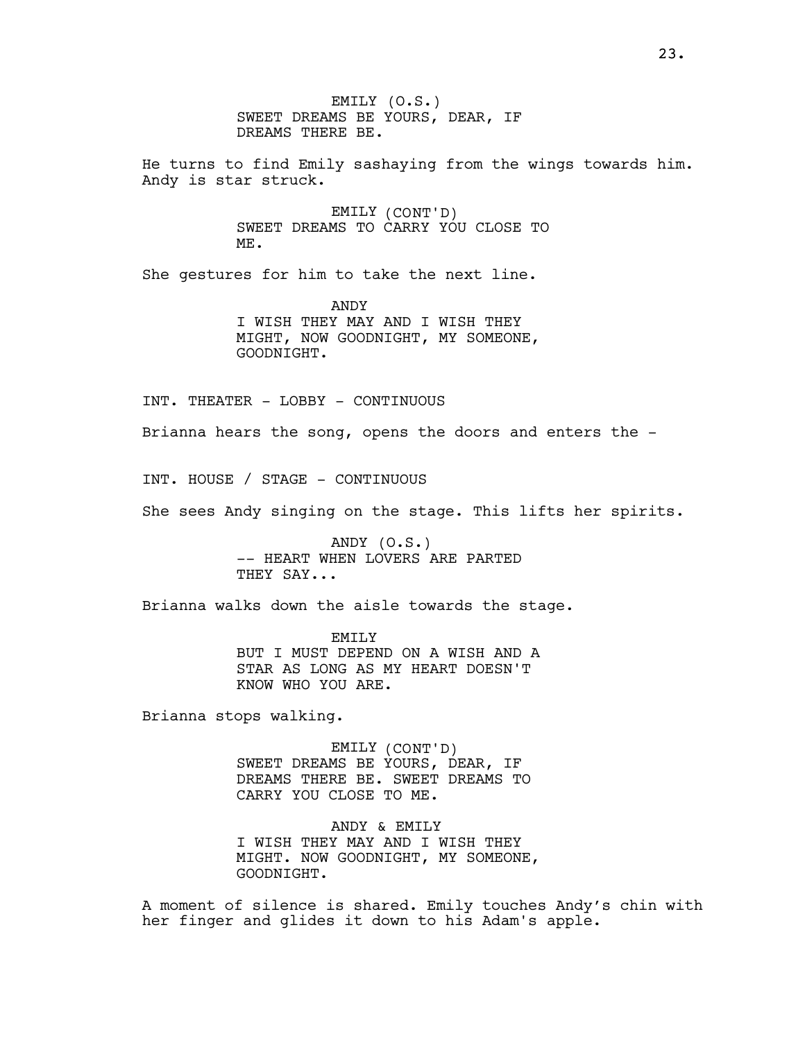EMILY (O.S.) SWEET DREAMS BE YOURS, DEAR, IF DREAMS THERE BE.

He turns to find Emily sashaying from the wings towards him. Andy is star struck.

> EMILY (CONT'D) SWEET DREAMS TO CARRY YOU CLOSE TO ME.

She gestures for him to take the next line.

ANDY I WISH THEY MAY AND I WISH THEY MIGHT, NOW GOODNIGHT, MY SOMEONE, GOODNIGHT.

INT. THEATER - LOBBY - CONTINUOUS

Brianna hears the song, opens the doors and enters the -

INT. HOUSE / STAGE - CONTINUOUS

She sees Andy singing on the stage. This lifts her spirits.

ANDY (O.S.) -- HEART WHEN LOVERS ARE PARTED THEY SAY...

Brianna walks down the aisle towards the stage.

EMILY BUT I MUST DEPEND ON A WISH AND A STAR AS LONG AS MY HEART DOESN'T KNOW WHO YOU ARE.

Brianna stops walking.

EMILY (CONT'D) SWEET DREAMS BE YOURS, DEAR, IF DREAMS THERE BE. SWEET DREAMS TO CARRY YOU CLOSE TO ME.

ANDY & EMILY I WISH THEY MAY AND I WISH THEY MIGHT. NOW GOODNIGHT, MY SOMEONE, GOODNIGHT.

A moment of silence is shared. Emily touches Andy's chin with her finger and glides it down to his Adam's apple.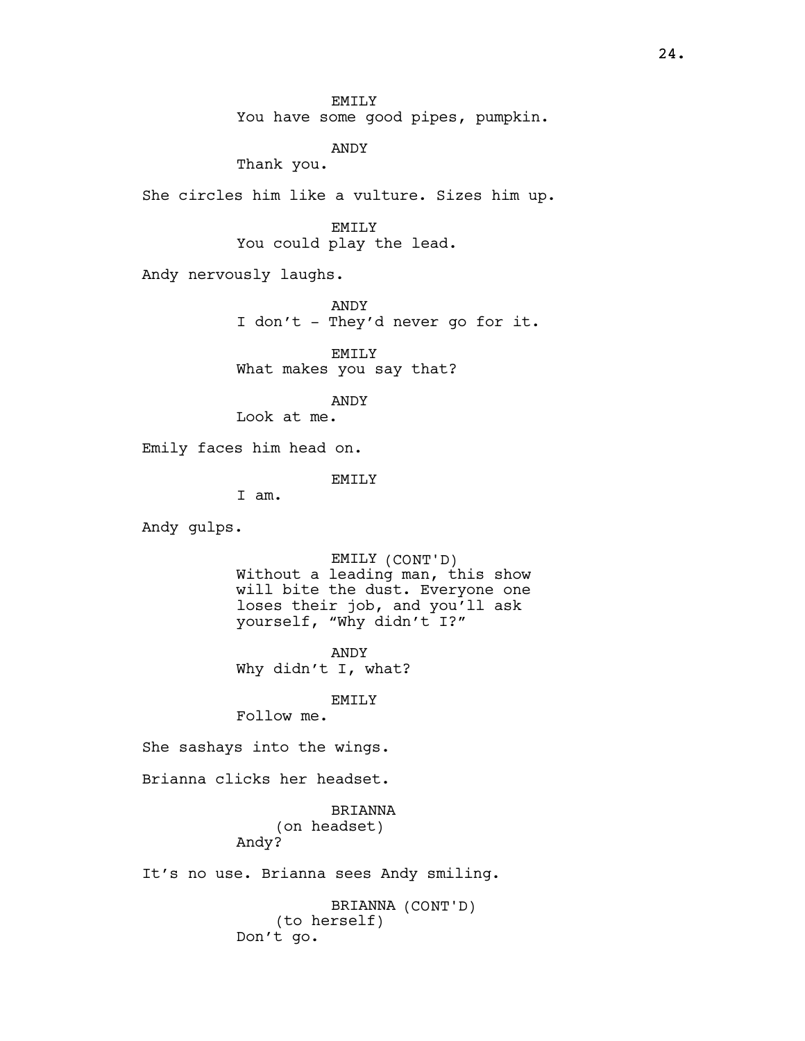EMILY You have some good pipes, pumpkin.

ANDY

Thank you.

She circles him like a vulture. Sizes him up.

EMTT<sub>.</sub>Y

You could play the lead.

Andy nervously laughs.

ANDY I don't - They'd never go for it.

EMILY What makes you say that?

ANDY

Look at me.

Emily faces him head on.

EMILY

I am.

Andy gulps.

EMILY (CONT'D) Without a leading man, this show will bite the dust. Everyone one loses their job, and you'll ask yourself, "Why didn't I?"

ANDY Why didn't I, what?

## EMILY

Follow me.

She sashays into the wings.

Brianna clicks her headset.

BRIANNA (on headset) Andy?

It's no use. Brianna sees Andy smiling.

BRIANNA (CONT'D) (to herself) Don't go.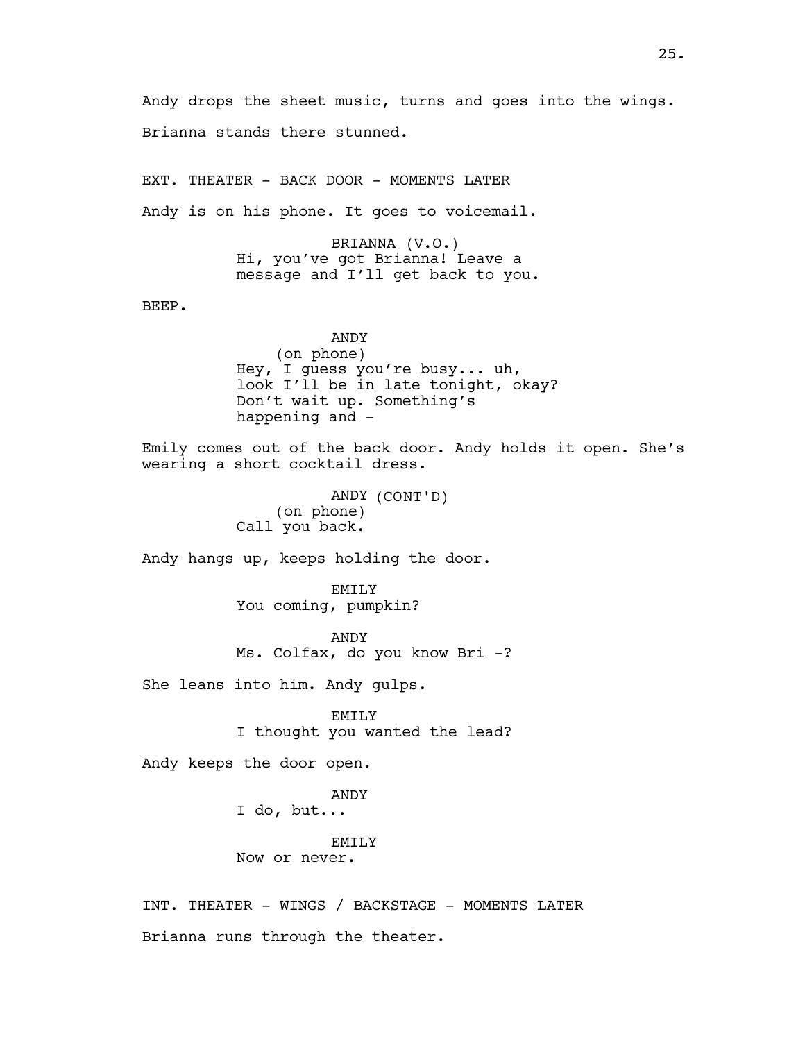Andy drops the sheet music, turns and goes into the wings. Brianna stands there stunned.

EXT. THEATER - BACK DOOR - MOMENTS LATER Andy is on his phone. It goes to voicemail.

> BRIANNA (V.O.) Hi, you've got Brianna! Leave a message and I'll get back to you.

BEEP.

ANDY (on phone) Hey, I guess you're busy... uh, look I'll be in late tonight, okay? Don't wait up. Something's happening and  $-$ 

Emily comes out of the back door. Andy holds it open. She's wearing a short cocktail dress.

```
ANDY (CONT'D)
    (on phone)
Call you back.
```
Andy hangs up, keeps holding the door.

EMILY You coming, pumpkin?

ANDY Ms. Colfax, do you know Bri -?

She leans into him. Andy gulps.

EMILY I thought you wanted the lead?

Andy keeps the door open.

ANDY

I do, but...

EMILY Now or never.

INT. THEATER - WINGS / BACKSTAGE - MOMENTS LATER Brianna runs through the theater.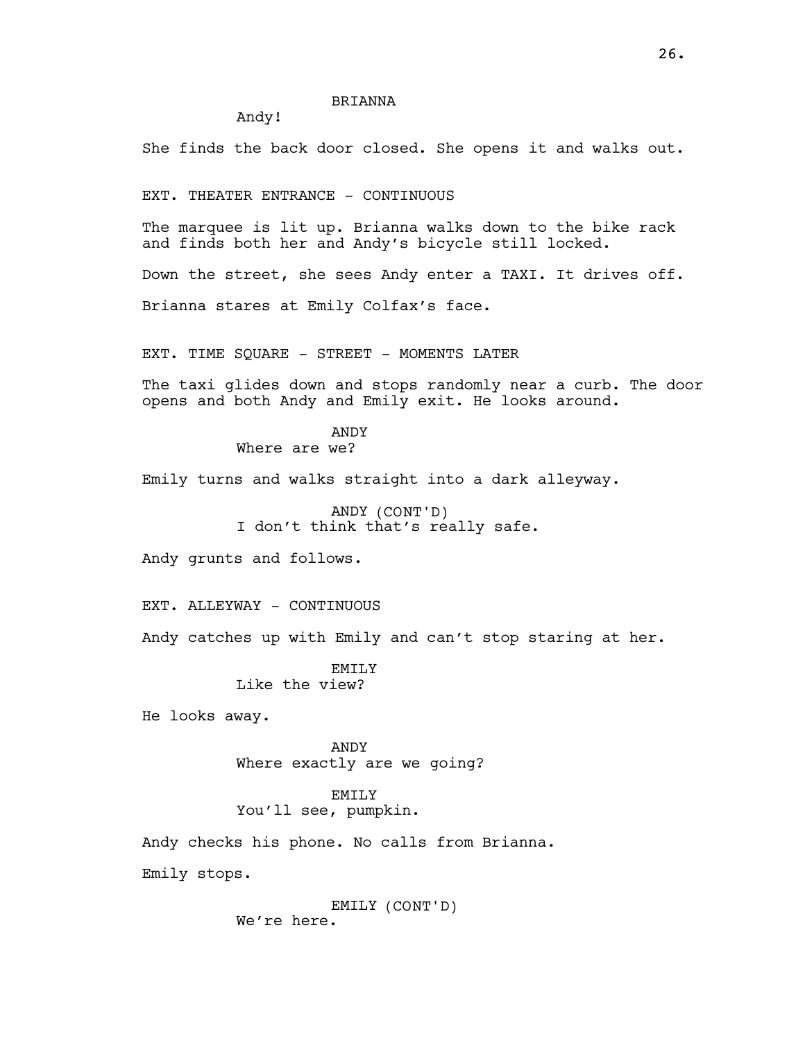## BRIANNA

Andy!

She finds the back door closed. She opens it and walks out.

EXT. THEATER ENTRANCE - CONTINUOUS

The marquee is lit up. Brianna walks down to the bike rack and finds both her and Andy's bicycle still locked.

Down the street, she sees Andy enter a TAXI. It drives off.

Brianna stares at Emily Colfax's face.

EXT. TIME SQUARE - STREET - MOMENTS LATER

The taxi glides down and stops randomly near a curb. The door opens and both Andy and Emily exit. He looks around.

> ANDY Where are we?

Emily turns and walks straight into a dark alleyway.

ANDY (CONT'D) I don't think that's really safe.

Andy grunts and follows.

EXT. ALLEYWAY - CONTINUOUS

Andy catches up with Emily and can't stop staring at her.

**EMTLY** Like the view?

He looks away.

ANDY Where exactly are we going?

## EMILY

# You'll see, pumpkin.

Andy checks his phone. No calls from Brianna.

Emily stops.

EMILY (CONT'D) We're here.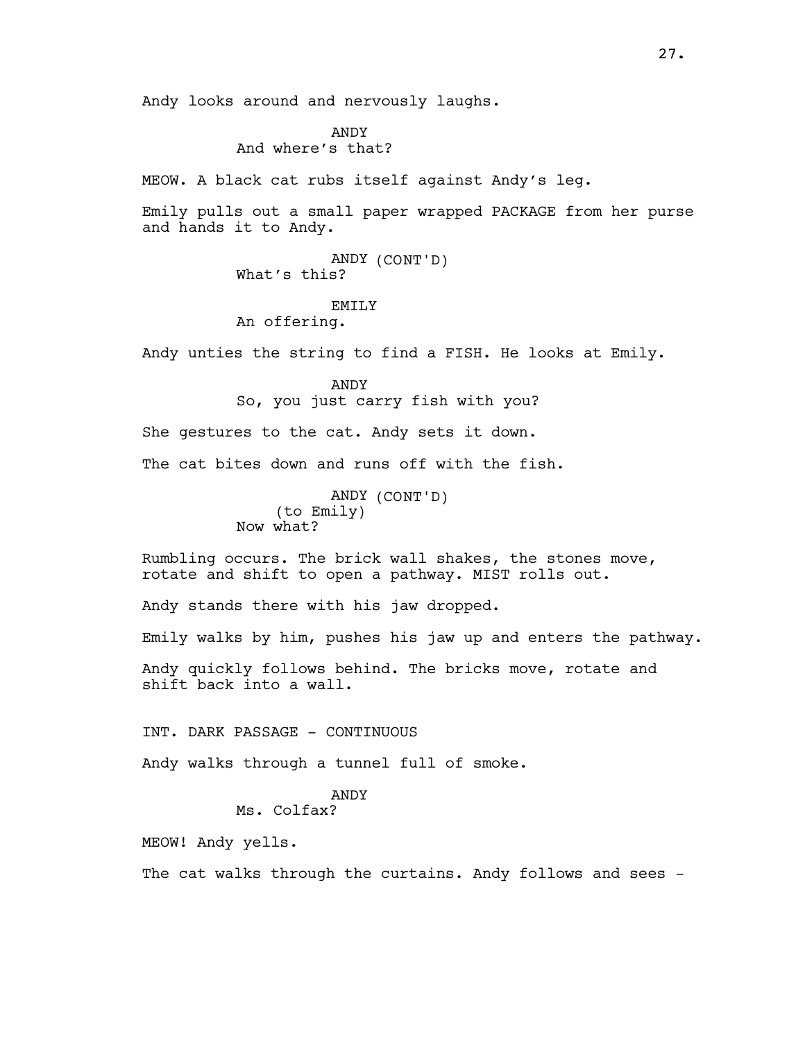Andy looks around and nervously laughs.

ANDY And where's that?

MEOW. A black cat rubs itself against Andy's leg.

Emily pulls out a small paper wrapped PACKAGE from her purse and hands it to Andy.

> ANDY (CONT'D) What's this?

## EMILY

An offering.

Andy unties the string to find a FISH. He looks at Emily.

ANDY So, you just carry fish with you?

She gestures to the cat. Andy sets it down.

The cat bites down and runs off with the fish.

ANDY (CONT'D) (to Emily) Now what?

Rumbling occurs. The brick wall shakes, the stones move, rotate and shift to open a pathway. MIST rolls out.

Andy stands there with his jaw dropped.

Emily walks by him, pushes his jaw up and enters the pathway.

Andy quickly follows behind. The bricks move, rotate and shift back into a wall.

INT. DARK PASSAGE - CONTINUOUS

Andy walks through a tunnel full of smoke.

## ANDY

# Ms. Colfax?

MEOW! Andy yells.

The cat walks through the curtains. Andy follows and sees -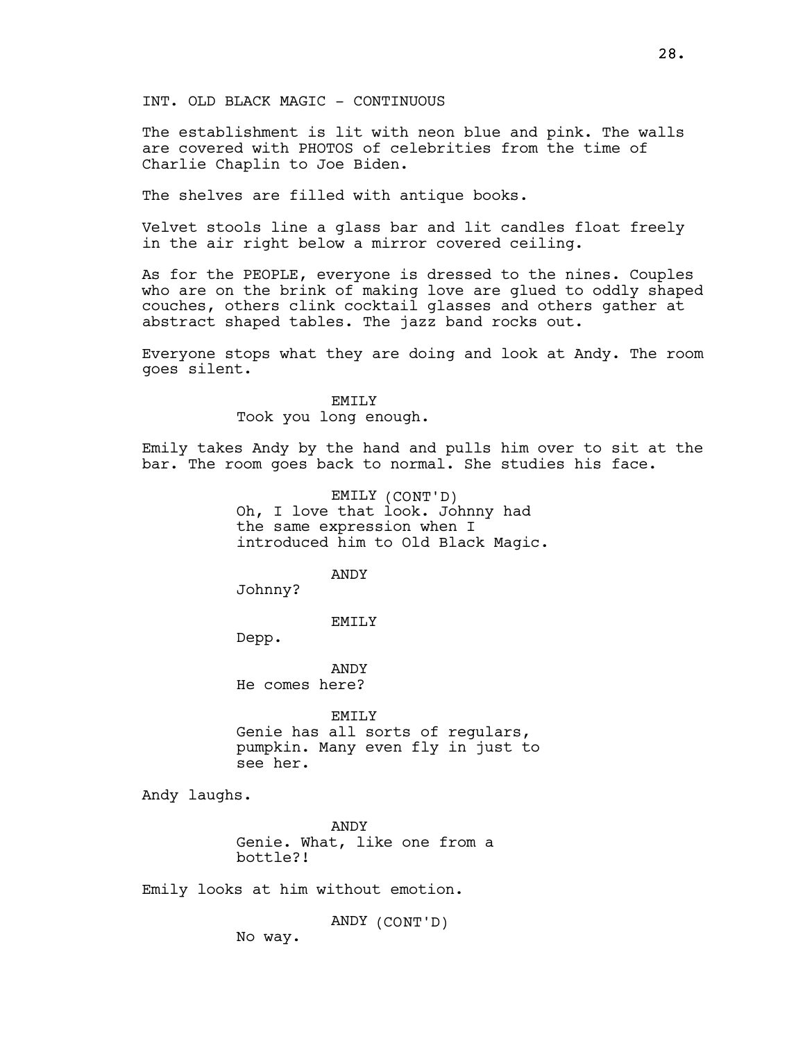INT. OLD BLACK MAGIC - CONTINUOUS

The establishment is lit with neon blue and pink. The walls are covered with PHOTOS of celebrities from the time of Charlie Chaplin to Joe Biden.

The shelves are filled with antique books.

Velvet stools line a glass bar and lit candles float freely in the air right below a mirror covered ceiling.

As for the PEOPLE, everyone is dressed to the nines. Couples who are on the brink of making love are glued to oddly shaped couches, others clink cocktail glasses and others gather at abstract shaped tables. The jazz band rocks out.

Everyone stops what they are doing and look at Andy. The room goes silent.

### EMTT<sub>.</sub>Y

Took you long enough.

Emily takes Andy by the hand and pulls him over to sit at the bar. The room goes back to normal. She studies his face.

> EMILY (CONT'D) Oh, I love that look. Johnny had the same expression when I introduced him to Old Black Magic.

> > ANDY

Johnny?

EMILY

Depp.

ANDY He comes here?

EMILY Genie has all sorts of regulars, pumpkin. Many even fly in just to see her.

Andy laughs.

ANDY Genie. What, like one from a bottle?!

Emily looks at him without emotion.

ANDY (CONT'D)

No way.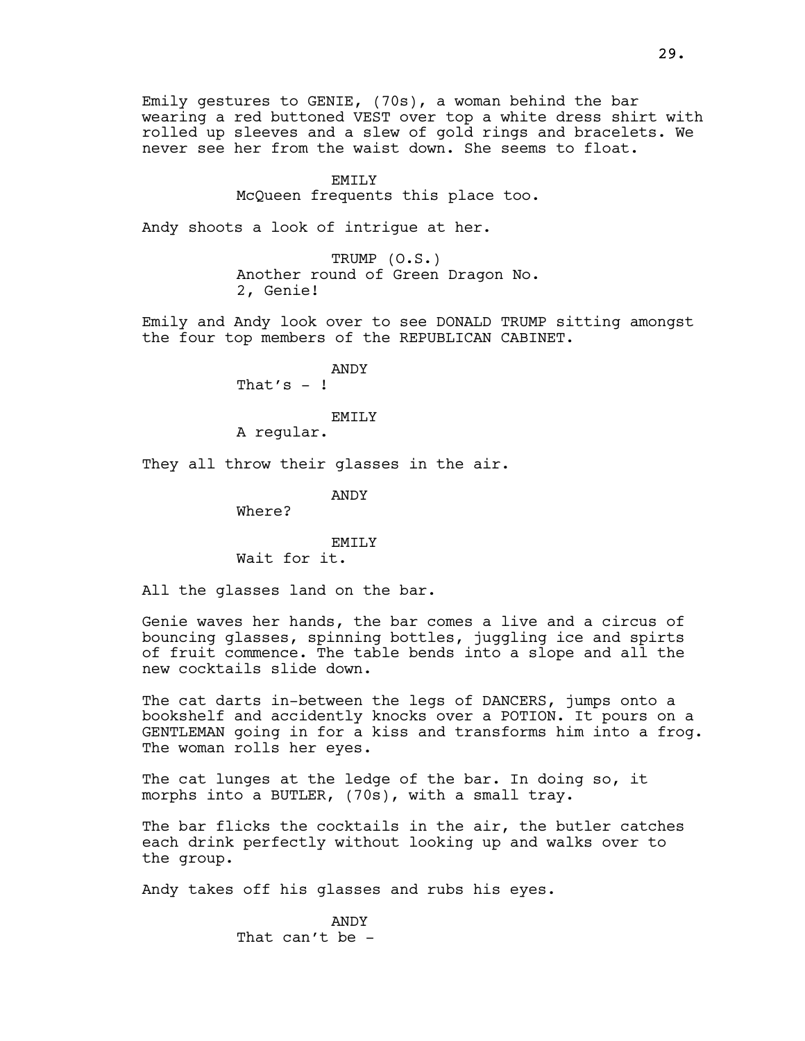Emily gestures to GENIE, (70s), a woman behind the bar wearing a red buttoned VEST over top a white dress shirt with rolled up sleeves and a slew of gold rings and bracelets. We never see her from the waist down. She seems to float.

```
EMTT<sub>.</sub>Y
```
McQueen frequents this place too.

Andy shoots a look of intrigue at her.

TRUMP (O.S.) Another round of Green Dragon No. 2, Genie!

Emily and Andy look over to see DONALD TRUMP sitting amongst the four top members of the REPUBLICAN CABINET.

> ANDY That's  $-!$

### EMILY

A regular.

They all throw their glasses in the air.

ANDY

Where?

# EMTT<sub>.</sub>Y Wait for it.

All the glasses land on the bar.

Genie waves her hands, the bar comes a live and a circus of bouncing glasses, spinning bottles, juggling ice and spirts of fruit commence. The table bends into a slope and all the new cocktails slide down.

The cat darts in-between the legs of DANCERS, jumps onto a bookshelf and accidently knocks over a POTION. It pours on a GENTLEMAN going in for a kiss and transforms him into a frog. The woman rolls her eyes.

The cat lunges at the ledge of the bar. In doing so, it morphs into a BUTLER, (70s), with a small tray.

The bar flicks the cocktails in the air, the butler catches each drink perfectly without looking up and walks over to the group.

Andy takes off his glasses and rubs his eyes.

ANDY That can't be -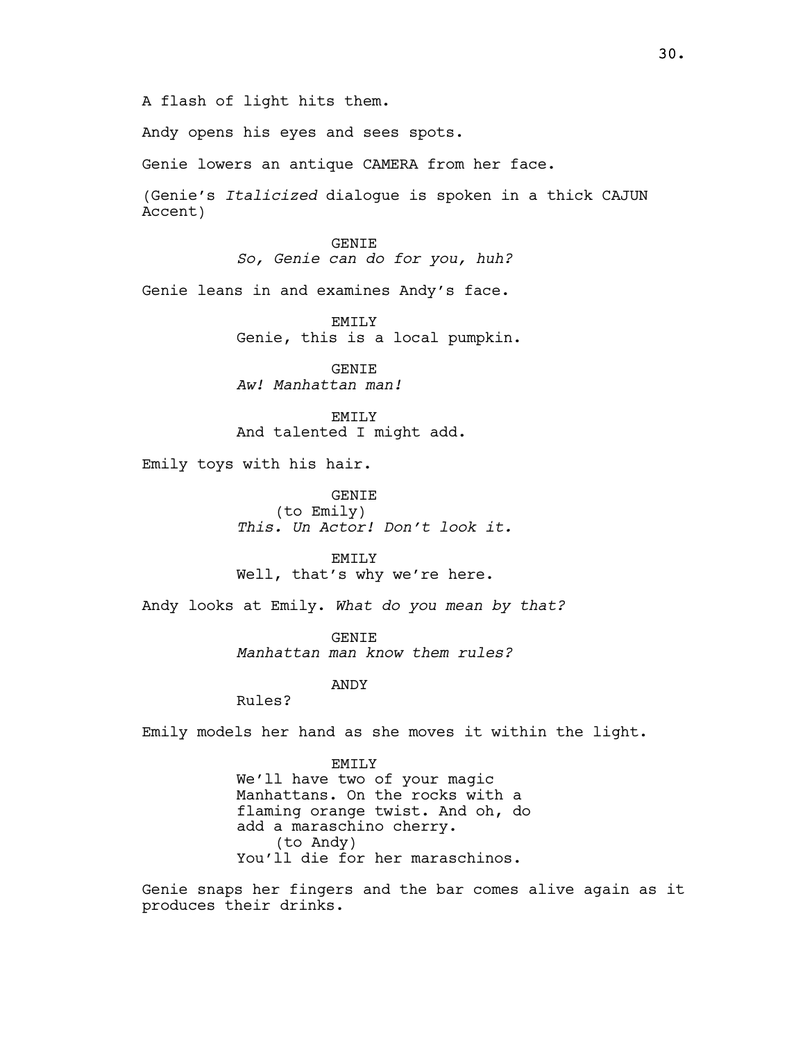A flash of light hits them.

Andy opens his eyes and sees spots.

Genie lowers an antique CAMERA from her face.

(Genie's Italicized dialogue is spoken in a thick CAJUN Accent)

> GENIE So, Genie can do for you, huh?

Genie leans in and examines Andy's face.

EMILY Genie, this is a local pumpkin.

GENIE Aw! Manhattan man!

EMILY And talented I might add.

Emily toys with his hair.

GENIE (to Emily) This. Un Actor! Don't look it.

EMILY Well, that's why we're here.

Andy looks at Emily. What do you mean by that?

GENIE Manhattan man know them rules?

ANDY

Rules?

Emily models her hand as she moves it within the light.

EMILY We'll have two of your magic Manhattans. On the rocks with a flaming orange twist. And oh, do add a maraschino cherry. (to Andy) You'll die for her maraschinos.

Genie snaps her fingers and the bar comes alive again as it produces their drinks.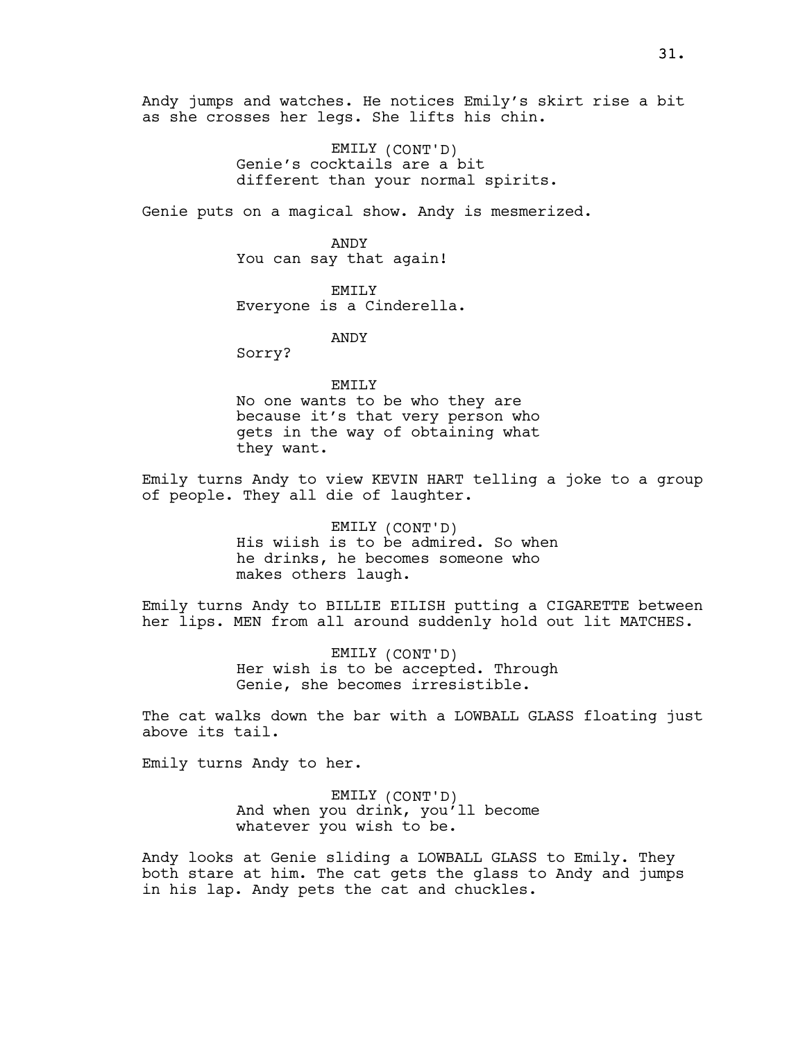Andy jumps and watches. He notices Emily's skirt rise a bit as she crosses her legs. She lifts his chin.

> EMILY (CONT'D) Genie's cocktails are a bit different than your normal spirits.

Genie puts on a magical show. Andy is mesmerized.

ANDY You can say that again!

EMILY Everyone is a Cinderella.

ANDY

Sorry?

EMILY

No one wants to be who they are because it's that very person who gets in the way of obtaining what they want.

Emily turns Andy to view KEVIN HART telling a joke to a group of people. They all die of laughter.

> EMILY (CONT'D) His wiish is to be admired. So when he drinks, he becomes someone who makes others laugh.

Emily turns Andy to BILLIE EILISH putting a CIGARETTE between her lips. MEN from all around suddenly hold out lit MATCHES.

> EMILY (CONT'D) Her wish is to be accepted. Through Genie, she becomes irresistible.

The cat walks down the bar with a LOWBALL GLASS floating just above its tail.

Emily turns Andy to her.

EMILY (CONT'D) And when you drink, you'll become whatever you wish to be.

Andy looks at Genie sliding a LOWBALL GLASS to Emily. They both stare at him. The cat gets the glass to Andy and jumps in his lap. Andy pets the cat and chuckles.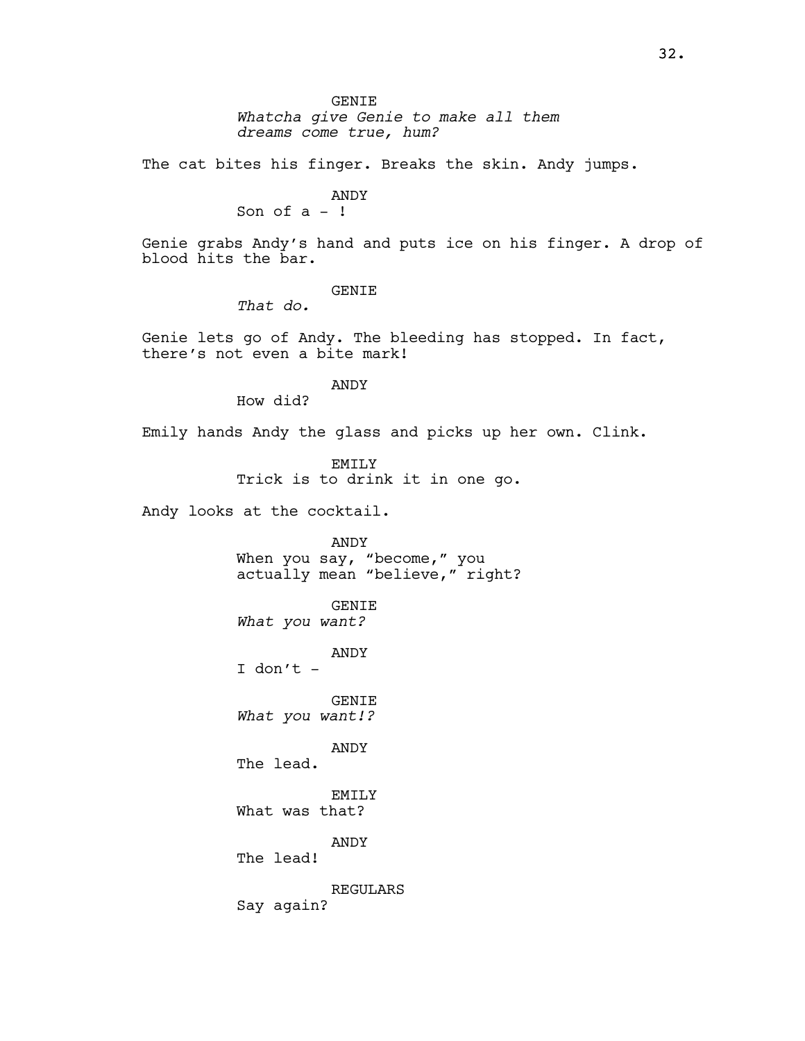GENIE Whatcha give Genie to make all them dreams come true, hum?

The cat bites his finger. Breaks the skin. Andy jumps.

ANDY

Son of  $a - 1$ 

Genie grabs Andy's hand and puts ice on his finger. A drop of blood hits the bar.

# GENIE

That do.

Genie lets go of Andy. The bleeding has stopped. In fact, there's not even a bite mark!

ANDY

How did?

Emily hands Andy the glass and picks up her own. Clink.

EMILY Trick is to drink it in one go.

Andy looks at the cocktail.

ANDY When you say, "become," you actually mean "believe," right?

GENIE

What you want?

ANDY

I don't  $-$ 

GENIE What you want!?

ANDY

The lead.

EMILY What was that?

ANDY

The lead!

REGULARS Say again?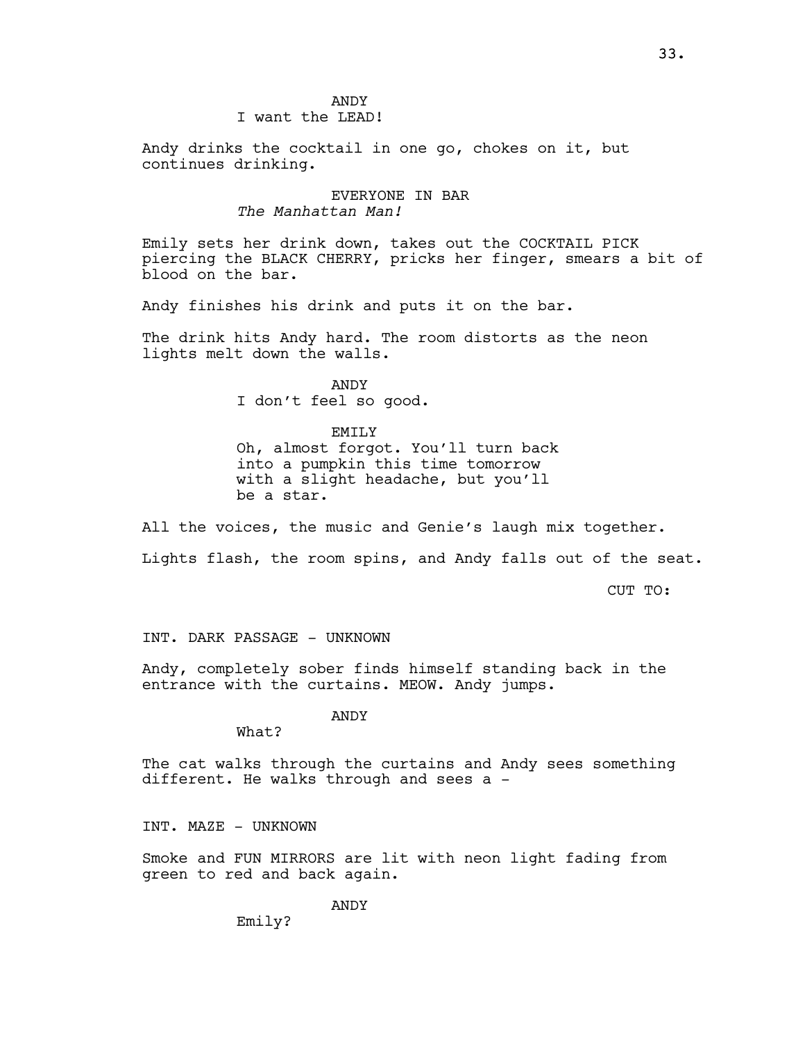## ANDY I want the LEAD!

Andy drinks the cocktail in one go, chokes on it, but continues drinking.

# EVERYONE IN BAR The Manhattan Man!

Emily sets her drink down, takes out the COCKTAIL PICK piercing the BLACK CHERRY, pricks her finger, smears a bit of blood on the bar.

Andy finishes his drink and puts it on the bar.

The drink hits Andy hard. The room distorts as the neon lights melt down the walls.

> ANDY I don't feel so good.

## EMILY

Oh, almost forgot. You'll turn back into a pumpkin this time tomorrow with a slight headache, but you'll be a star.

All the voices, the music and Genie's laugh mix together.

Lights flash, the room spins, and Andy falls out of the seat.

CUT TO:

INT. DARK PASSAGE - UNKNOWN

Andy, completely sober finds himself standing back in the entrance with the curtains. MEOW. Andy jumps.

ANDY

What?

The cat walks through the curtains and Andy sees something different. He walks through and sees a -

INT. MAZE - UNKNOWN

Smoke and FUN MIRRORS are lit with neon light fading from green to red and back again.

ANDY

Emily?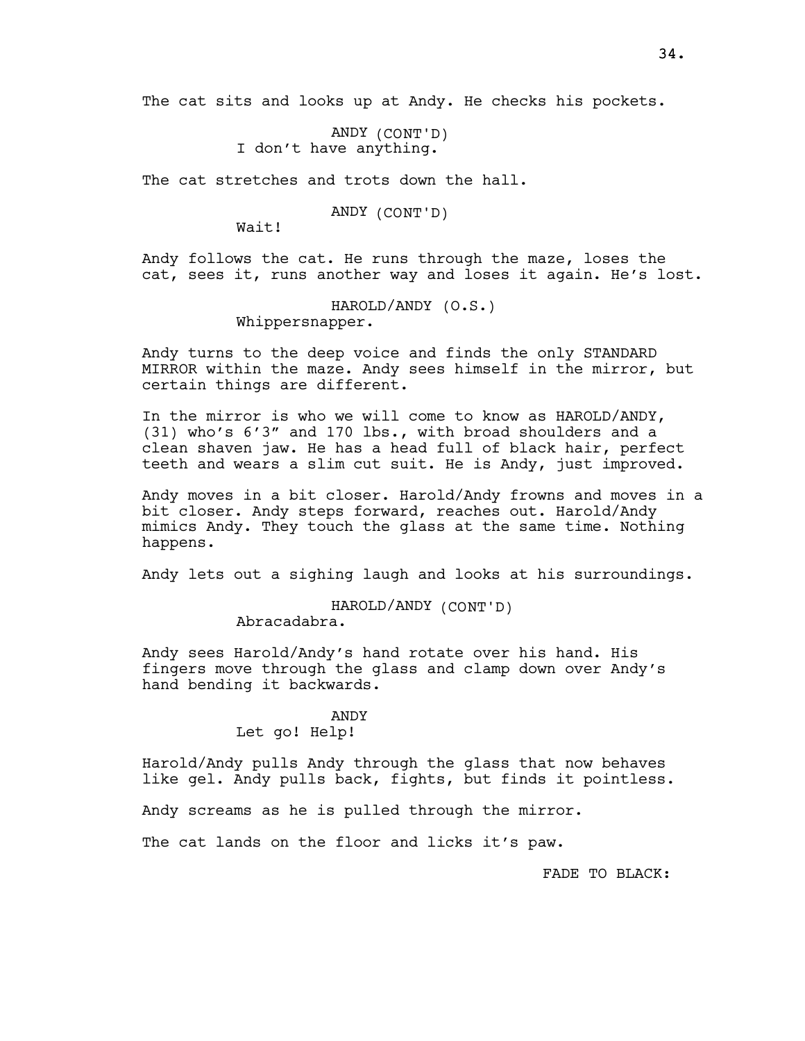The cat sits and looks up at Andy. He checks his pockets.

ANDY (CONT'D) I don't have anything.

The cat stretches and trots down the hall.

ANDY (CONT'D)

Wait!

Andy follows the cat. He runs through the maze, loses the cat, sees it, runs another way and loses it again. He's lost.

> HAROLD/ANDY (O.S.) Whippersnapper.

Andy turns to the deep voice and finds the only STANDARD MIRROR within the maze. Andy sees himself in the mirror, but certain things are different.

In the mirror is who we will come to know as HAROLD/ANDY, (31) who's 6'3" and 170 lbs., with broad shoulders and a clean shaven jaw. He has a head full of black hair, perfect teeth and wears a slim cut suit. He is Andy, just improved.

Andy moves in a bit closer. Harold/Andy frowns and moves in a bit closer. Andy steps forward, reaches out. Harold/Andy mimics Andy. They touch the glass at the same time. Nothing happens.

Andy lets out a sighing laugh and looks at his surroundings.

HAROLD/ANDY (CONT'D)

Abracadabra.

Andy sees Harold/Andy's hand rotate over his hand. His fingers move through the glass and clamp down over Andy's hand bending it backwards.

> ANDY Let go! Help!

Harold/Andy pulls Andy through the glass that now behaves like gel. Andy pulls back, fights, but finds it pointless.

Andy screams as he is pulled through the mirror.

The cat lands on the floor and licks it's paw.

FADE TO BLACK: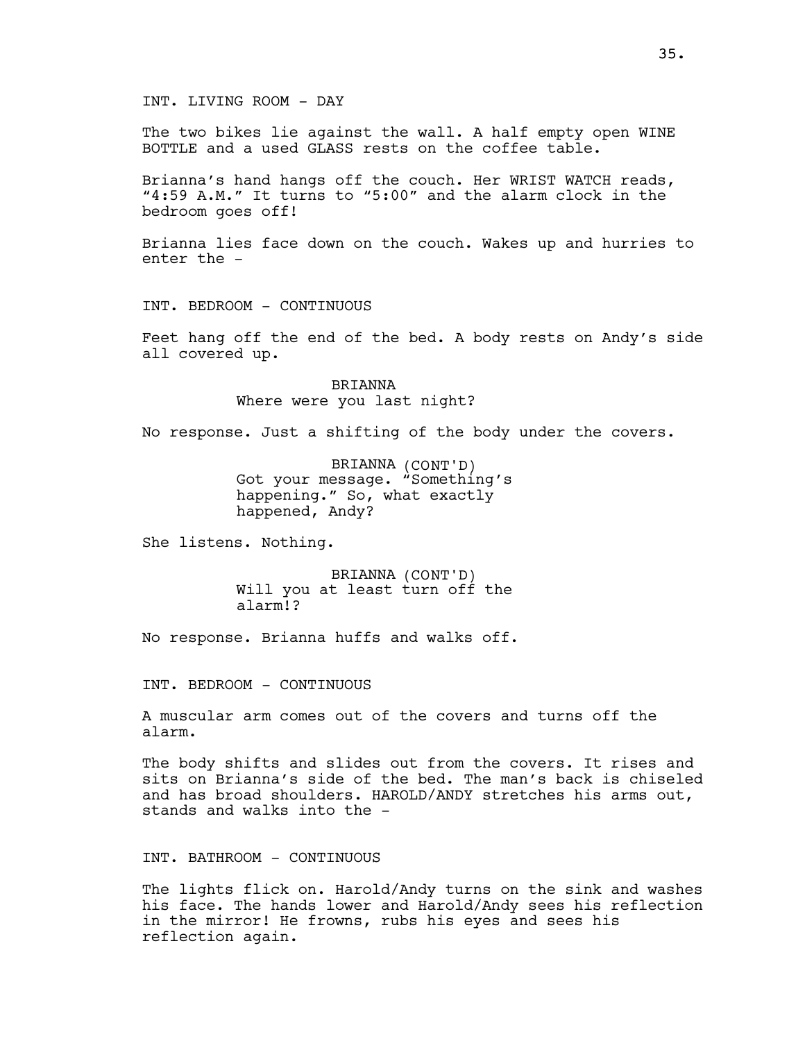INT. LIVING ROOM - DAY

The two bikes lie against the wall. A half empty open WINE BOTTLE and a used GLASS rests on the coffee table.

Brianna's hand hangs off the couch. Her WRIST WATCH reads, "4:59 A.M." It turns to "5:00" and the alarm clock in the bedroom goes off!

Brianna lies face down on the couch. Wakes up and hurries to enter the -

INT. BEDROOM - CONTINUOUS

Feet hang off the end of the bed. A body rests on Andy's side all covered up.

> BRIANNA Where were you last night?

No response. Just a shifting of the body under the covers.

BRIANNA (CONT'D) Got your message. "Something's happening." So, what exactly happened, Andy?

She listens. Nothing.

BRIANNA (CONT'D) Will you at least turn off the alarm!?

No response. Brianna huffs and walks off.

INT. BEDROOM - CONTINUOUS

A muscular arm comes out of the covers and turns off the alarm.

The body shifts and slides out from the covers. It rises and sits on Brianna's side of the bed. The man's back is chiseled and has broad shoulders. HAROLD/ANDY stretches his arms out, stands and walks into the -

INT. BATHROOM - CONTINUOUS

The lights flick on. Harold/Andy turns on the sink and washes his face. The hands lower and Harold/Andy sees his reflection in the mirror! He frowns, rubs his eyes and sees his reflection again.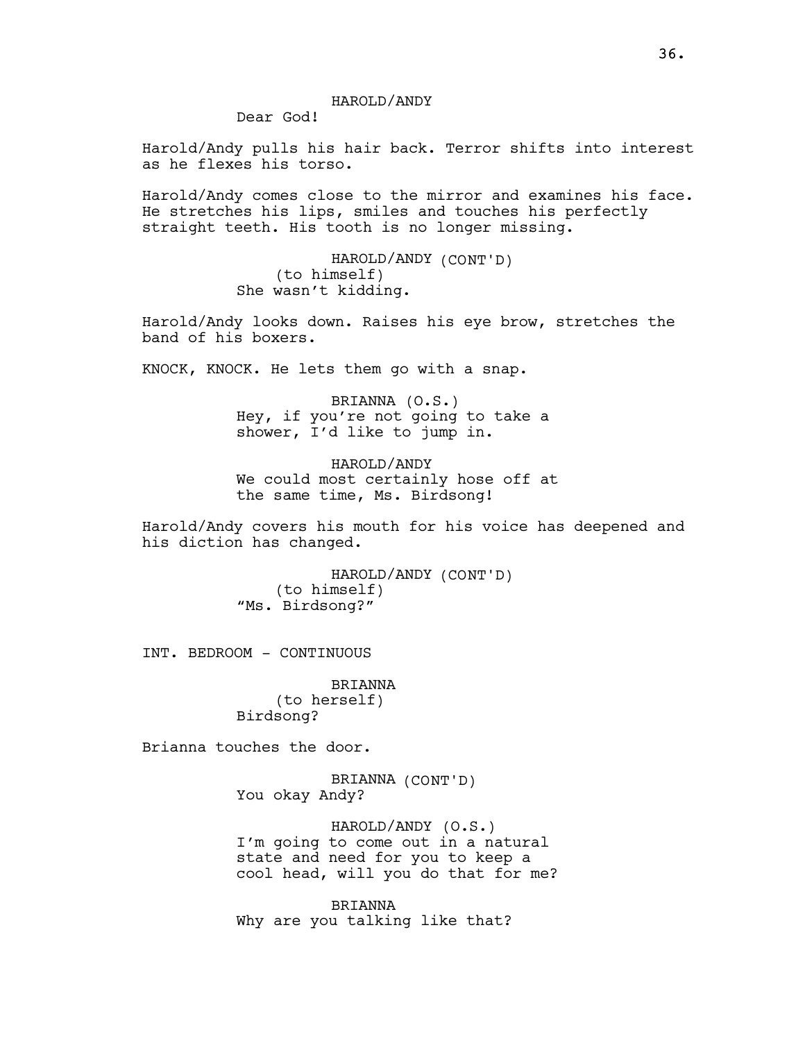Dear God!

Harold/Andy pulls his hair back. Terror shifts into interest as he flexes his torso.

Harold/Andy comes close to the mirror and examines his face. He stretches his lips, smiles and touches his perfectly straight teeth. His tooth is no longer missing.

> HAROLD/ANDY (CONT'D) (to himself) She wasn't kidding.

Harold/Andy looks down. Raises his eye brow, stretches the band of his boxers.

KNOCK, KNOCK. He lets them go with a snap.

BRIANNA (O.S.) Hey, if you're not going to take a shower, I'd like to jump in.

HAROLD/ANDY We could most certainly hose off at the same time, Ms. Birdsong!

Harold/Andy covers his mouth for his voice has deepened and his diction has changed.

> HAROLD/ANDY (CONT'D) (to himself) "Ms. Birdsong?"

INT. BEDROOM - CONTINUOUS

BRIANNA (to herself) Birdsong?

Brianna touches the door.

BRIANNA (CONT'D) You okay Andy?

HAROLD/ANDY (O.S.) I'm going to come out in a natural state and need for you to keep a cool head, will you do that for me?

BRIANNA Why are you talking like that?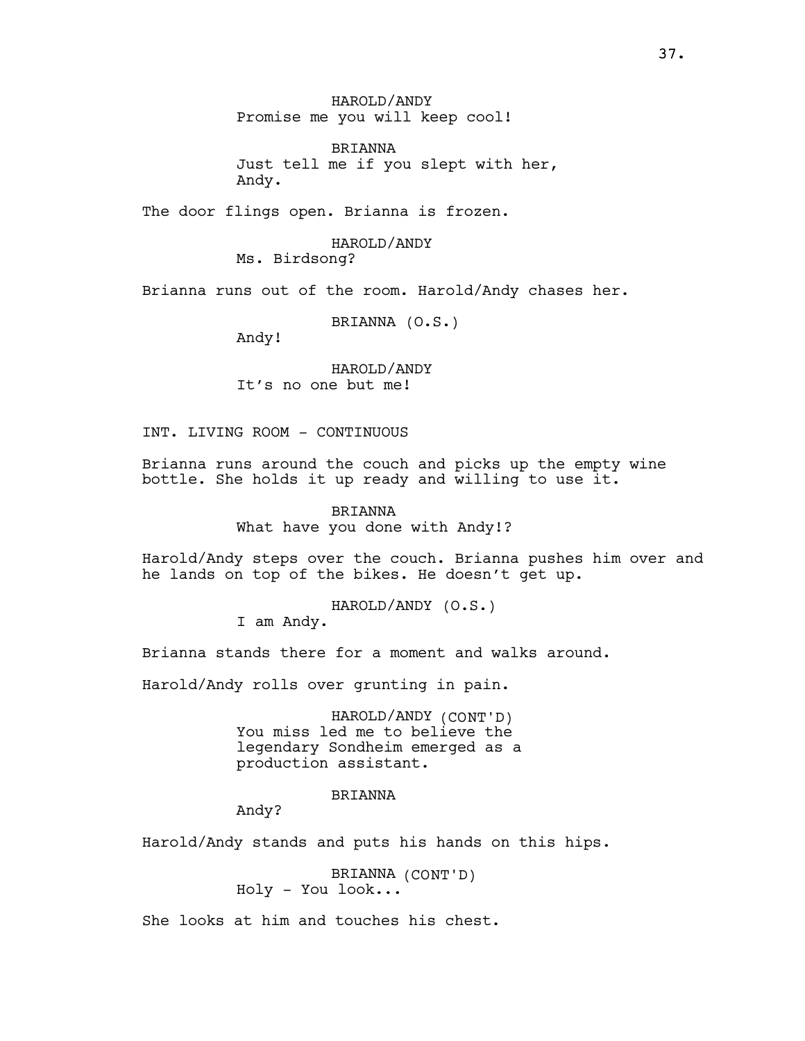HAROLD/ANDY Promise me you will keep cool!

BRIANNA Just tell me if you slept with her, Andy.

The door flings open. Brianna is frozen.

### HAROLD/ANDY

Ms. Birdsong?

Brianna runs out of the room. Harold/Andy chases her.

BRIANNA (O.S.)

Andy!

HAROLD/ANDY It's no one but me!

INT. LIVING ROOM - CONTINUOUS

Brianna runs around the couch and picks up the empty wine bottle. She holds it up ready and willing to use it.

## BRIANNA What have you done with Andy!?

Harold/Andy steps over the couch. Brianna pushes him over and he lands on top of the bikes. He doesn't get up.

HAROLD/ANDY (O.S.)

I am Andy.

Brianna stands there for a moment and walks around.

Harold/Andy rolls over grunting in pain.

HAROLD/ANDY (CONT'D) You miss led me to believe the legendary Sondheim emerged as a production assistant.

### BRIANNA

Andy?

Harold/Andy stands and puts his hands on this hips.

BRIANNA (CONT'D) Holy - You look...

She looks at him and touches his chest.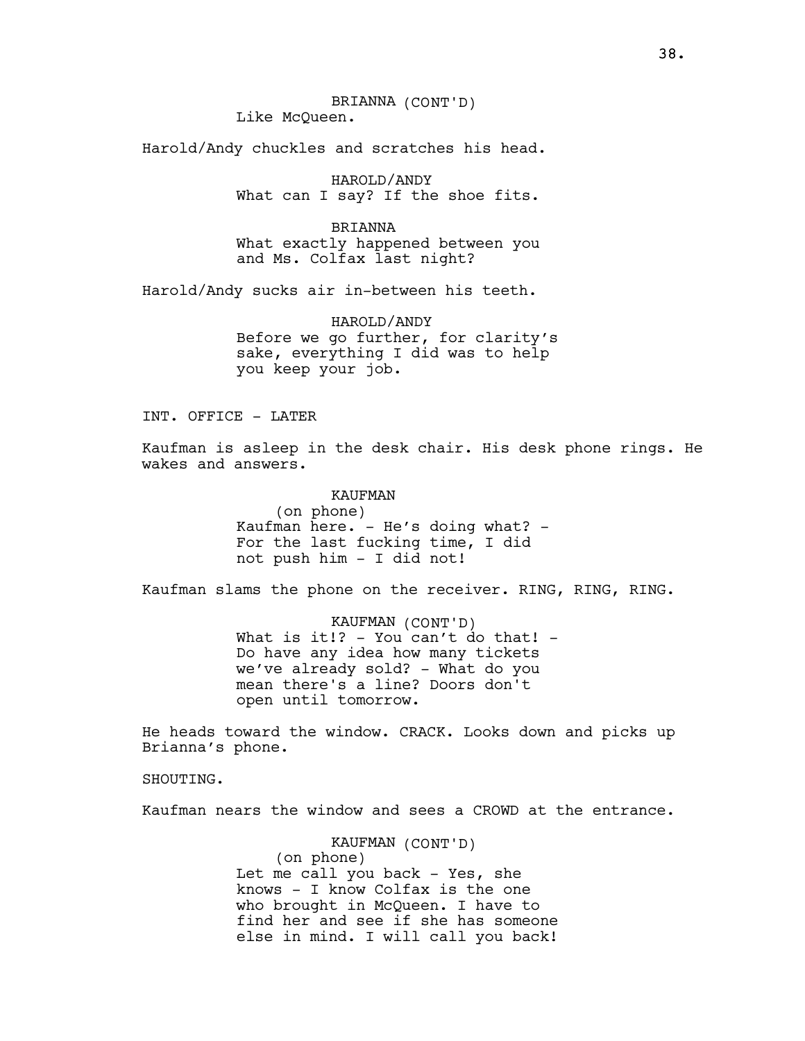Harold/Andy chuckles and scratches his head.

HAROLD/ANDY What can I say? If the shoe fits.

**BRIANNA** What exactly happened between you and Ms. Colfax last night?

Harold/Andy sucks air in-between his teeth.

HAROLD/ANDY Before we go further, for clarity's sake, everything I did was to help you keep your job.

INT. OFFICE - LATER

Kaufman is asleep in the desk chair. His desk phone rings. He wakes and answers.

> KAUFMAN (on phone) Kaufman here. - He's doing what? -For the last fucking time, I did not push him - I did not!

Kaufman slams the phone on the receiver. RING, RING, RING.

KAUFMAN (CONT'D) What is it!? - You can't do that! -Do have any idea how many tickets we've already sold? - What do you mean there's a line? Doors don't open until tomorrow.

He heads toward the window. CRACK. Looks down and picks up Brianna's phone.

SHOUTING.

Kaufman nears the window and sees a CROWD at the entrance.

KAUFMAN (CONT'D) (on phone) Let me call you back - Yes, she knows - I know Colfax is the one who brought in McQueen. I have to find her and see if she has someone else in mind. I will call you back!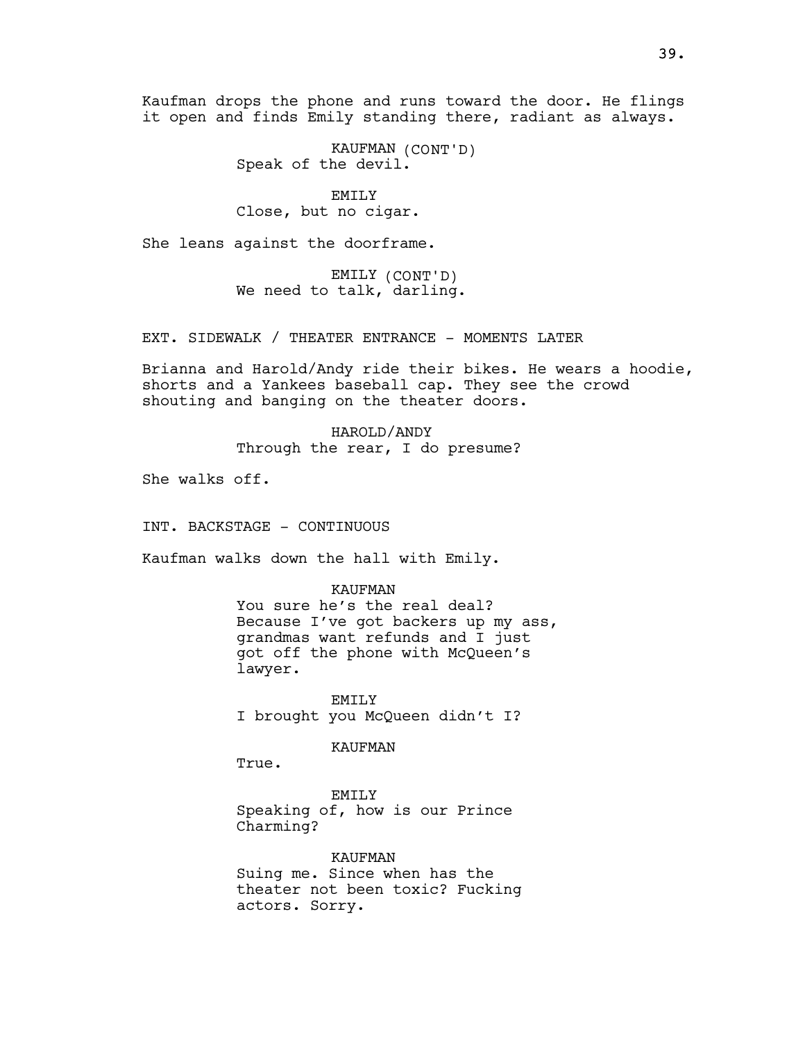Kaufman drops the phone and runs toward the door. He flings it open and finds Emily standing there, radiant as always.

> KAUFMAN (CONT'D) Speak of the devil.

EMILY Close, but no cigar.

She leans against the doorframe.

EMILY (CONT'D) We need to talk, darling.

EXT. SIDEWALK / THEATER ENTRANCE - MOMENTS LATER

Brianna and Harold/Andy ride their bikes. He wears a hoodie, shorts and a Yankees baseball cap. They see the crowd shouting and banging on the theater doors.

> HAROLD/ANDY Through the rear, I do presume?

She walks off.

INT. BACKSTAGE - CONTINUOUS

Kaufman walks down the hall with Emily.

KAUFMAN

You sure he's the real deal? Because I've got backers up my ass, grandmas want refunds and I just got off the phone with McQueen's lawyer.

EMILY I brought you McQueen didn't I?

KAUFMAN

True.

EMILY Speaking of, how is our Prince Charming?

KAUFMAN Suing me. Since when has the theater not been toxic? Fucking actors. Sorry.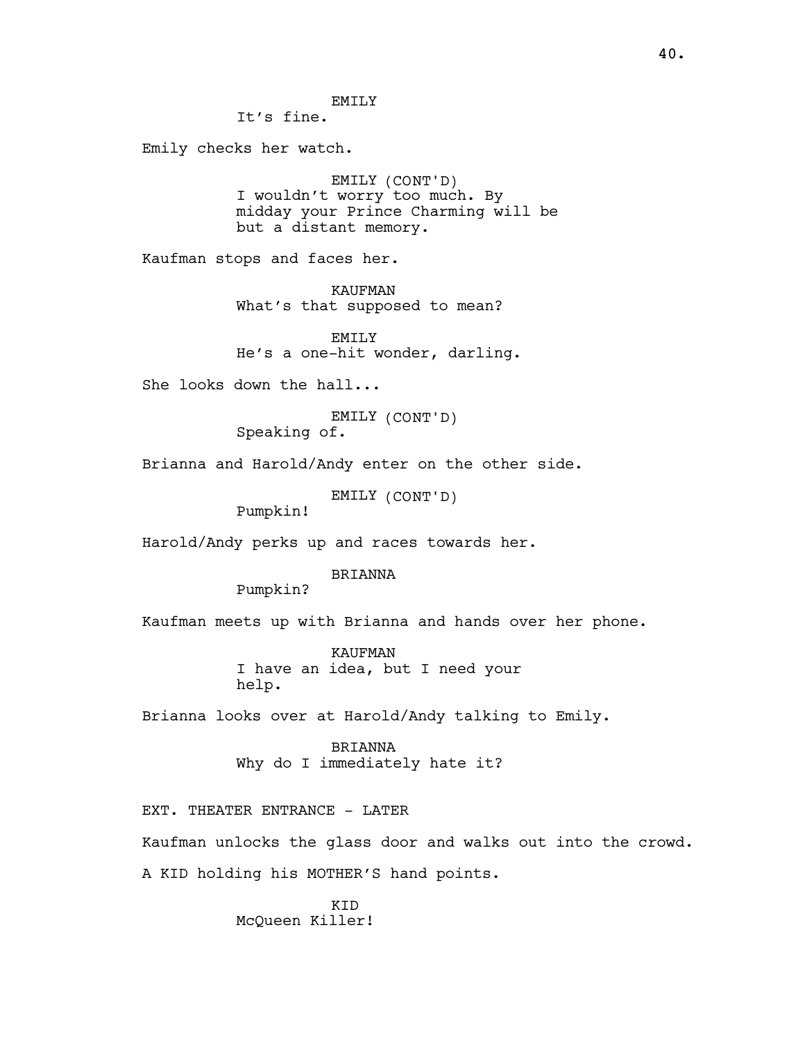It's fine.

Emily checks her watch.

EMILY (CONT'D) I wouldn't worry too much. By midday your Prince Charming will be but a distant memory.

Kaufman stops and faces her.

KAUFMAN What's that supposed to mean?

EMTT<sub>.</sub>Y He's a one-hit wonder, darling.

She looks down the hall...

EMILY (CONT'D) Speaking of.

Brianna and Harold/Andy enter on the other side.

EMILY (CONT'D)

Pumpkin!

Harold/Andy perks up and races towards her.

## BRIANNA

Pumpkin?

Kaufman meets up with Brianna and hands over her phone.

KAUFMAN I have an idea, but I need your help.

Brianna looks over at Harold/Andy talking to Emily.

BRIANNA Why do I immediately hate it?

EXT. THEATER ENTRANCE - LATER

Kaufman unlocks the glass door and walks out into the crowd.

A KID holding his MOTHER'S hand points.

KID McQueen Killer!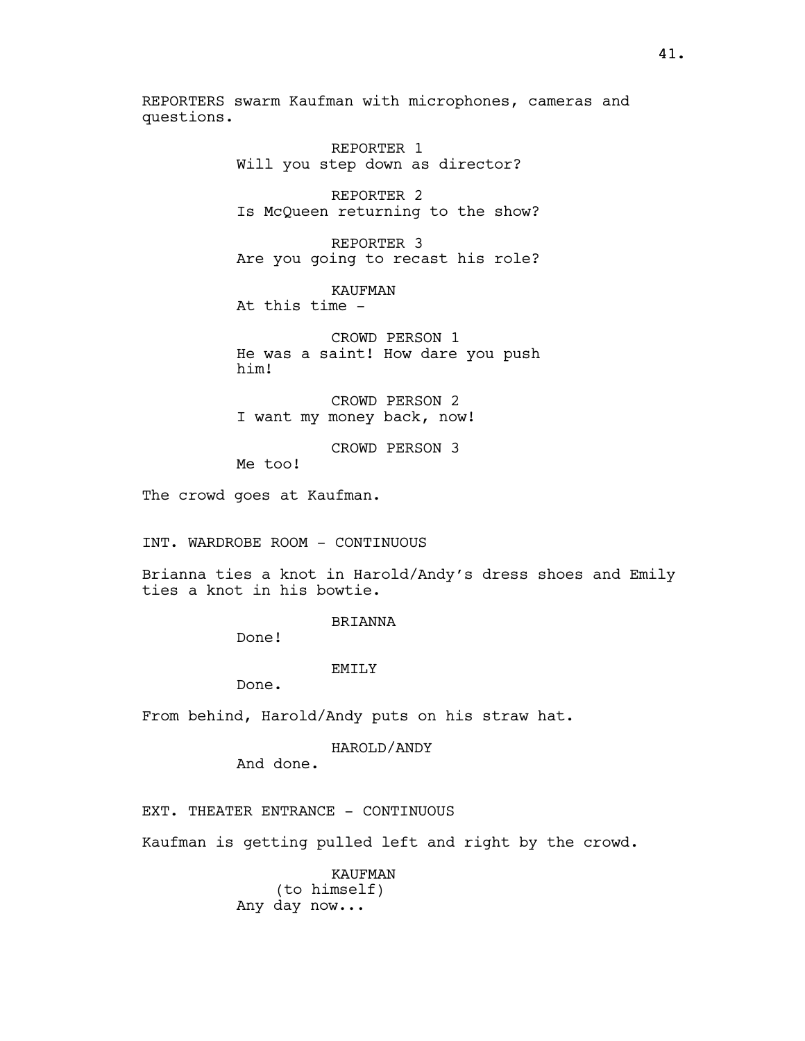REPORTERS swarm Kaufman with microphones, cameras and questions.

> REPORTER 1 Will you step down as director?

REPORTER 2 Is McQueen returning to the show?

REPORTER 3 Are you going to recast his role?

KAUFMAN At this time -

CROWD PERSON 1 He was a saint! How dare you push him!

CROWD PERSON 2 I want my money back, now!

CROWD PERSON 3

The crowd goes at Kaufman.

Me too!

INT. WARDROBE ROOM - CONTINUOUS

Brianna ties a knot in Harold/Andy's dress shoes and Emily ties a knot in his bowtie.

## BRIANNA

Done!

## EMILY

Done.

From behind, Harold/Andy puts on his straw hat.

HAROLD/ANDY

And done.

EXT. THEATER ENTRANCE - CONTINUOUS

Kaufman is getting pulled left and right by the crowd.

KAUFMAN (to himself) Any day now...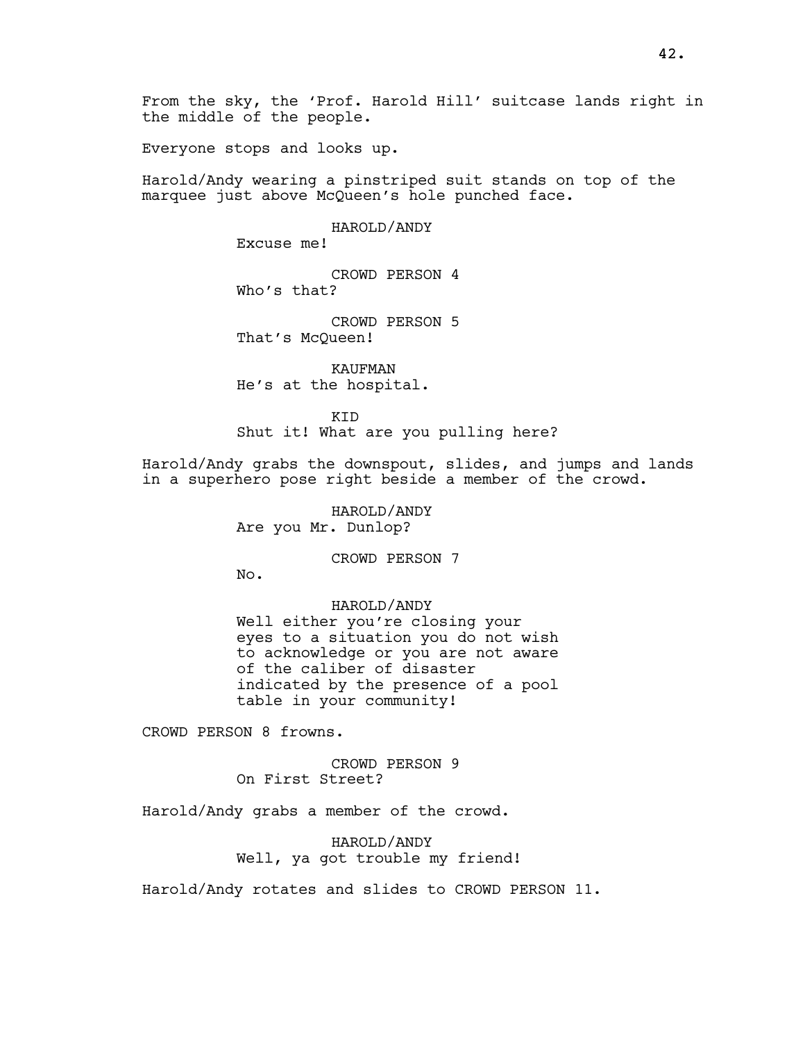From the sky, the 'Prof. Harold Hill' suitcase lands right in the middle of the people.

Everyone stops and looks up.

Harold/Andy wearing a pinstriped suit stands on top of the marquee just above McQueen's hole punched face.

### HAROLD/ANDY

Excuse me!

CROWD PERSON 4 Who's that?

CROWD PERSON 5 That's McQueen!

KAUFMAN He's at the hospital.

**KTD** Shut it! What are you pulling here?

Harold/Andy grabs the downspout, slides, and jumps and lands in a superhero pose right beside a member of the crowd.

> HAROLD/ANDY Are you Mr. Dunlop?

> > CROWD PERSON 7

No.

HAROLD/ANDY Well either you're closing your eyes to a situation you do not wish to acknowledge or you are not aware of the caliber of disaster indicated by the presence of a pool table in your community!

CROWD PERSON 8 frowns.

CROWD PERSON 9 On First Street?

Harold/Andy grabs a member of the crowd.

HAROLD/ANDY Well, ya got trouble my friend!

Harold/Andy rotates and slides to CROWD PERSON 11.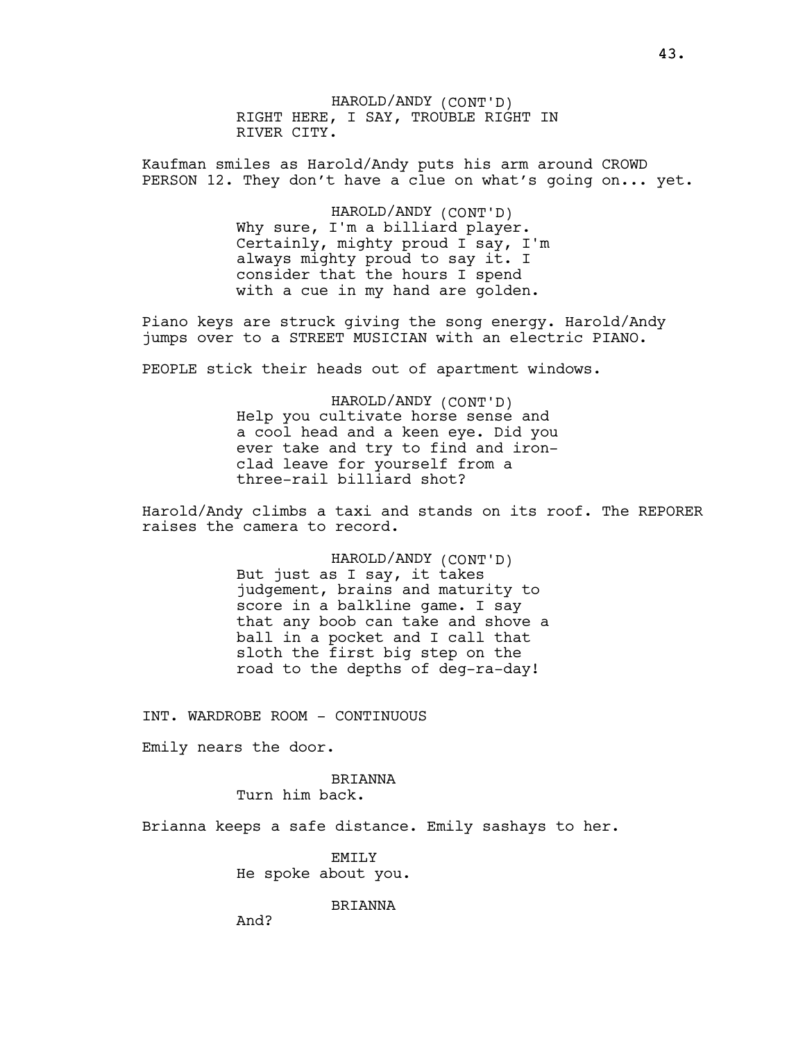HAROLD/ANDY (CONT'D) RIGHT HERE, I SAY, TROUBLE RIGHT IN RIVER CITY.

Kaufman smiles as Harold/Andy puts his arm around CROWD PERSON 12. They don't have a clue on what's going on... yet.

> HAROLD/ANDY (CONT'D) Why sure, I'm a billiard player. Certainly, mighty proud I say, I'm always mighty proud to say it. I consider that the hours I spend with a cue in my hand are golden.

Piano keys are struck giving the song energy. Harold/Andy jumps over to a STREET MUSICIAN with an electric PIANO.

PEOPLE stick their heads out of apartment windows.

HAROLD/ANDY (CONT'D) Help you cultivate horse sense and a cool head and a keen eye. Did you ever take and try to find and ironclad leave for yourself from a three-rail billiard shot?

Harold/Andy climbs a taxi and stands on its roof. The REPORER raises the camera to record.

> HAROLD/ANDY (CONT'D) But just as I say, it takes judgement, brains and maturity to score in a balkline game. I say that any boob can take and shove a ball in a pocket and I call that sloth the first big step on the road to the depths of deg-ra-day!

INT. WARDROBE ROOM - CONTINUOUS

Emily nears the door.

BRIANNA Turn him back.

Brianna keeps a safe distance. Emily sashays to her.

EMILY He spoke about you.

BRIANNA

And?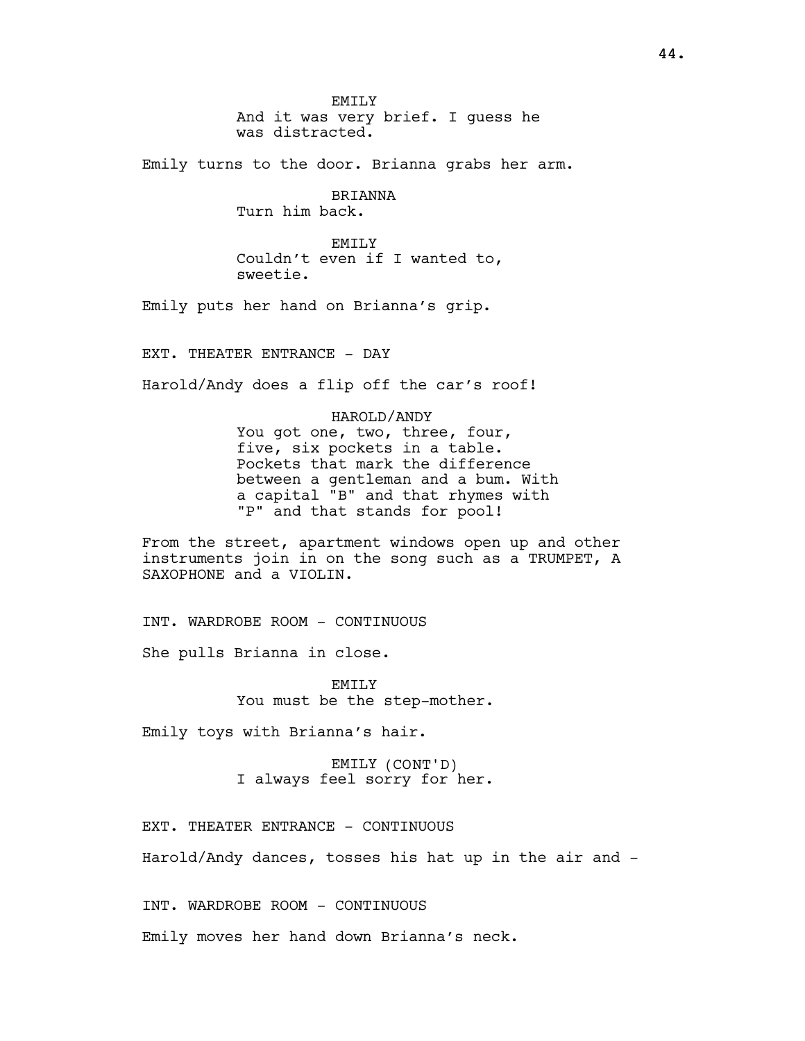EMILY And it was very brief. I guess he was distracted.

Emily turns to the door. Brianna grabs her arm.

BRIANNA Turn him back.

EMTT<sub>.</sub>Y Couldn't even if I wanted to, sweetie.

Emily puts her hand on Brianna's grip.

EXT. THEATER ENTRANCE - DAY

Harold/Andy does a flip off the car's roof!

### HAROLD/ANDY

You got one, two, three, four, five, six pockets in a table. Pockets that mark the difference between a gentleman and a bum. With a capital "B" and that rhymes with "P" and that stands for pool!

From the street, apartment windows open up and other instruments join in on the song such as a TRUMPET, A SAXOPHONE and a VIOLIN.

INT. WARDROBE ROOM - CONTINUOUS

She pulls Brianna in close.

EMTT.Y You must be the step-mother.

Emily toys with Brianna's hair.

EMILY (CONT'D) I always feel sorry for her.

EXT. THEATER ENTRANCE - CONTINUOUS

Harold/Andy dances, tosses his hat up in the air and -

INT. WARDROBE ROOM - CONTINUOUS

Emily moves her hand down Brianna's neck.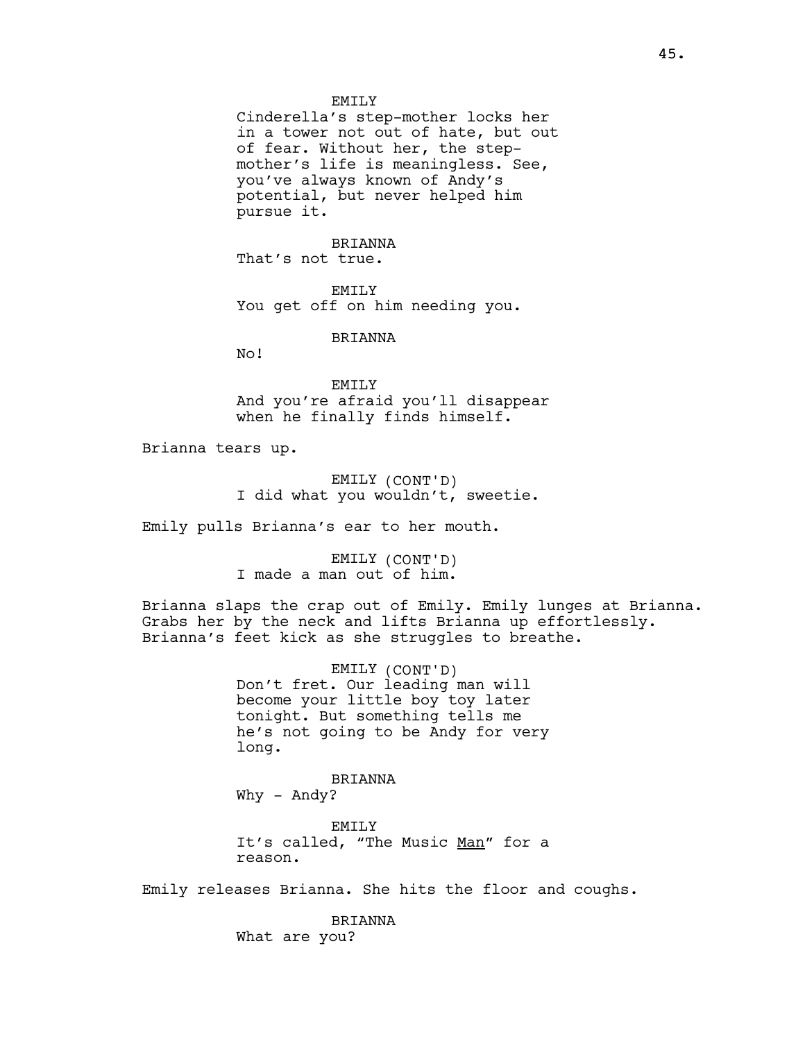### EMILY

Cinderella's step-mother locks her in a tower not out of hate, but out of fear. Without her, the stepmother's life is meaningless. See, you've always known of Andy's potential, but never helped him pursue it.

BRIANNA That's not true.

EMILY You get off on him needing you.

**BRIANNA** 

No!

EMILY And you're afraid you'll disappear when he finally finds himself.

Brianna tears up.

EMILY (CONT'D) I did what you wouldn't, sweetie.

Emily pulls Brianna's ear to her mouth.

EMILY (CONT'D) I made a man out of him.

Brianna slaps the crap out of Emily. Emily lunges at Brianna. Grabs her by the neck and lifts Brianna up effortlessly. Brianna's feet kick as she struggles to breathe.

> EMILY (CONT'D) Don't fret. Our leading man will become your little boy toy later tonight. But something tells me he's not going to be Andy for very long.

BRIANNA Why - Andy?

EMILY It's called, "The Music Man" for a reason.

Emily releases Brianna. She hits the floor and coughs.

**BRIANNA** What are you?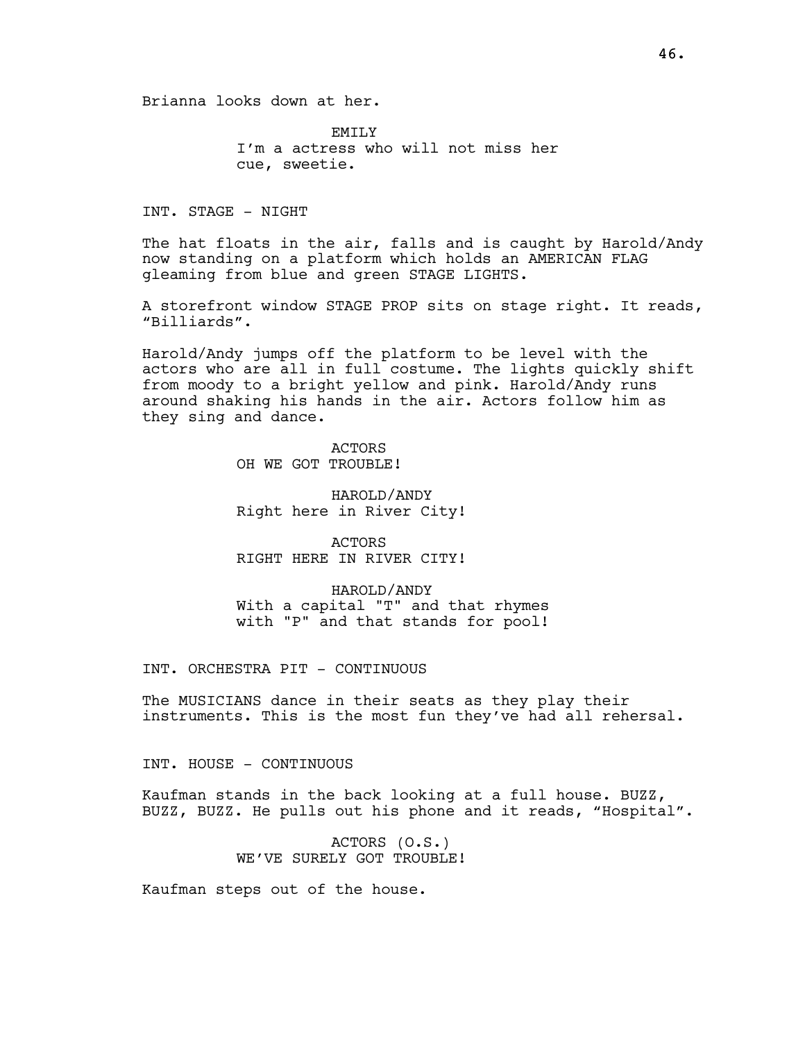Brianna looks down at her.

EMILY I'm a actress who will not miss her cue, sweetie.

INT. STAGE - NIGHT

The hat floats in the air, falls and is caught by Harold/Andy now standing on a platform which holds an AMERICAN FLAG gleaming from blue and green STAGE LIGHTS.

A storefront window STAGE PROP sits on stage right. It reads, "Billiards".

Harold/Andy jumps off the platform to be level with the actors who are all in full costume. The lights quickly shift from moody to a bright yellow and pink. Harold/Andy runs around shaking his hands in the air. Actors follow him as they sing and dance.

> ACTORS OH WE GOT TROUBLE!

HAROLD/ANDY Right here in River City!

ACTORS RIGHT HERE IN RIVER CITY!

HAROLD/ANDY With a capital "T" and that rhymes with "P" and that stands for pool!

INT. ORCHESTRA PIT - CONTINUOUS

The MUSICIANS dance in their seats as they play their instruments. This is the most fun they've had all rehersal.

INT. HOUSE - CONTINUOUS

Kaufman stands in the back looking at a full house. BUZZ, BUZZ, BUZZ. He pulls out his phone and it reads, "Hospital".

> ACTORS (O.S.) WE'VE SURELY GOT TROUBLE!

Kaufman steps out of the house.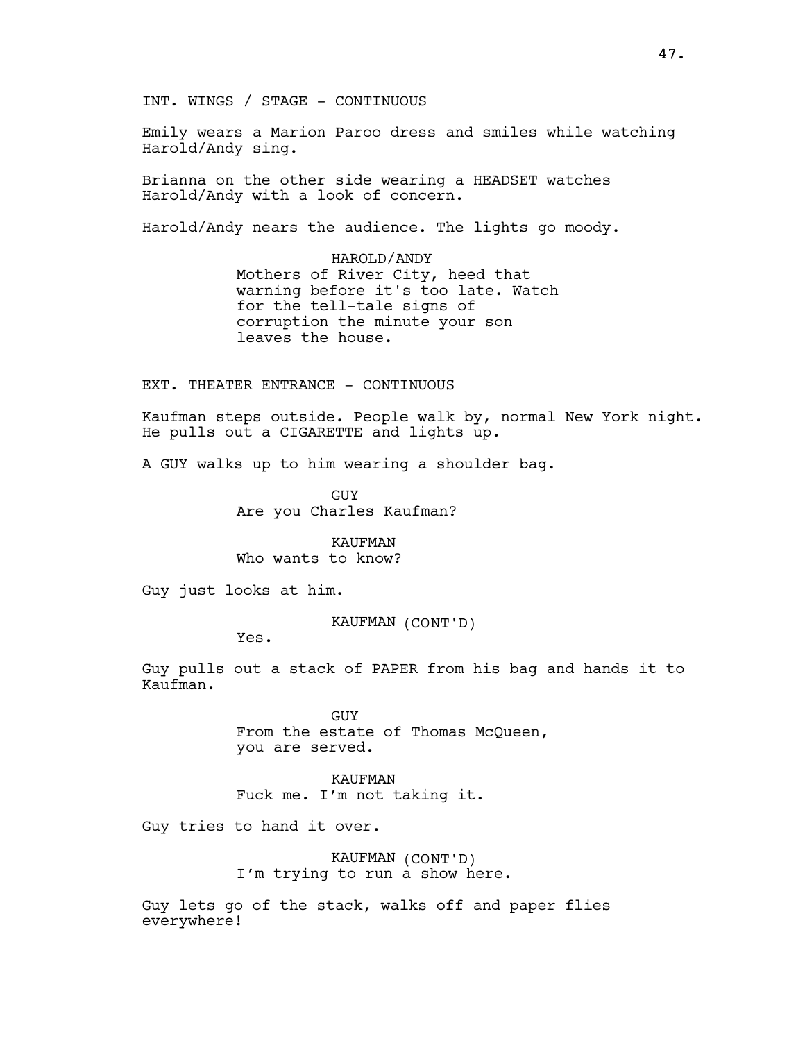INT. WINGS / STAGE - CONTINUOUS

Emily wears a Marion Paroo dress and smiles while watching Harold/Andy sing.

Brianna on the other side wearing a HEADSET watches Harold/Andy with a look of concern.

Harold/Andy nears the audience. The lights go moody.

HAROLD/ANDY Mothers of River City, heed that warning before it's too late. Watch for the tell-tale signs of corruption the minute your son leaves the house.

EXT. THEATER ENTRANCE - CONTINUOUS

Kaufman steps outside. People walk by, normal New York night. He pulls out a CIGARETTE and lights up.

A GUY walks up to him wearing a shoulder bag.

GUY Are you Charles Kaufman?

KAUFMAN Who wants to know?

Guy just looks at him.

KAUFMAN (CONT'D)

Yes.

Guy pulls out a stack of PAPER from his bag and hands it to Kaufman.

> GUY From the estate of Thomas McQueen, you are served.

KAUFMAN Fuck me. I'm not taking it.

Guy tries to hand it over.

KAUFMAN (CONT'D) I'm trying to run a show here.

Guy lets go of the stack, walks off and paper flies everywhere!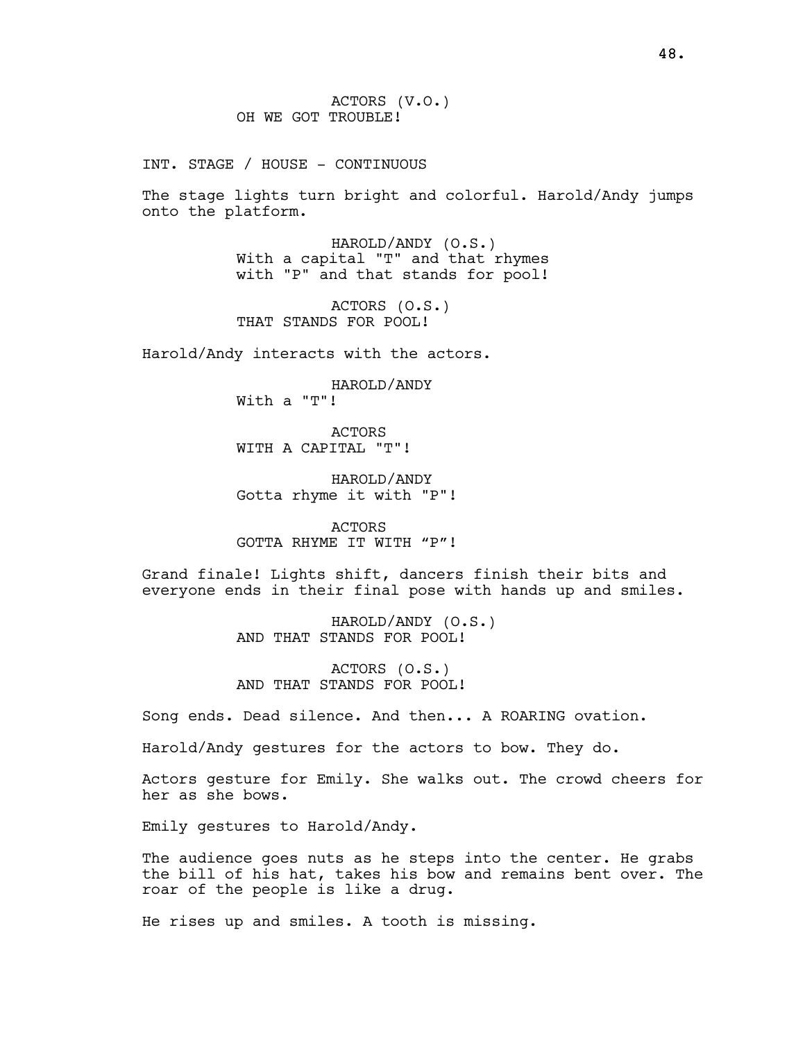INT. STAGE / HOUSE - CONTINUOUS

The stage lights turn bright and colorful. Harold/Andy jumps onto the platform.

> HAROLD/ANDY (O.S.) With a capital "T" and that rhymes with "P" and that stands for pool!

ACTORS (O.S.) THAT STANDS FOR POOL!

Harold/Andy interacts with the actors.

HAROLD/ANDY With a "T"!

ACTORS WITH A CAPITAL "T"!

HAROLD/ANDY Gotta rhyme it with "P"!

ACTORS GOTTA RHYME IT WITH "P"!

Grand finale! Lights shift, dancers finish their bits and everyone ends in their final pose with hands up and smiles.

> HAROLD/ANDY (O.S.) AND THAT STANDS FOR POOL!

ACTORS (O.S.) AND THAT STANDS FOR POOL!

Song ends. Dead silence. And then... A ROARING ovation.

Harold/Andy gestures for the actors to bow. They do.

Actors gesture for Emily. She walks out. The crowd cheers for her as she bows.

Emily gestures to Harold/Andy.

The audience goes nuts as he steps into the center. He grabs the bill of his hat, takes his bow and remains bent over. The roar of the people is like a drug.

He rises up and smiles. A tooth is missing.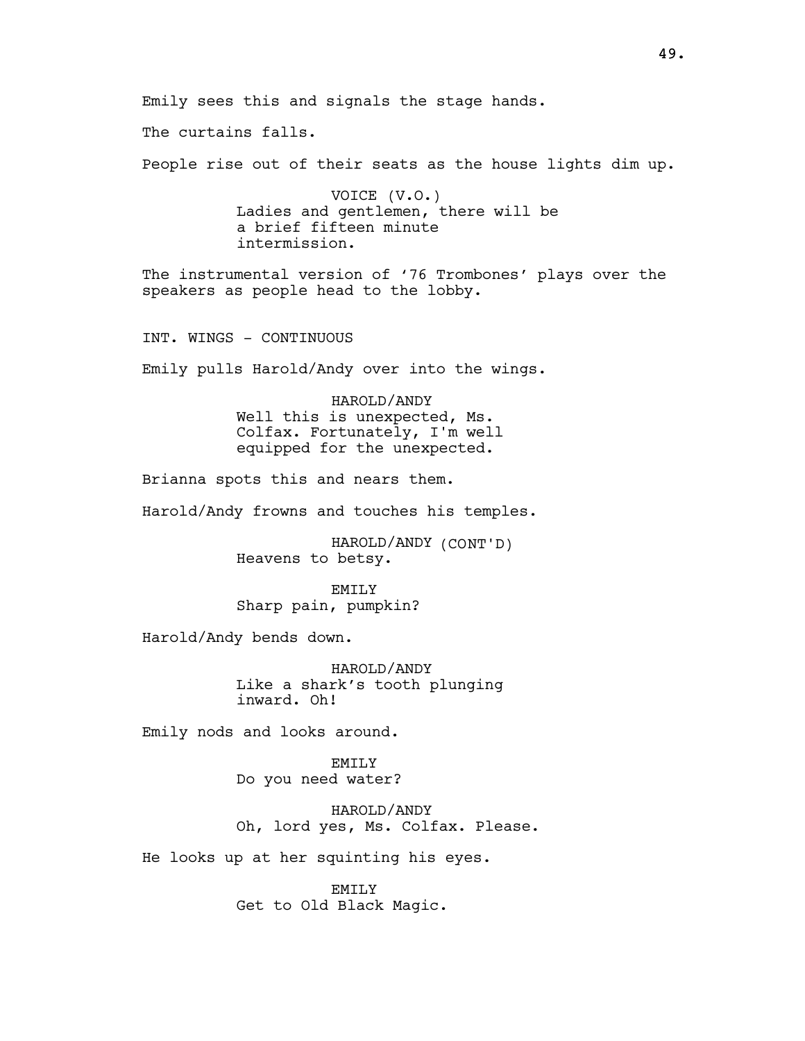Emily sees this and signals the stage hands.

The curtains falls.

People rise out of their seats as the house lights dim up.

VOICE (V.O.) Ladies and gentlemen, there will be a brief fifteen minute intermission.

The instrumental version of '76 Trombones' plays over the speakers as people head to the lobby.

INT. WINGS - CONTINUOUS

Emily pulls Harold/Andy over into the wings.

HAROLD/ANDY Well this is unexpected, Ms. Colfax. Fortunately, I'm well equipped for the unexpected.

Brianna spots this and nears them.

Harold/Andy frowns and touches his temples.

HAROLD/ANDY (CONT'D) Heavens to betsy.

EMILY Sharp pain, pumpkin?

Harold/Andy bends down.

HAROLD/ANDY Like a shark's tooth plunging inward. Oh!

Emily nods and looks around.

EMILY Do you need water?

HAROLD/ANDY Oh, lord yes, Ms. Colfax. Please.

He looks up at her squinting his eyes.

**EMILY** Get to Old Black Magic.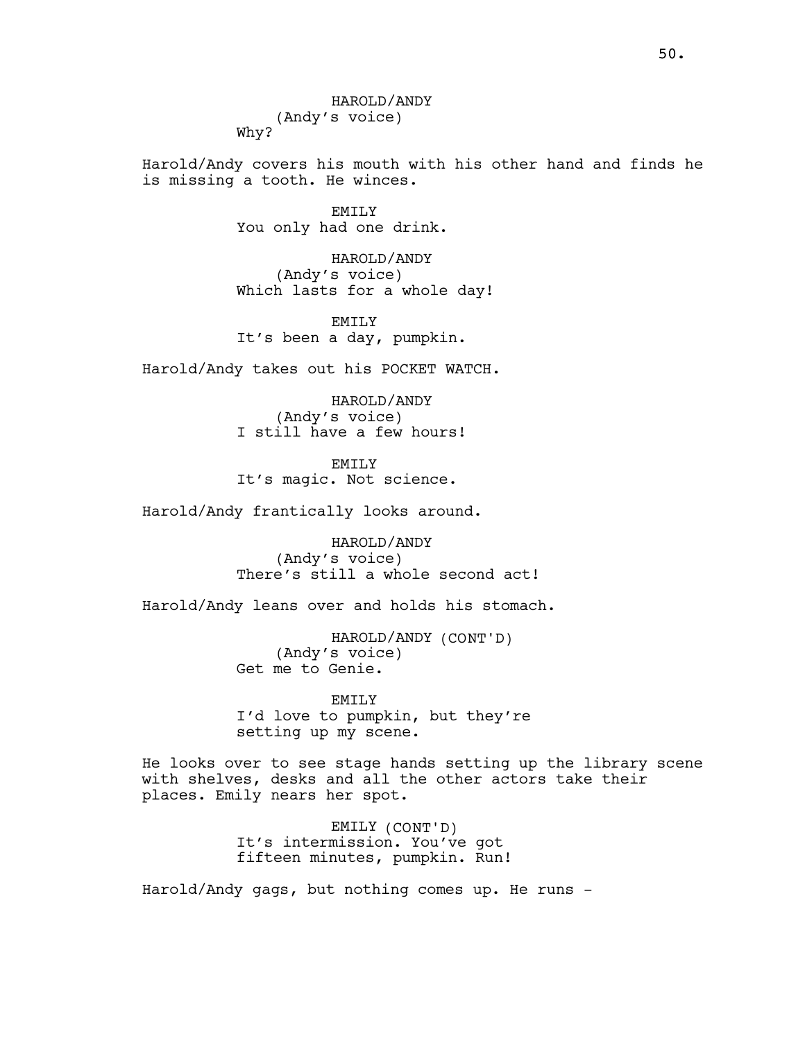HAROLD/ANDY (Andy's voice) Why?

Harold/Andy covers his mouth with his other hand and finds he is missing a tooth. He winces.

> EMILY You only had one drink.

HAROLD/ANDY (Andy's voice) Which lasts for a whole day!

EMTT.Y It's been a day, pumpkin.

Harold/Andy takes out his POCKET WATCH.

HAROLD/ANDY (Andy's voice) I still have a few hours!

EMTT.Y It's magic. Not science.

Harold/Andy frantically looks around.

HAROLD/ANDY (Andy's voice) There's still a whole second act!

Harold/Andy leans over and holds his stomach.

HAROLD/ANDY (CONT'D) (Andy's voice) Get me to Genie.

EMILY I'd love to pumpkin, but they're setting up my scene.

He looks over to see stage hands setting up the library scene with shelves, desks and all the other actors take their places. Emily nears her spot.

> EMILY (CONT'D) It's intermission. You've got fifteen minutes, pumpkin. Run!

Harold/Andy gags, but nothing comes up. He runs -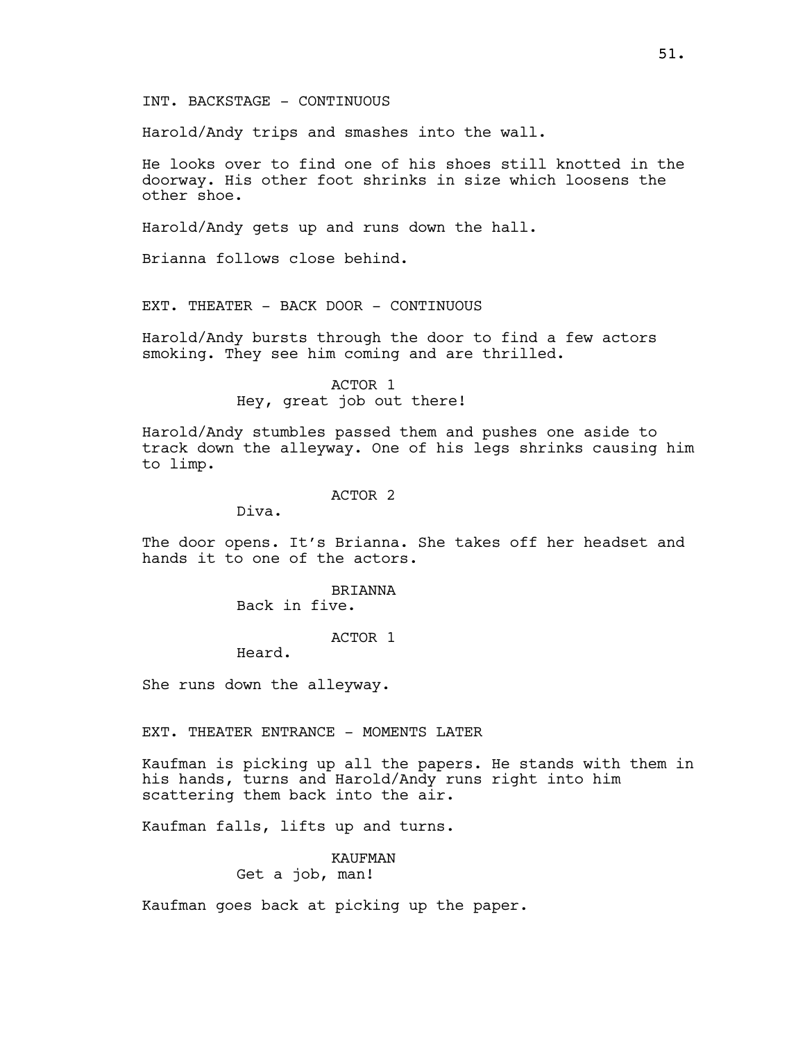Harold/Andy trips and smashes into the wall.

He looks over to find one of his shoes still knotted in the doorway. His other foot shrinks in size which loosens the other shoe.

Harold/Andy gets up and runs down the hall.

Brianna follows close behind.

EXT. THEATER - BACK DOOR - CONTINUOUS

Harold/Andy bursts through the door to find a few actors smoking. They see him coming and are thrilled.

> ACTOR 1 Hey, great job out there!

Harold/Andy stumbles passed them and pushes one aside to track down the alleyway. One of his legs shrinks causing him to limp.

### ACTOR 2

Diva.

The door opens. It's Brianna. She takes off her headset and hands it to one of the actors.

> BRIANNA Back in five.

## ACTOR 1

Heard.

She runs down the alleyway.

EXT. THEATER ENTRANCE - MOMENTS LATER

Kaufman is picking up all the papers. He stands with them in his hands, turns and Harold/Andy runs right into him scattering them back into the air.

Kaufman falls, lifts up and turns.

KAUFMAN

Get a job, man!

Kaufman goes back at picking up the paper.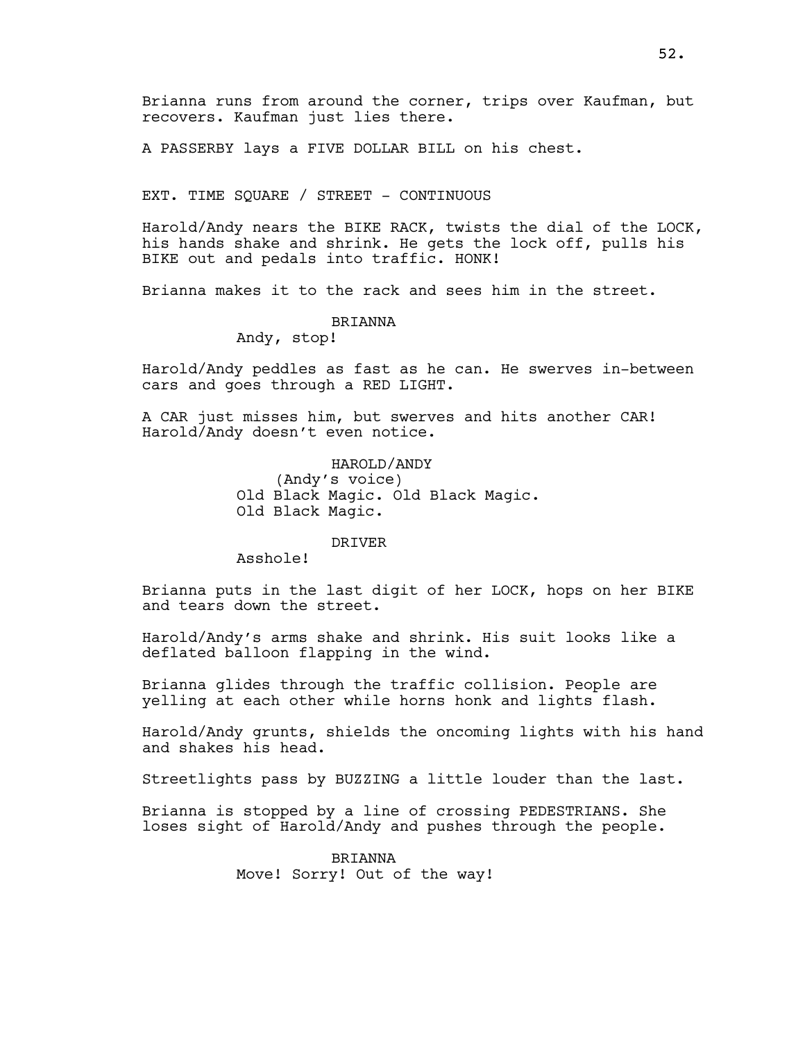Brianna runs from around the corner, trips over Kaufman, but recovers. Kaufman just lies there.

A PASSERBY lays a FIVE DOLLAR BILL on his chest.

EXT. TIME SQUARE / STREET - CONTINUOUS

Harold/Andy nears the BIKE RACK, twists the dial of the LOCK, his hands shake and shrink. He gets the lock off, pulls his BIKE out and pedals into traffic. HONK!

Brianna makes it to the rack and sees him in the street.

### BRIANNA

Andy, stop!

Harold/Andy peddles as fast as he can. He swerves in-between cars and goes through a RED LIGHT.

A CAR just misses him, but swerves and hits another CAR! Harold/Andy doesn't even notice.

> HAROLD/ANDY (Andy's voice) Old Black Magic. Old Black Magic. Old Black Magic.

> > DRIVER

Asshole!

Brianna puts in the last digit of her LOCK, hops on her BIKE and tears down the street.

Harold/Andy's arms shake and shrink. His suit looks like a deflated balloon flapping in the wind.

Brianna glides through the traffic collision. People are yelling at each other while horns honk and lights flash.

Harold/Andy grunts, shields the oncoming lights with his hand and shakes his head.

Streetlights pass by BUZZING a little louder than the last.

Brianna is stopped by a line of crossing PEDESTRIANS. She loses sight of Harold/Andy and pushes through the people.

> **BRIANNA** Move! Sorry! Out of the way!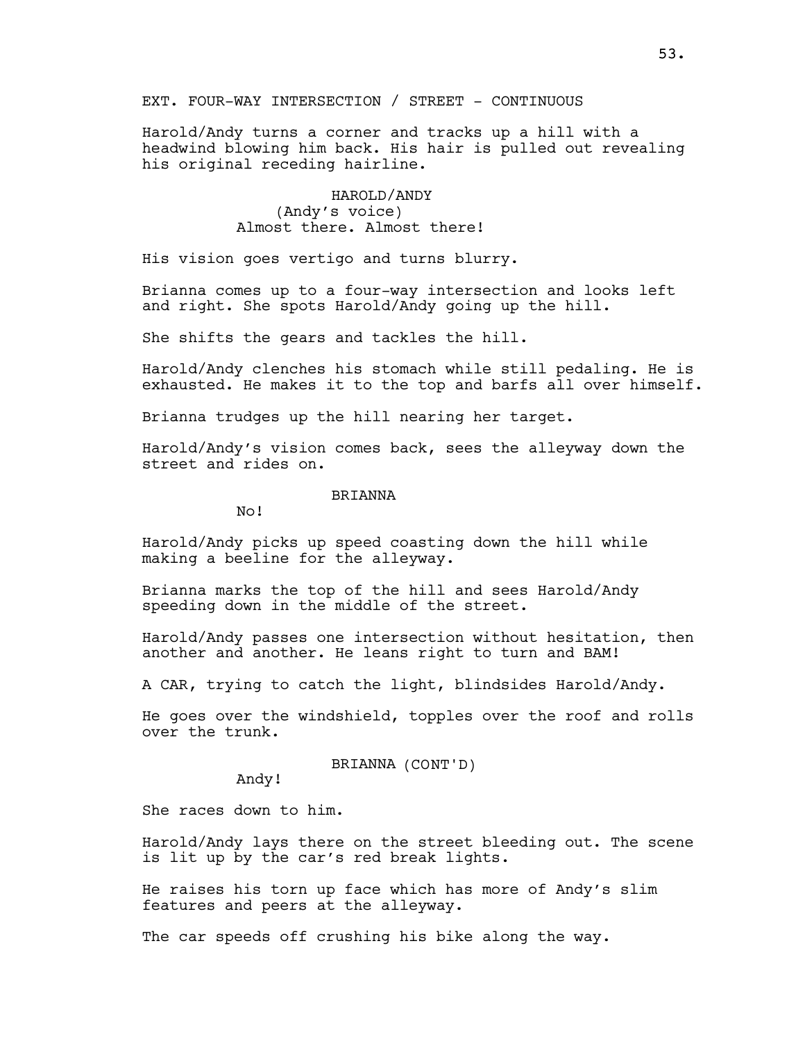## EXT. FOUR-WAY INTERSECTION / STREET - CONTINUOUS

Harold/Andy turns a corner and tracks up a hill with a headwind blowing him back. His hair is pulled out revealing his original receding hairline.

## HAROLD/ANDY (Andy's voice) Almost there. Almost there!

His vision goes vertigo and turns blurry.

Brianna comes up to a four-way intersection and looks left and right. She spots Harold/Andy going up the hill.

She shifts the gears and tackles the hill.

Harold/Andy clenches his stomach while still pedaling. He is exhausted. He makes it to the top and barfs all over himself.

Brianna trudges up the hill nearing her target.

Harold/Andy's vision comes back, sees the alleyway down the street and rides on.

## **BRIANNA**

No!

Harold/Andy picks up speed coasting down the hill while making a beeline for the alleyway.

Brianna marks the top of the hill and sees Harold/Andy speeding down in the middle of the street.

Harold/Andy passes one intersection without hesitation, then another and another. He leans right to turn and BAM!

A CAR, trying to catch the light, blindsides Harold/Andy.

He goes over the windshield, topples over the roof and rolls over the trunk.

## BRIANNA (CONT'D)

Andy!

She races down to him.

Harold/Andy lays there on the street bleeding out. The scene is lit up by the car's red break lights.

He raises his torn up face which has more of Andy's slim features and peers at the alleyway.

The car speeds off crushing his bike along the way.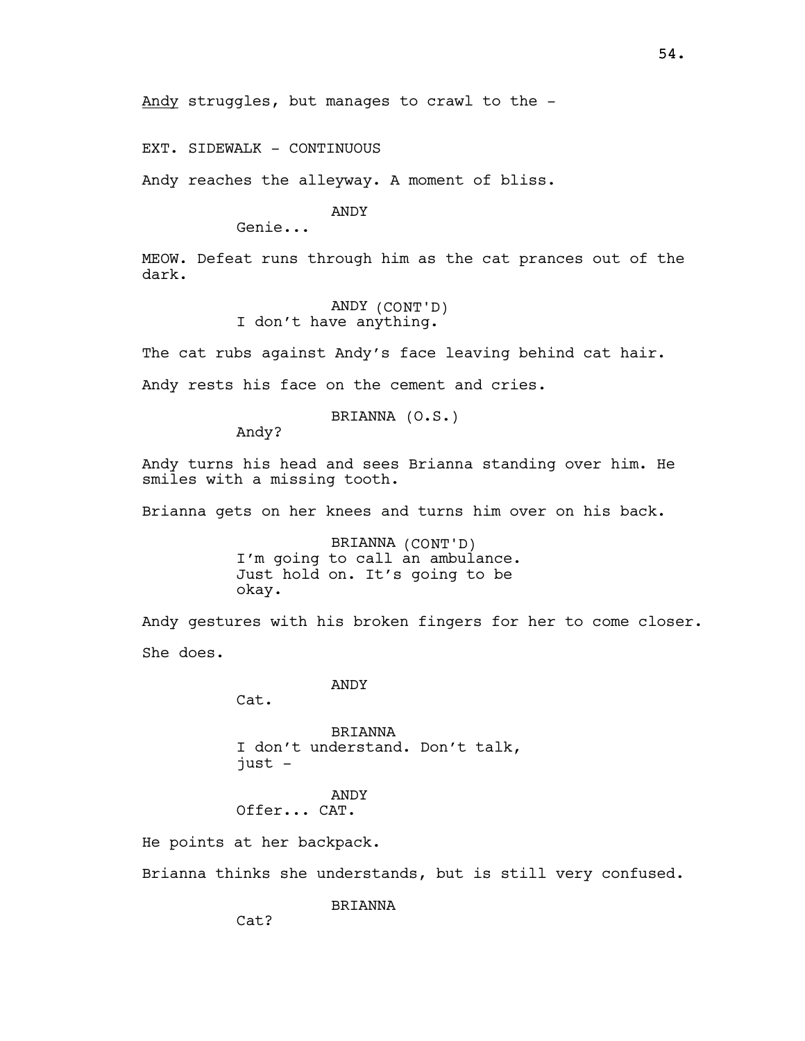EXT. SIDEWALK - CONTINUOUS

Andy reaches the alleyway. A moment of bliss.

ANDY

Genie...

MEOW. Defeat runs through him as the cat prances out of the dark.

> ANDY (CONT'D) I don't have anything.

The cat rubs against Andy's face leaving behind cat hair.

Andy rests his face on the cement and cries.

BRIANNA (O.S.)

Andy?

Andy turns his head and sees Brianna standing over him. He smiles with a missing tooth.

Brianna gets on her knees and turns him over on his back.

BRIANNA (CONT'D) I'm going to call an ambulance. Just hold on. It's going to be okay.

Andy gestures with his broken fingers for her to come closer. She does.

ANDY

Cat.

BRIANNA I don't understand. Don't talk, just -

ANDY Offer... CAT.

He points at her backpack.

Brianna thinks she understands, but is still very confused.

BRIANNA

Cat?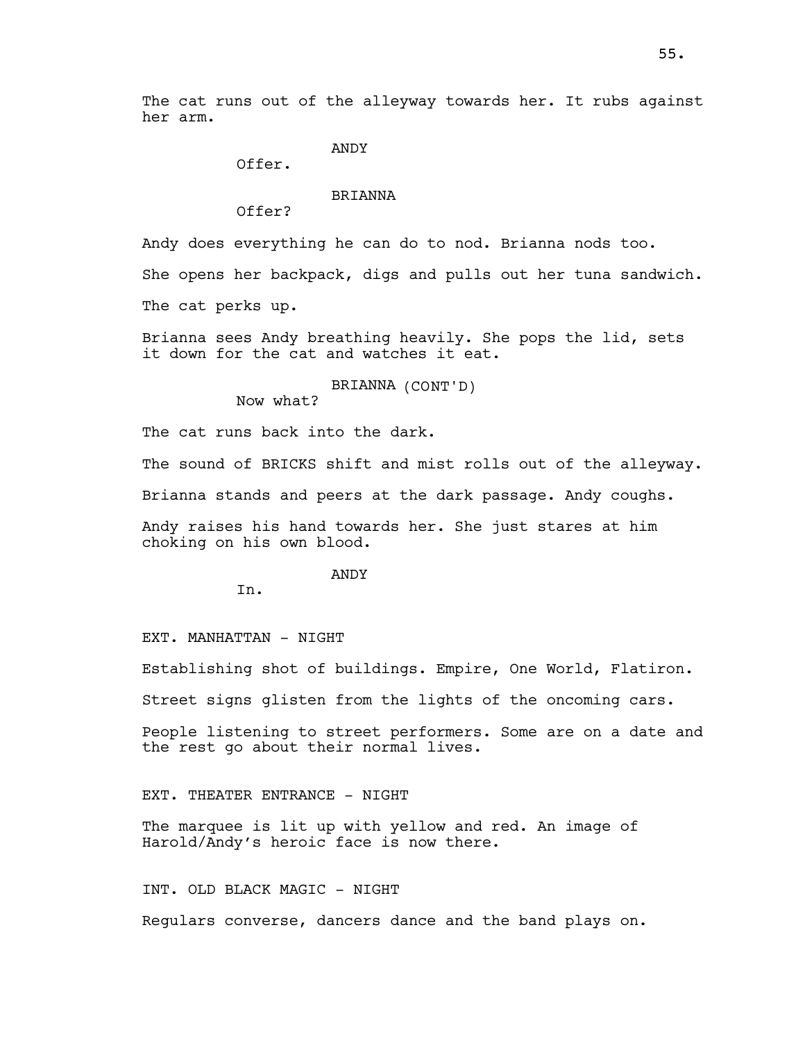ANDY

Offer.

**BRIANNA** 

Offer?

Andy does everything he can do to nod. Brianna nods too.

She opens her backpack, digs and pulls out her tuna sandwich. The cat perks up.

Brianna sees Andy breathing heavily. She pops the lid, sets it down for the cat and watches it eat.

BRIANNA (CONT'D)

Now what?

The cat runs back into the dark.

The sound of BRICKS shift and mist rolls out of the alleyway.

Brianna stands and peers at the dark passage. Andy coughs.

Andy raises his hand towards her. She just stares at him choking on his own blood.

ANDY

In.

EXT. MANHATTAN - NIGHT

Establishing shot of buildings. Empire, One World, Flatiron.

Street signs glisten from the lights of the oncoming cars.

People listening to street performers. Some are on a date and the rest go about their normal lives.

EXT. THEATER ENTRANCE - NIGHT

The marquee is lit up with yellow and red. An image of Harold/Andy's heroic face is now there.

INT. OLD BLACK MAGIC - NIGHT

Regulars converse, dancers dance and the band plays on.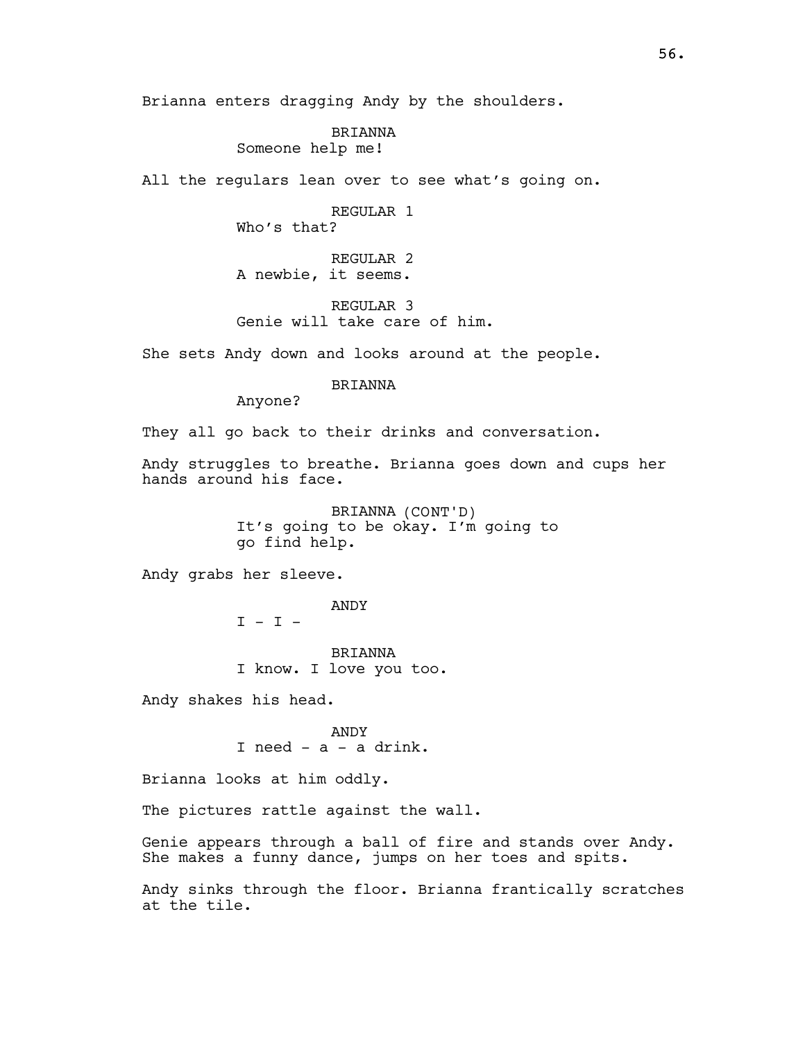Brianna enters dragging Andy by the shoulders.

BRIANNA Someone help me!

All the regulars lean over to see what's going on.

REGULAR 1 Who's that?

REGULAR 2 A newbie, it seems.

REGULAR 3 Genie will take care of him.

She sets Andy down and looks around at the people.

BRIANNA

Anyone?

They all go back to their drinks and conversation.

Andy struggles to breathe. Brianna goes down and cups her hands around his face.

> BRIANNA (CONT'D) It's going to be okay. I'm going to go find help.

Andy grabs her sleeve.

ANDY

 $I - I -$ 

BRIANNA I know. I love you too.

Andy shakes his head.

ANDY I need  $-$  a  $-$  a drink.

Brianna looks at him oddly.

The pictures rattle against the wall.

Genie appears through a ball of fire and stands over Andy. She makes a funny dance, jumps on her toes and spits.

Andy sinks through the floor. Brianna frantically scratches at the tile.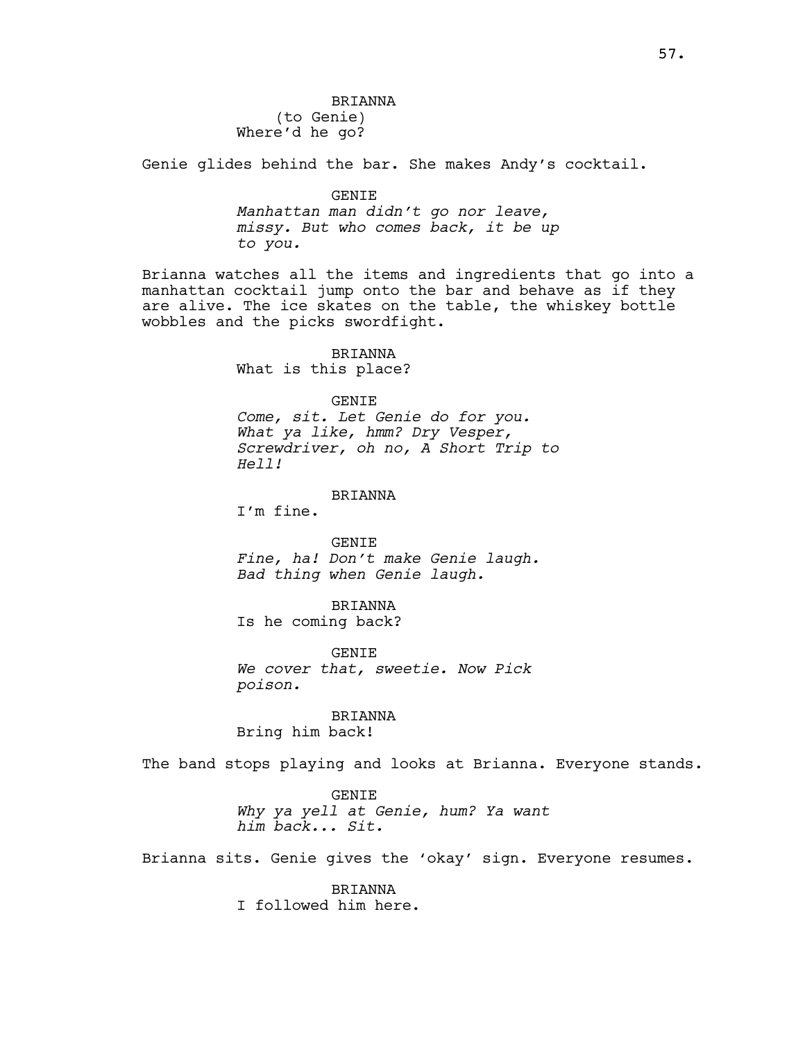(to Genie) Where'd he go?

Genie glides behind the bar. She makes Andy's cocktail.

GENIE

Manhattan man didn't go nor leave, missy. But who comes back, it be up to you.

Brianna watches all the items and ingredients that go into a manhattan cocktail jump onto the bar and behave as if they are alive. The ice skates on the table, the whiskey bottle wobbles and the picks swordfight.

BRIANNA

What is this place?

GENIE

Come, sit. Let Genie do for you. What ya like, hmm? Dry Vesper, Screwdriver, oh no, A Short Trip to Hell!

BRIANNA

I'm fine.

GENIE Fine, ha! Don't make Genie laugh. Bad thing when Genie laugh.

BRIANNA Is he coming back?

GENIE We cover that, sweetie. Now Pick poison.

BRIANNA Bring him back!

The band stops playing and looks at Brianna. Everyone stands.

GENIE Why ya yell at Genie, hum? Ya want him back... Sit.

Brianna sits. Genie gives the 'okay' sign. Everyone resumes.

BRIANNA I followed him here.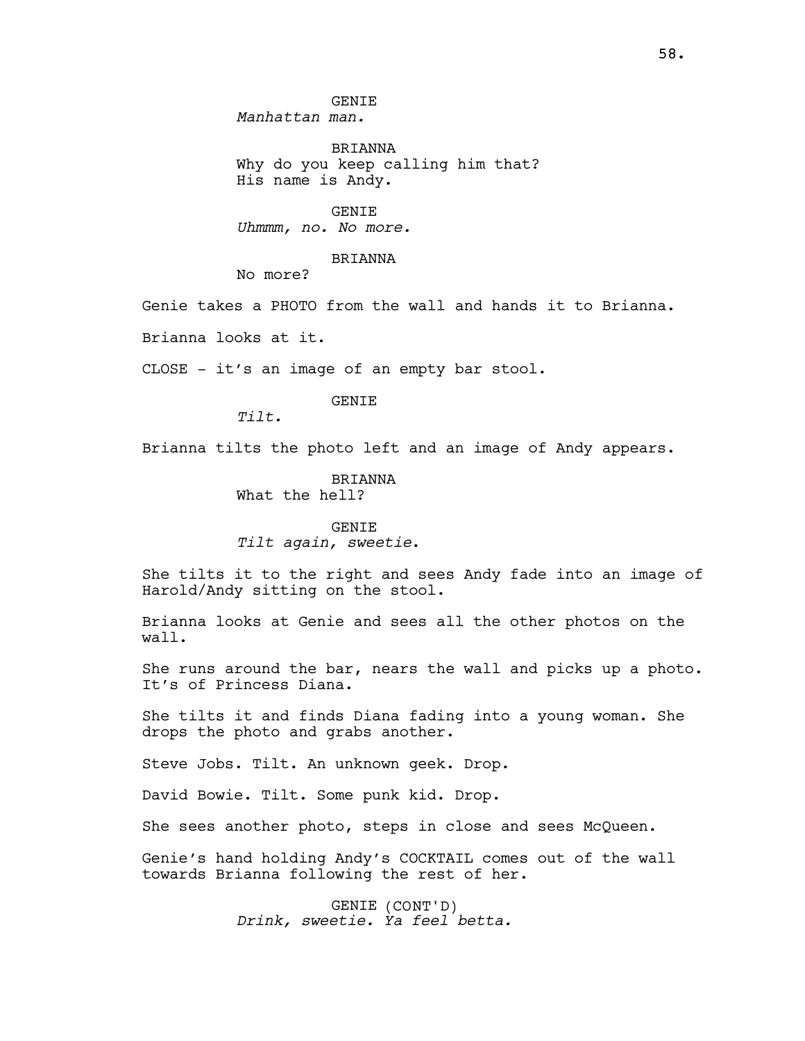GENIE Manhattan man.

BRIANNA Why do you keep calling him that? His name is Andy.

GENIE Uhmmm, no. No more.

BRIANNA

No more?

Genie takes a PHOTO from the wall and hands it to Brianna.

Brianna looks at it.

CLOSE - it's an image of an empty bar stool.

GENIE

 $Ti$ 

Brianna tilts the photo left and an image of Andy appears.

BRIANNA What the hell?

GENIE Tilt again, sweetie.

She tilts it to the right and sees Andy fade into an image of Harold/Andy sitting on the stool.

Brianna looks at Genie and sees all the other photos on the wall.

She runs around the bar, nears the wall and picks up a photo. It's of Princess Diana.

She tilts it and finds Diana fading into a young woman. She drops the photo and grabs another.

Steve Jobs. Tilt. An unknown geek. Drop.

David Bowie. Tilt. Some punk kid. Drop.

She sees another photo, steps in close and sees McQueen.

Genie's hand holding Andy's COCKTAIL comes out of the wall towards Brianna following the rest of her.

> GENIE (CONT'D) Drink, sweetie. Ya feel betta.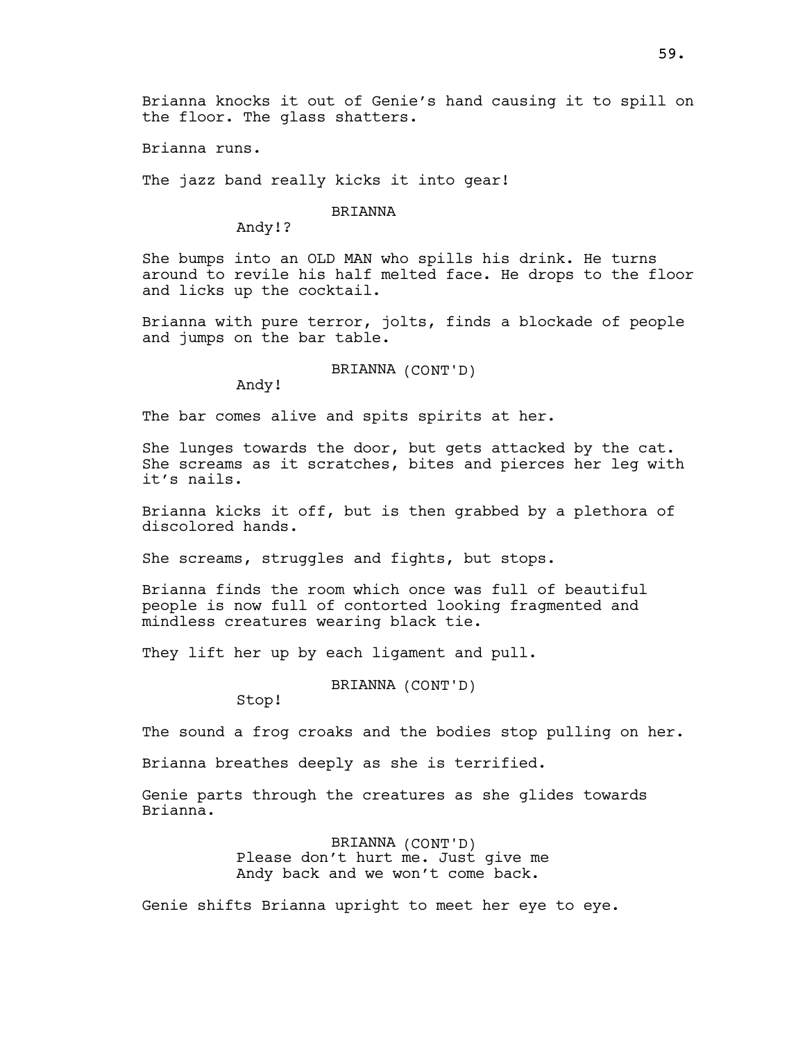Brianna knocks it out of Genie's hand causing it to spill on the floor. The glass shatters.

Brianna runs.

The jazz band really kicks it into gear!

BRIANNA

Andy!?

She bumps into an OLD MAN who spills his drink. He turns around to revile his half melted face. He drops to the floor and licks up the cocktail.

Brianna with pure terror, jolts, finds a blockade of people and jumps on the bar table.

BRIANNA (CONT'D)

Andy!

The bar comes alive and spits spirits at her.

She lunges towards the door, but gets attacked by the cat. She screams as it scratches, bites and pierces her leg with it's nails.

Brianna kicks it off, but is then grabbed by a plethora of discolored hands.

She screams, struggles and fights, but stops.

Brianna finds the room which once was full of beautiful people is now full of contorted looking fragmented and mindless creatures wearing black tie.

They lift her up by each ligament and pull.

BRIANNA (CONT'D)

Stop!

The sound a frog croaks and the bodies stop pulling on her.

Brianna breathes deeply as she is terrified.

Genie parts through the creatures as she glides towards Brianna.

> BRIANNA (CONT'D) Please don't hurt me. Just give me Andy back and we won't come back.

Genie shifts Brianna upright to meet her eye to eye.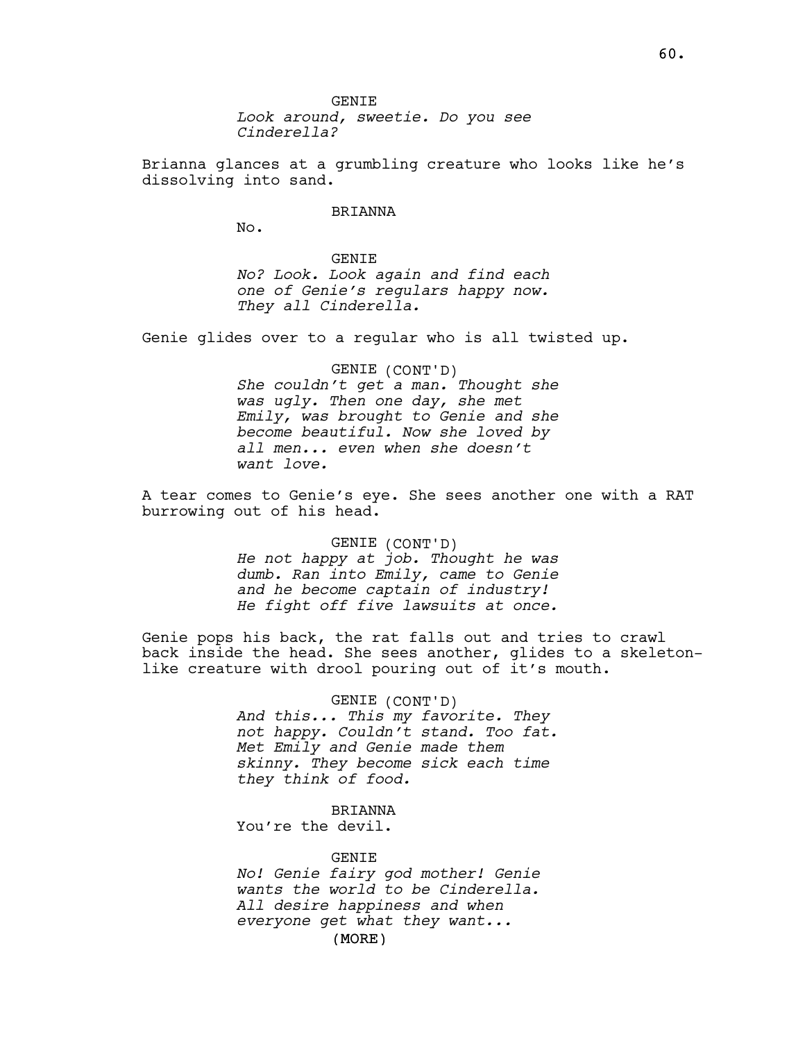Brianna glances at a grumbling creature who looks like he's dissolving into sand.

### BRIANNA

No.

GENIE No? Look. Look again and find each one of Genie's regulars happy now. They all Cinderella.

Genie glides over to a regular who is all twisted up.

GENIE (CONT'D) She couldn't get a man. Thought she was ugly. Then one day, she met Emily, was brought to Genie and she become beautiful. Now she loved by all men... even when she doesn't want love.

A tear comes to Genie's eye. She sees another one with a RAT burrowing out of his head.

# GENIE (CONT'D)

He not happy at job. Thought he was dumb. Ran into Emily, came to Genie and he become captain of industry! He fight off five lawsuits at once.

Genie pops his back, the rat falls out and tries to crawl back inside the head. She sees another, glides to a skeletonlike creature with drool pouring out of it's mouth.

> GENIE (CONT'D) And this... This my favorite. They not happy. Couldn't stand. Too fat. Met Emily and Genie made them skinny. They become sick each time they think of food.

BRIANNA You're the devil.

(MORE) GENIE No! Genie fairy god mother! Genie wants the world to be Cinderella. All desire happiness and when everyone get what they want...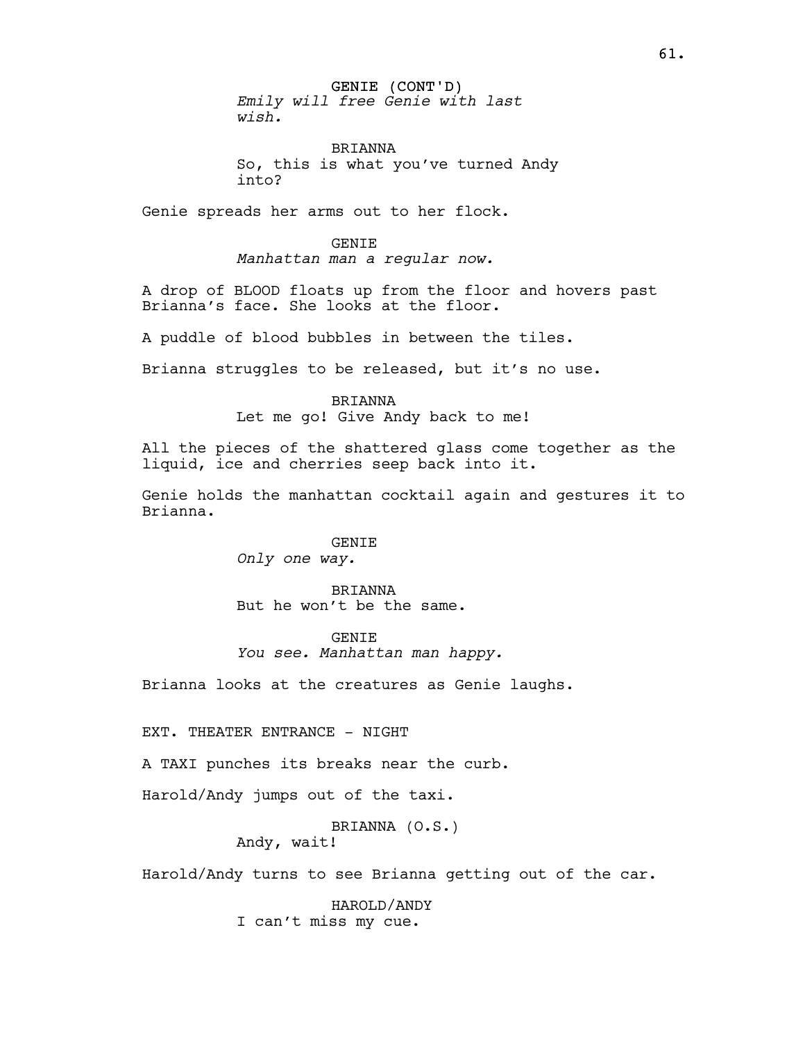GENIE (CONT'D) Emily will free Genie with last wish.

BRIANNA So, this is what you've turned Andy into?

Genie spreads her arms out to her flock.

GENIE

Manhattan man a regular now.

A drop of BLOOD floats up from the floor and hovers past Brianna's face. She looks at the floor.

A puddle of blood bubbles in between the tiles.

Brianna struggles to be released, but it's no use.

**BRIANNA** 

Let me go! Give Andy back to me!

All the pieces of the shattered glass come together as the liquid, ice and cherries seep back into it.

Genie holds the manhattan cocktail again and gestures it to Brianna.

> GENIE Only one way.

BRIANNA But he won't be the same.

GENIE You see. Manhattan man happy.

Brianna looks at the creatures as Genie laughs.

EXT. THEATER ENTRANCE - NIGHT

A TAXI punches its breaks near the curb.

Harold/Andy jumps out of the taxi.

BRIANNA (O.S.) Andy, wait!

Harold/Andy turns to see Brianna getting out of the car.

HAROLD/ANDY I can't miss my cue.